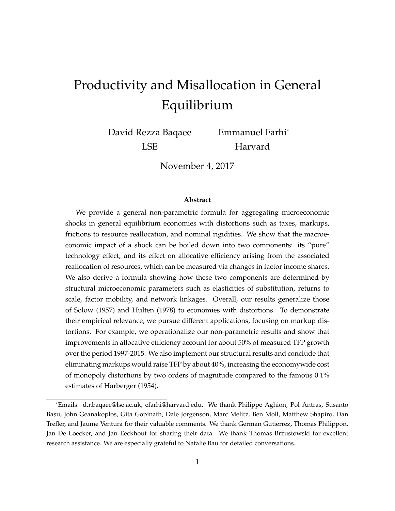# <span id="page-0-0"></span>Productivity and Misallocation in General Equilibrium

David Rezza Baqaee LSE

Emmanuel Farhi<sup>∗</sup> Harvard

November 4, 2017

#### **Abstract**

We provide a general non-parametric formula for aggregating microeconomic shocks in general equilibrium economies with distortions such as taxes, markups, frictions to resource reallocation, and nominal rigidities. We show that the macroeconomic impact of a shock can be boiled down into two components: its "pure" technology effect; and its effect on allocative efficiency arising from the associated reallocation of resources, which can be measured via changes in factor income shares. We also derive a formula showing how these two components are determined by structural microeconomic parameters such as elasticities of substitution, returns to scale, factor mobility, and network linkages. Overall, our results generalize those of [Solow](#page-72-0) [\(1957\)](#page-72-0) and [Hulten](#page-71-0) [\(1978\)](#page-71-0) to economies with distortions. To demonstrate their empirical relevance, we pursue different applications, focusing on markup distortions. For example, we operationalize our non-parametric results and show that improvements in allocative efficiency account for about 50% of measured TFP growth over the period 1997-2015. We also implement our structural results and conclude that eliminating markups would raise TFP by about 40%, increasing the economywide cost of monopoly distortions by two orders of magnitude compared to the famous 0.1% estimates of [Harberger](#page-70-0) [\(1954\)](#page-70-0).

<sup>∗</sup>Emails: d.r.baqaee@lse.ac.uk, efarhi@harvard.edu. We thank Philippe Aghion, Pol Antras, Susanto Basu, John Geanakoplos, Gita Gopinath, Dale Jorgenson, Marc Melitz, Ben Moll, Matthew Shapiro, Dan Trefler, and Jaume Ventura for their valuable comments. We thank German Gutierrez, Thomas Philippon, Jan De Loecker, and Jan Eeckhout for sharing their data. We thank Thomas Brzustowski for excellent research assistance. We are especially grateful to Natalie Bau for detailed conversations.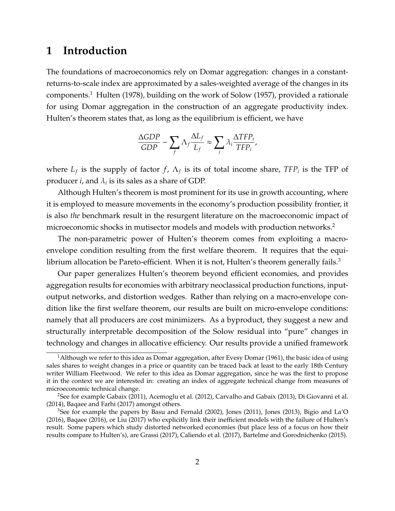# **1 Introduction**

The foundations of macroeconomics rely on Domar aggregation: changes in a constantreturns-to-scale index are approximated by a sales-weighted average of the changes in its components.[1](#page-0-0) [Hulten](#page-71-0) [\(1978\)](#page-71-0), building on the work of [Solow](#page-72-0) [\(1957\)](#page-72-0), provided a rationale for using Domar aggregation in the construction of an aggregate productivity index. Hulten's theorem states that, as long as the equilibrium is efficient, we have

$$
\frac{\Delta GDP}{GDP} - \sum_{f} \Lambda_f \frac{\Delta L_f}{L_f} \approx \sum_{i} \lambda_i \frac{\Delta TFP_i}{TFP_i},
$$

where  $L_f$  is the supply of factor  $f$ ,  $\Lambda_f$  is its of total income share,  $TFP_i$  is the TFP of producer *i,* and  $\lambda_i$  is its sales as a share of GDP.

Although Hulten's theorem is most prominent for its use in growth accounting, where it is employed to measure movements in the economy's production possibility frontier, it is also *the* benchmark result in the resurgent literature on the macroeconomic impact of microeconomic shocks in mutisector models and models with production networks.<sup>[2](#page-0-0)</sup>

The non-parametric power of Hulten's theorem comes from exploiting a macroenvelope condition resulting from the first welfare theorem. It requires that the equilibrium allocation be Pareto-efficient. When it is not, Hulten's theorem generally fails. $3$ 

Our paper generalizes Hulten's theorem beyond efficient economies, and provides aggregation results for economies with arbitrary neoclassical production functions, inputoutput networks, and distortion wedges. Rather than relying on a macro-envelope condition like the first welfare theorem, our results are built on micro-envelope conditions: namely that all producers are cost minimizers. As a byproduct, they suggest a new and structurally interpretable decomposition of the Solow residual into "pure" changes in technology and changes in allocative efficiency. Our results provide a unified framework

 $^1$ Although we refer to this idea as [Domar](#page-69-0) aggregation, after Evesy Domar [\(1961\)](#page-69-0), the basic idea of using sales shares to weight changes in a price or quantity can be traced back at least to the early 18th Century writer William Fleetwood. We refer to this idea as Domar aggregation, since he was the first to propose it in the context we are interested in: creating an index of aggregate technical change from measures of microeconomic technical change.

<sup>&</sup>lt;sup>2</sup>See for example [Gabaix](#page-69-1) [\(2011\)](#page-69-1), [Acemoglu et al.](#page-67-0) [\(2012\)](#page-67-0), [Carvalho and Gabaix](#page-68-0) [\(2013\)](#page-68-0), [Di Giovanni et al.](#page-69-2) [\(2014\)](#page-69-2), [Baqaee and Farhi](#page-67-1) [\(2017\)](#page-67-1) amongst others.

<sup>&</sup>lt;sup>3</sup>See for example the papers by [Basu and Fernald](#page-68-1) [\(2002\)](#page-68-1), [Jones](#page-71-2) [\(2011\)](#page-71-1), Jones [\(2013\)](#page-71-2), [Bigio and La'O](#page-68-2) [\(2016\)](#page-68-2), [Baqaee](#page-67-2) [\(2016\)](#page-67-2), or [Liu](#page-71-3) [\(2017\)](#page-71-3) who explicitly link their inefficient models with the failure of Hulten's result. Some papers which study distorted networked economies (but place less of a focus on how their results compare to Hulten's), are [Grassi](#page-70-1) [\(2017\)](#page-70-1), [Caliendo et al.](#page-68-3) [\(2017\)](#page-68-3), [Bartelme and Gorodnichenko](#page-67-3) [\(2015\)](#page-67-3).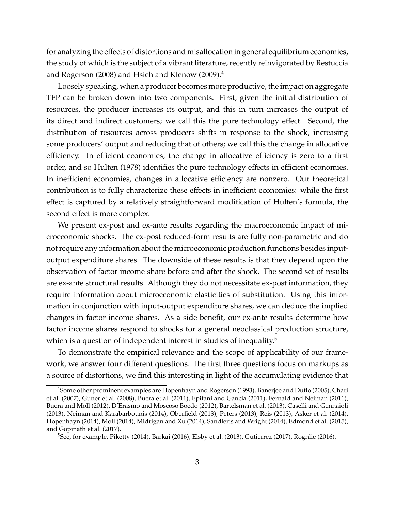for analyzing the effects of distortions and misallocation in general equilibrium economies, the study of which is the subject of a vibrant literature, recently reinvigorated by [Restuccia](#page-72-1) [and Rogerson](#page-72-1) [\(2008\)](#page-72-1) and [Hsieh and Klenow](#page-70-2) [\(2009\)](#page-70-2).[4](#page-0-0)

Loosely speaking, when a producer becomes more productive, the impact on aggregate TFP can be broken down into two components. First, given the initial distribution of resources, the producer increases its output, and this in turn increases the output of its direct and indirect customers; we call this the pure technology effect. Second, the distribution of resources across producers shifts in response to the shock, increasing some producers' output and reducing that of others; we call this the change in allocative efficiency. In efficient economies, the change in allocative efficiency is zero to a first order, and so [Hulten](#page-71-0) [\(1978\)](#page-71-0) identifies the pure technology effects in efficient economies. In inefficient economies, changes in allocative efficiency are nonzero. Our theoretical contribution is to fully characterize these effects in inefficient economies: while the first effect is captured by a relatively straightforward modification of Hulten's formula, the second effect is more complex.

We present ex-post and ex-ante results regarding the macroeconomic impact of microeconomic shocks. The ex-post reduced-form results are fully non-parametric and do not require any information about the microeconomic production functions besides inputoutput expenditure shares. The downside of these results is that they depend upon the observation of factor income share before and after the shock. The second set of results are ex-ante structural results. Although they do not necessitate ex-post information, they require information about microeconomic elasticities of substitution. Using this information in conjunction with input-output expenditure shares, we can deduce the implied changes in factor income shares. As a side benefit, our ex-ante results determine how factor income shares respond to shocks for a general neoclassical production structure, which is a question of independent interest in studies of inequality.<sup>[5](#page-0-0)</sup>

To demonstrate the empirical relevance and the scope of applicability of our framework, we answer four different questions. The first three questions focus on markups as a source of distortions, we find this interesting in light of the accumulating evidence that

<sup>&</sup>lt;sup>4</sup>Some other prominent examples are [Hopenhayn and Rogerson](#page-70-3) [\(1993\)](#page-70-3), [Banerjee and Duflo](#page-67-4) [\(2005\)](#page-67-4), [Chari](#page-68-4) [et al.](#page-68-4) [\(2007\)](#page-68-4), [Guner et al.](#page-70-4) [\(2008\)](#page-70-4), [Buera et al.](#page-68-5) [\(2011\)](#page-68-5), [Epifani and Gancia](#page-69-3) [\(2011\)](#page-69-3), [Fernald and Neiman](#page-69-4) [\(2011\)](#page-69-4), [Buera and Moll](#page-68-6) [\(2012\)](#page-68-6), [D'Erasmo and Moscoso Boedo](#page-69-5) [\(2012\)](#page-69-5), [Bartelsman et al.](#page-67-5) [\(2013\)](#page-67-5), [Caselli and Gennaioli](#page-68-7) [\(2013\)](#page-68-7), [Neiman and Karabarbounis](#page-71-4) [\(2014\)](#page-71-4), [Oberfield](#page-71-5) [\(2013\)](#page-71-5), [Peters](#page-71-6) [\(2013\)](#page-71-6), [Reis](#page-72-2) [\(2013\)](#page-72-2), [Asker et al.](#page-67-6) [\(2014\)](#page-67-6), [Hopenhayn](#page-70-5) [\(2014\)](#page-70-5), [Moll](#page-71-7) [\(2014\)](#page-71-7), [Midrigan and Xu](#page-71-8) [\(2014\)](#page-71-8), [Sandleris and Wright](#page-72-3) [\(2014\)](#page-72-3), [Edmond et al.](#page-69-6) [\(2015\)](#page-69-6), and [Gopinath et al.](#page-70-6) [\(2017\)](#page-70-6).

<sup>5</sup>See, for example, [Piketty](#page-71-9) [\(2014\)](#page-71-9), [Barkai](#page-67-7) [\(2016\)](#page-67-7), [Elsby et al.](#page-69-7) [\(2013\)](#page-69-7), [Gutierrez](#page-70-7) [\(2017\)](#page-70-7), [Rognlie](#page-72-4) [\(2016\)](#page-72-4).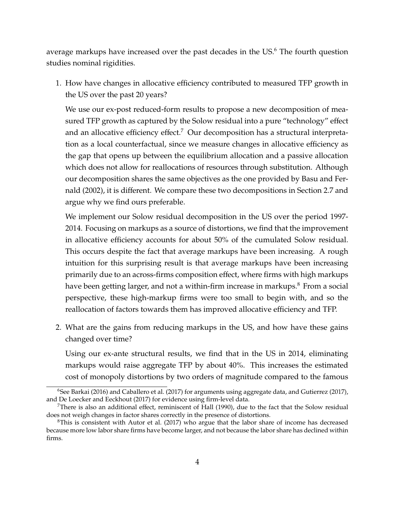average markups have increased over the past decades in the US.<sup>[6](#page-0-0)</sup> The fourth question studies nominal rigidities.

1. How have changes in allocative efficiency contributed to measured TFP growth in the US over the past 20 years?

We use our ex-post reduced-form results to propose a new decomposition of measured TFP growth as captured by the Solow residual into a pure "technology" effect and an allocative efficiency effect.<sup>[7](#page-0-0)</sup> Our decomposition has a structural interpretation as a local counterfactual, since we measure changes in allocative efficiency as the gap that opens up between the equilibrium allocation and a passive allocation which does not allow for reallocations of resources through substitution. Although our decomposition shares the same objectives as the one provided by [Basu and Fer](#page-68-1)[nald](#page-68-1) [\(2002\)](#page-68-1), it is different. We compare these two decompositions in Section [2.7](#page-21-0) and argue why we find ours preferable.

We implement our Solow residual decomposition in the US over the period 1997- 2014. Focusing on markups as a source of distortions, we find that the improvement in allocative efficiency accounts for about 50% of the cumulated Solow residual. This occurs despite the fact that average markups have been increasing. A rough intuition for this surprising result is that average markups have been increasing primarily due to an across-firms composition effect, where firms with high markups have been getting larger, and not a within-firm increase in markups.<sup>[8](#page-0-0)</sup> From a social perspective, these high-markup firms were too small to begin with, and so the reallocation of factors towards them has improved allocative efficiency and TFP.

2. What are the gains from reducing markups in the US, and how have these gains changed over time?

Using our ex-ante structural results, we find that in the US in 2014, eliminating markups would raise aggregate TFP by about 40%. This increases the estimated cost of monopoly distortions by two orders of magnitude compared to the famous

 $6$ See [Barkai](#page-67-7) [\(2016\)](#page-67-7) and [Caballero et al.](#page-68-8) [\(2017\)](#page-70-7) for arguments using aggregate data, and [Gutierrez](#page-70-7) (2017), and [De Loecker and Eeckhout](#page-69-8) [\(2017\)](#page-69-8) for evidence using firm-level data.

There is also an additional effect, reminiscent of [Hall](#page-70-8)  $(1990)$ , due to the fact that the Solow residual does not weigh changes in factor shares correctly in the presence of distortions.

<sup>&</sup>lt;sup>8</sup>This is consistent with [Autor et al.](#page-67-8) [\(2017\)](#page-67-8) who argue that the labor share of income has decreased because more low labor share firms have become larger, and not because the labor share has declined within firms.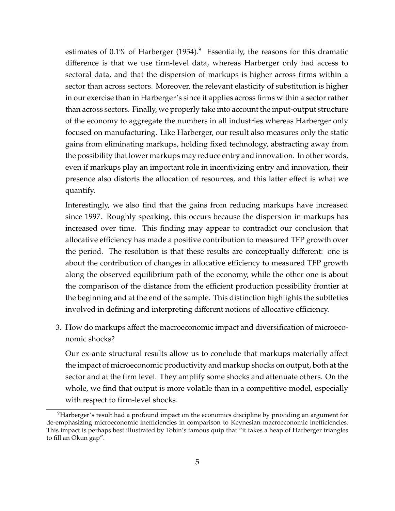estimates of 0.1% of [Harberger](#page-70-0)  $(1954)^9$  $(1954)^9$  $(1954)^9$ . Essentially, the reasons for this dramatic difference is that we use firm-level data, whereas Harberger only had access to sectoral data, and that the dispersion of markups is higher across firms within a sector than across sectors. Moreover, the relevant elasticity of substitution is higher in our exercise than in Harberger's since it applies across firms within a sector rather than across sectors. Finally, we properly take into account the input-output structure of the economy to aggregate the numbers in all industries whereas Harberger only focused on manufacturing. Like Harberger, our result also measures only the static gains from eliminating markups, holding fixed technology, abstracting away from the possibility that lower markups may reduce entry and innovation. In other words, even if markups play an important role in incentivizing entry and innovation, their presence also distorts the allocation of resources, and this latter effect is what we quantify.

Interestingly, we also find that the gains from reducing markups have increased since 1997. Roughly speaking, this occurs because the dispersion in markups has increased over time. This finding may appear to contradict our conclusion that allocative efficiency has made a positive contribution to measured TFP growth over the period. The resolution is that these results are conceptually different: one is about the contribution of changes in allocative efficiency to measured TFP growth along the observed equilibrium path of the economy, while the other one is about the comparison of the distance from the efficient production possibility frontier at the beginning and at the end of the sample. This distinction highlights the subtleties involved in defining and interpreting different notions of allocative efficiency.

3. How do markups affect the macroeconomic impact and diversification of microeconomic shocks?

Our ex-ante structural results allow us to conclude that markups materially affect the impact of microeconomic productivity and markup shocks on output, both at the sector and at the firm level. They amplify some shocks and attenuate others. On the whole, we find that output is more volatile than in a competitive model, especially with respect to firm-level shocks.

<sup>&</sup>lt;sup>9</sup>Harberger's result had a profound impact on the economics discipline by providing an argument for de-emphasizing microeconomic inefficiencies in comparison to Keynesian macroeconomic inefficiencies. This impact is perhaps best illustrated by Tobin's famous quip that "it takes a heap of Harberger triangles to fill an Okun gap".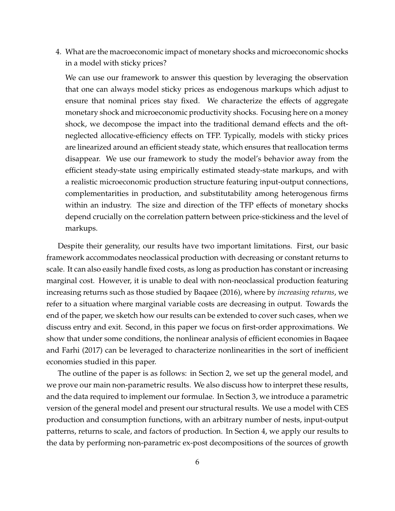4. What are the macroeconomic impact of monetary shocks and microeconomic shocks in a model with sticky prices?

We can use our framework to answer this question by leveraging the observation that one can always model sticky prices as endogenous markups which adjust to ensure that nominal prices stay fixed. We characterize the effects of aggregate monetary shock and microeconomic productivity shocks. Focusing here on a money shock, we decompose the impact into the traditional demand effects and the oftneglected allocative-efficiency effects on TFP. Typically, models with sticky prices are linearized around an efficient steady state, which ensures that reallocation terms disappear. We use our framework to study the model's behavior away from the efficient steady-state using empirically estimated steady-state markups, and with a realistic microeconomic production structure featuring input-output connections, complementarities in production, and substitutability among heterogenous firms within an industry. The size and direction of the TFP effects of monetary shocks depend crucially on the correlation pattern between price-stickiness and the level of markups.

Despite their generality, our results have two important limitations. First, our basic framework accommodates neoclassical production with decreasing or constant returns to scale. It can also easily handle fixed costs, as long as production has constant or increasing marginal cost. However, it is unable to deal with non-neoclassical production featuring increasing returns such as those studied by [Baqaee](#page-67-2) [\(2016\)](#page-67-2), where by *increasing returns*, we refer to a situation where marginal variable costs are decreasing in output. Towards the end of the paper, we sketch how our results can be extended to cover such cases, when we discuss entry and exit. Second, in this paper we focus on first-order approximations. We show that under some conditions, the nonlinear analysis of efficient economies in [Baqaee](#page-67-1) [and Farhi](#page-67-1) [\(2017\)](#page-67-1) can be leveraged to characterize nonlinearities in the sort of inefficient economies studied in this paper.

The outline of the paper is as follows: in Section [2,](#page-6-0) we set up the general model, and we prove our main non-parametric results. We also discuss how to interpret these results, and the data required to implement our formulae. In Section [3,](#page-24-0) we introduce a parametric version of the general model and present our structural results. We use a model with CES production and consumption functions, with an arbitrary number of nests, input-output patterns, returns to scale, and factors of production. In Section [4,](#page-39-0) we apply our results to the data by performing non-parametric ex-post decompositions of the sources of growth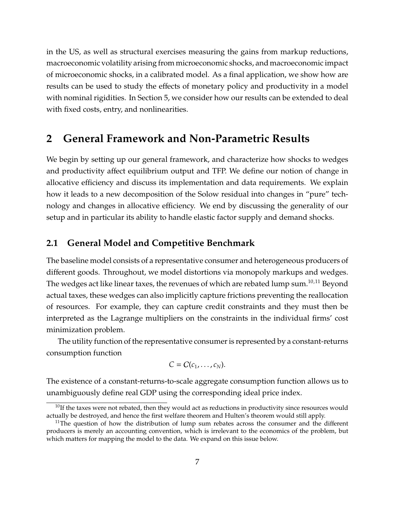in the US, as well as structural exercises measuring the gains from markup reductions, macroeconomic volatility arising from microeconomic shocks, and macroeconomic impact of microeconomic shocks, in a calibrated model. As a final application, we show how are results can be used to study the effects of monetary policy and productivity in a model with nominal rigidities. In Section [5,](#page-57-0) we consider how our results can be extended to deal with fixed costs, entry, and nonlinearities.

# <span id="page-6-0"></span>**2 General Framework and Non-Parametric Results**

We begin by setting up our general framework, and characterize how shocks to wedges and productivity affect equilibrium output and TFP. We define our notion of change in allocative efficiency and discuss its implementation and data requirements. We explain how it leads to a new decomposition of the Solow residual into changes in "pure" technology and changes in allocative efficiency. We end by discussing the generality of our setup and in particular its ability to handle elastic factor supply and demand shocks.

# <span id="page-6-1"></span>**2.1 General Model and Competitive Benchmark**

The baseline model consists of a representative consumer and heterogeneous producers of different goods. Throughout, we model distortions via monopoly markups and wedges. The wedges act like linear taxes, the revenues of which are rebated lump sum.<sup>[10](#page-0-0),[11](#page-0-0)</sup> Beyond actual taxes, these wedges can also implicitly capture frictions preventing the reallocation of resources. For example, they can capture credit constraints and they must then be interpreted as the Lagrange multipliers on the constraints in the individual firms' cost minimization problem.

The utility function of the representative consumer is represented by a constant-returns consumption function

$$
C=C(c_1,\ldots,c_N).
$$

The existence of a constant-returns-to-scale aggregate consumption function allows us to unambiguously define real GDP using the corresponding ideal price index.

 $10$ If the taxes were not rebated, then they would act as reductions in productivity since resources would actually be destroyed, and hence the first welfare theorem and Hulten's theorem would still apply.

<sup>&</sup>lt;sup>11</sup>The question of how the distribution of lump sum rebates across the consumer and the different producers is merely an accounting convention, which is irrelevant to the economics of the problem, but which matters for mapping the model to the data. We expand on this issue below.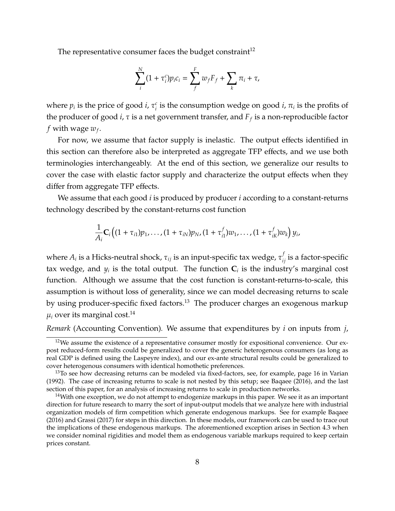The representative consumer faces the budget constraint<sup>[12](#page-0-0)</sup>

$$
\sum_i^N (1 + \tau_i^c) p_i c_i = \sum_f^F w_f F_f + \sum_k \pi_i + \tau,
$$

where  $p_i$  is the price of good *i*,  $\tau_i^c$  $\frac{c}{i}$  is the consumption wedge on good *i*,  $\pi_i$  is the profits of the producer of good *i*, τ is a net government transfer, and *F<sup>f</sup>* is a non-reproducible factor *f* with wage *w<sup>f</sup>* .

For now, we assume that factor supply is inelastic. The output effects identified in this section can therefore also be interpreted as aggregate TFP effects, and we use both terminologies interchangeably. At the end of this section, we generalize our results to cover the case with elastic factor supply and characterize the output effects when they differ from aggregate TFP effects.

We assume that each good *i* is produced by producer *i* according to a constant-returns technology described by the constant-returns cost function

$$
\frac{1}{A_i}\mathbf{C}_i\big((1+\tau_{i1})p_1,\ldots,(1+\tau_{iN})p_N,(1+\tau_{i1}^f)w_1,\ldots,(1+\tau_{iK}^f)w_k\big)y_i,
$$

where  $A_i$  is a Hicks-neutral shock,  $\tau_{ij}$  is an input-specific tax wedge,  $\tau_{ij}^f$  is a factor-specific tax wedge, and  $y_i$  is the total output. The function  $\mathbf{C}_i$  is the industry's marginal cost function. Although we assume that the cost function is constant-returns-to-scale, this assumption is without loss of generality, since we can model decreasing returns to scale by using producer-specific fixed factors.<sup>[13](#page-0-0)</sup> The producer charges an exogenous markup  $\mu_i$  over its marginal cost.<sup>[14](#page-0-0)</sup>

*Remark* (Accounting Convention)*.* We assume that expenditures by *i* on inputs from *j*,

<sup>&</sup>lt;sup>12</sup>We assume the existence of a representative consumer mostly for expositional convenience. Our expost reduced-form results could be generalized to cover the generic heterogenous consumers (as long as real GDP is defined using the Laspeyre index), and our ex-ante structural results could be generalized to cover heterogenous consumers with identical homothetic preferences.

 $13$ To see how decreasing returns can be modeled via fixed-factors, see, for example, page 16 in [Varian](#page-72-5) [\(1992\)](#page-72-5). The case of increasing returns to scale is not nested by this setup; see [Baqaee](#page-67-2) [\(2016\)](#page-67-2), and the last section of this paper, for an analysis of increasing returns to scale in production networks.

 $14$ With one exception, we do not attempt to endogenize markups in this paper. We see it as an important direction for future research to marry the sort of input-output models that we analyze here with industrial organization models of firm competition which generate endogenous markups. See for example [Baqaee](#page-67-2) [\(2016\)](#page-67-2) and [Grassi](#page-70-1) [\(2017\)](#page-70-1) for steps in this direction. In these models, our framework can be used to trace out the implications of these endogenous markups. The aforementioned exception arises in Section [4.3](#page-49-0) when we consider nominal rigidities and model them as endogenous variable markups required to keep certain prices constant.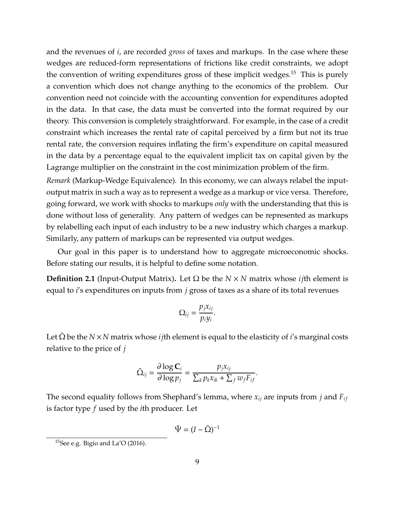and the revenues of *i*, are recorded *gross* of taxes and markups. In the case where these wedges are reduced-form representations of frictions like credit constraints, we adopt the convention of writing expenditures gross of these implicit wedges.<sup>[15](#page-0-0)</sup> This is purely a convention which does not change anything to the economics of the problem. Our convention need not coincide with the accounting convention for expenditures adopted in the data. In that case, the data must be converted into the format required by our theory. This conversion is completely straightforward. For example, in the case of a credit constraint which increases the rental rate of capital perceived by a firm but not its true rental rate, the conversion requires inflating the firm's expenditure on capital measured in the data by a percentage equal to the equivalent implicit tax on capital given by the Lagrange multiplier on the constraint in the cost minimization problem of the firm.

*Remark* (Markup-Wedge Equivalence)*.* In this economy, we can always relabel the inputoutput matrix in such a way as to represent a wedge as a markup or vice versa. Therefore, going forward, we work with shocks to markups *only* with the understanding that this is done without loss of generality. Any pattern of wedges can be represented as markups by relabelling each input of each industry to be a new industry which charges a markup. Similarly, any pattern of markups can be represented via output wedges.

Our goal in this paper is to understand how to aggregate microeconomic shocks. Before stating our results, it is helpful to define some notation.

**Definition 2.1** (Input-Output Matrix)**.** Let Ω be the *N* × *N* matrix whose *ij*th element is equal to *i*'s expenditures on inputs from *j* gross of taxes as a share of its total revenues

$$
\Omega_{ij}=\frac{p_jx_{ij}}{p_iy_i}.
$$

Let  $\Omega$  be the *N* × *N* matrix whose *i j*th element is equal to the elasticity of *i*'s marginal costs relative to the price of *j*

$$
\tilde{\Omega}_{ij} = \frac{\partial \log \mathbf{C}_i}{\partial \log p_j} = \frac{p_j x_{ij}}{\sum_k p_k x_{ik} + \sum_f w_f F_{if}}.
$$

The second equality follows from Shephard's lemma, where  $x_{ij}$  are inputs from *j* and  $F_{if}$ is factor type *f* used by the *i*th producer. Let

$$
\tilde{\Psi} = (I - \tilde{\Omega})^{-1}
$$

<sup>&</sup>lt;sup>15</sup>See e.g. [Bigio and La'O](#page-68-2) [\(2016\)](#page-68-2).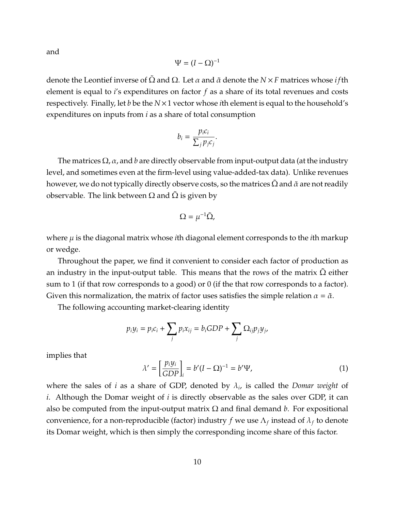and

$$
\Psi=(I-\Omega)^{-1}
$$

denote the Leontief inverse of  $\Omega$  and  $\Omega$ . Let  $\alpha$  and  $\tilde{\alpha}$  denote the *N* × *F* matrices whose *i* fth element is equal to *i*'s expenditures on factor *f* as a share of its total revenues and costs respectively. Finally, let *b* be the *N*×1 vector whose *i*th element is equal to the household's expenditures on inputs from *i* as a share of total consumption

$$
b_i = \frac{p_i c_i}{\sum_j p_j c_j}.
$$

The matrices  $\Omega$ ,  $\alpha$ , and  $b$  are directly observable from input-output data (at the industry level, and sometimes even at the firm-level using value-added-tax data). Unlike revenues however, we do not typically directly observe costs, so the matrices  $\Omega$  and  $\tilde{\alpha}$  are not readily observable. The link between  $Ω$  and  $Ω$  is given by

$$
\Omega = \mu^{-1} \tilde{\Omega},
$$

where  $\mu$  is the diagonal matrix whose *i*th diagonal element corresponds to the *i*th markup or wedge.

Throughout the paper, we find it convenient to consider each factor of production as an industry in the input-output table. This means that the rows of the matrix  $\Omega$  either sum to 1 (if that row corresponds to a good) or 0 (if the that row corresponds to a factor). Given this normalization, the matrix of factor uses satisfies the simple relation  $\alpha = \tilde{\alpha}$ .

The following accounting market-clearing identity

$$
p_i y_i = p_i c_i + \sum_j p_i x_{ij} = b_i GDP + \sum_j \Omega_{ij} p_j y_j,
$$

implies that

$$
\lambda' = \left[\frac{p_i y_i}{GDP}\right]_i = b'(I - \Omega)^{-1} = b'\Psi,\tag{1}
$$

where the sales of *i* as a share of GDP, denoted by λ*<sup>i</sup>* , is called the *Domar weight* of *i*. Although the Domar weight of *i* is directly observable as the sales over GDP, it can also be computed from the input-output matrix  $\Omega$  and final demand *b*. For expositional convenience, for a non-reproducible (factor) industry *f* we use Λ*<sup>f</sup>* instead of λ*<sup>f</sup>* to denote its Domar weight, which is then simply the corresponding income share of this factor.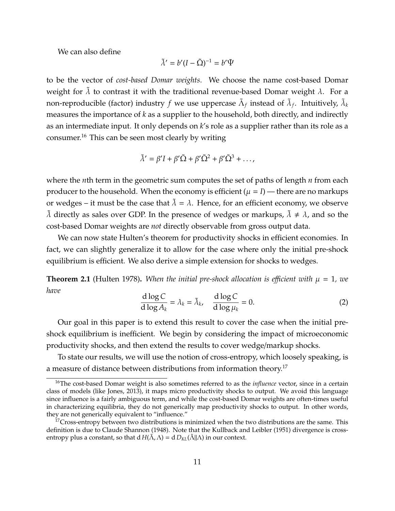We can also define

$$
\tilde{\lambda}'=b'(I-\tilde{\Omega})^{-1}=b'\tilde{\Psi}
$$

to be the vector of *cost-based Domar weights*. We choose the name cost-based Domar weight for  $\lambda$  to contrast it with the traditional revenue-based Domar weight  $\lambda$ . For a non-reproducible (factor) industry  $f$  we use uppercase  $\tilde{\Lambda}_f$  instead of  $\tilde{\lambda}_f$ . Intuitively,  $\tilde{\lambda}_k$ measures the importance of *k* as a supplier to the household, both directly, and indirectly as an intermediate input. It only depends on *k*'s role as a supplier rather than its role as a consumer.[16](#page-0-0) This can be seen most clearly by writing

$$
\tilde{\lambda}' = \beta' I + \beta' \tilde{\Omega} + \beta' \tilde{\Omega}^2 + \beta' \tilde{\Omega}^3 + \dots,
$$

where the *n*th term in the geometric sum computes the set of paths of length *n* from each producer to the household. When the economy is efficient  $(\mu = I)$  — there are no markups or wedges – it must be the case that  $\tilde{\lambda} = \lambda$ . Hence, for an efficient economy, we observe  $\lambda$  directly as sales over GDP. In the presence of wedges or markups,  $\lambda \neq \lambda$ , and so the cost-based Domar weights are *not* directly observable from gross output data.

We can now state Hulten's theorem for productivity shocks in efficient economies. In fact, we can slightly generalize it to allow for the case where only the initial pre-shock equilibrium is efficient. We also derive a simple extension for shocks to wedges.

**Theorem 2.1** [\(Hulten 1978\)](#page-71-0). When the initial pre-shock allocation is efficient with  $\mu = 1$ , we *have*

$$
\frac{d \log C}{d \log A_k} = \lambda_k = \tilde{\lambda}_k, \quad \frac{d \log C}{d \log \mu_k} = 0.
$$
 (2)

Our goal in this paper is to extend this result to cover the case when the initial preshock equilibrium is inefficient. We begin by considering the impact of microeconomic productivity shocks, and then extend the results to cover wedge/markup shocks.

To state our results, we will use the notion of cross-entropy, which loosely speaking, is a measure of distance between distributions from information theory.<sup>[17](#page-0-0)</sup>

<sup>&</sup>lt;sup>16</sup>The cost-based Domar weight is also sometimes referred to as the *influence* vector, since in a certain class of models (like [Jones, 2013\)](#page-71-2), it maps micro productivity shocks to output. We avoid this language since influence is a fairly ambiguous term, and while the cost-based Domar weights are often-times useful in characterizing equilibria, they do not generically map productivity shocks to output. In other words, they are not generically equivalent to "influence."

<sup>&</sup>lt;sup>17</sup>Cross-entropy between two distributions is minimized when the two distributions are the same. This definition is due to Claude [Shannon](#page-72-6) [\(1948\)](#page-72-6). Note that the [Kullback and Leibler](#page-71-10) [\(1951\)](#page-71-10) divergence is crossentropy plus a constant, so that  $d H(\tilde{\Lambda}, \Lambda) = d D_{KL}(\tilde{\Lambda} || \Lambda)$  in our context.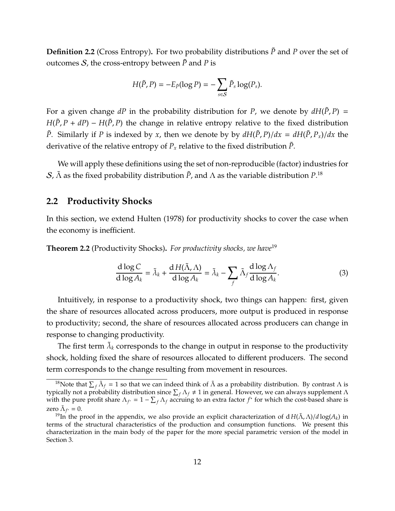**Definition 2.2** (Cross Entropy). For two probability distributions  $\tilde{P}$  and *P* over the set of outcomes S, the cross-entropy between  $\tilde{P}$  and P is

$$
H(\tilde{P}, P) = -E_{\tilde{P}}(\log P) = -\sum_{s \in \mathcal{S}} \tilde{P}_s \log(P_s).
$$

For a given change  $dP$  in the probability distribution for *P*, we denote by  $dH(\tilde{P}, P) =$  $H(P, P + dP) - H(P, P)$  the change in relative entropy relative to the fixed distribution *P*. Similarly if *P* is indexed by *x*, then we denote by by  $dH(\tilde{P}, P)/dx = dH(\tilde{P}, P_x)/dx$  the derivative of the relative entropy of  $P_x$  relative to the fixed distribution  $\tilde{P}$ .

We will apply these definitions using the set of non-reproducible (factor) industries for  $\mathcal{S}$ ,  $\tilde{\Lambda}$  as the fixed probability distribution  $\tilde{P}$ , and  $\Lambda$  as the variable distribution  $P^{.18}_\cdot$  $P^{.18}_\cdot$  $P^{.18}_\cdot$ 

#### **2.2 Productivity Shocks**

In this section, we extend [Hulten](#page-71-0) [\(1978\)](#page-71-0) for productivity shocks to cover the case when the economy is inefficient.

<span id="page-11-0"></span>**Theorem 2.2** (Productivity Shocks)**.** *For productivity shocks, we have*[19](#page-0-0)

$$
\frac{\mathrm{d}\log C}{\mathrm{d}\log A_k} = \tilde{\lambda}_k + \frac{\mathrm{d}\,H(\tilde{\Lambda},\Lambda)}{\mathrm{d}\log A_k} = \tilde{\lambda}_k - \sum_f \tilde{\Lambda}_f \frac{\mathrm{d}\log\Lambda_f}{\mathrm{d}\log A_k}.\tag{3}
$$

Intuitively, in response to a productivity shock, two things can happen: first, given the share of resources allocated across producers, more output is produced in response to productivity; second, the share of resources allocated across producers can change in response to changing productivity.

The first term  $\tilde{\lambda}_k$  corresponds to the change in output in response to the productivity shock, holding fixed the share of resources allocated to different producers. The second term corresponds to the change resulting from movement in resources.

<sup>&</sup>lt;sup>18</sup>Note that  $\sum_f \tilde{\Lambda}_f = 1$  so that we can indeed think of  $\tilde{\Lambda}$  as a probability distribution. By contrast  $\Lambda$  is typically not a probability distribution since  $\sum_f \Lambda_f \neq 1$  in general. However, we can always supplement  $\Lambda$ with the pure profit share  $\Lambda_{f^*} = 1 - \sum_f \Lambda_f$  accruing to an extra factor  $f^*$  for which the cost-based share is zero  $\tilde{\Lambda}_{f^*} = 0$ .

<sup>&</sup>lt;sup>19</sup>In the proof in the appendix, we also provide an explicit characterization of  $dH(\Lambda, \Lambda)/d \log(A_k)$  in terms of the structural characteristics of the production and consumption functions. We present this characterization in the main body of the paper for the more special parametric version of the model in Section [3.](#page-24-0)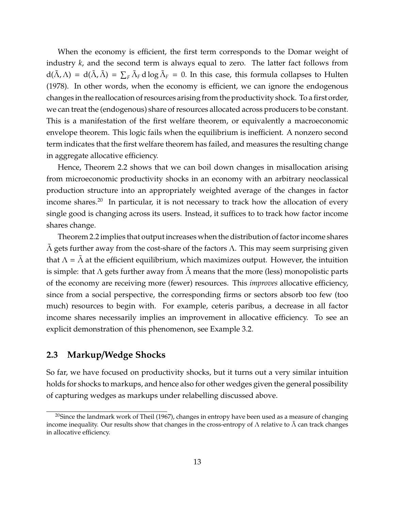When the economy is efficient, the first term corresponds to the Domar weight of industry *k*, and the second term is always equal to zero. The latter fact follows from  $d(\tilde{\Lambda}, \Lambda) = d(\tilde{\Lambda}, \tilde{\Lambda}) = \sum_F \tilde{\Lambda}_F d \log \tilde{\Lambda}_F = 0$ . In this case, this formula collapses to [Hulten](#page-71-0) [\(1978\)](#page-71-0). In other words, when the economy is efficient, we can ignore the endogenous changes in the reallocation of resources arising from the productivity shock. To a first order, we can treat the (endogenous) share of resources allocated across producers to be constant. This is a manifestation of the first welfare theorem, or equivalently a macroeconomic envelope theorem. This logic fails when the equilibrium is inefficient. A nonzero second term indicates that the first welfare theorem has failed, and measures the resulting change in aggregate allocative efficiency.

Hence, Theorem [2.2](#page-11-0) shows that we can boil down changes in misallocation arising from microeconomic productivity shocks in an economy with an arbitrary neoclassical production structure into an appropriately weighted average of the changes in factor income shares.<sup>[20](#page-0-0)</sup> In particular, it is not necessary to track how the allocation of every single good is changing across its users. Instead, it suffices to to track how factor income shares change.

Theorem [2.2](#page-11-0) implies that output increases when the distribution of factor income shares  $Λ$  gets further away from the cost-share of the factors  $Λ$ . This may seem surprising given that  $\Lambda = \Lambda$  at the efficient equilibrium, which maximizes output. However, the intuition is simple: that  $\Lambda$  gets further away from  $\Lambda$  means that the more (less) monopolistic parts of the economy are receiving more (fewer) resources. This *improves* allocative efficiency, since from a social perspective, the corresponding firms or sectors absorb too few (too much) resources to begin with. For example, ceteris paribus, a decrease in all factor income shares necessarily implies an improvement in allocative efficiency. To see an explicit demonstration of this phenomenon, see Example [3.2.](#page-28-0)

## **2.3 Markup**/**Wedge Shocks**

So far, we have focused on productivity shocks, but it turns out a very similar intuition holds for shocks to markups, and hence also for other wedges given the general possibility of capturing wedges as markups under relabelling discussed above.

 $20$ Since the landmark work of [Theil](#page-72-7) [\(1967\)](#page-72-7), changes in entropy have been used as a measure of changing income inequality. Our results show that changes in the cross-entropy of  $\Lambda$  relative to  $\Lambda$  can track changes in allocative efficiency.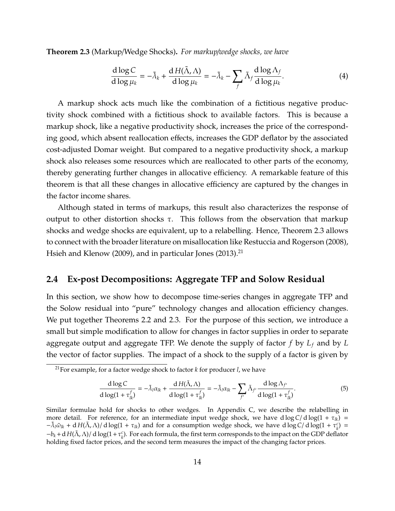<span id="page-13-0"></span>**Theorem 2.3** (Markup/Wedge Shocks)**.** *For markup*/*wedge shocks, we have*

$$
\frac{d \log C}{d \log \mu_k} = -\tilde{\lambda}_k + \frac{d H(\tilde{\lambda}, \Lambda)}{d \log \mu_k} = -\tilde{\lambda}_k - \sum_f \tilde{\Lambda}_f \frac{d \log \Lambda_f}{d \log \mu_k}.
$$
(4)

A markup shock acts much like the combination of a fictitious negative productivity shock combined with a fictitious shock to available factors. This is because a markup shock, like a negative productivity shock, increases the price of the corresponding good, which absent reallocation effects, increases the GDP deflator by the associated cost-adjusted Domar weight. But compared to a negative productivity shock, a markup shock also releases some resources which are reallocated to other parts of the economy, thereby generating further changes in allocative efficiency. A remarkable feature of this theorem is that all these changes in allocative efficiency are captured by the changes in the factor income shares.

Although stated in terms of markups, this result also characterizes the response of output to other distortion shocks  $\tau$ . This follows from the observation that markup shocks and wedge shocks are equivalent, up to a relabelling. Hence, Theorem [2.3](#page-13-0) allows to connect with the broader literature on misallocation like [Restuccia and Rogerson](#page-72-1) [\(2008\)](#page-72-1), [Hsieh and Klenow](#page-70-2) [\(2009\)](#page-70-2), and in particular [Jones](#page-71-2) [\(2013\)](#page-71-2).<sup>[21](#page-0-0)</sup>

#### <span id="page-13-1"></span>**2.4 Ex-post Decompositions: Aggregate TFP and Solow Residual**

In this section, we show how to decompose time-series changes in aggregate TFP and the Solow residual into "pure" technology changes and allocation efficiency changes. We put together Theorems [2.2](#page-11-0) and [2.3.](#page-13-0) For the purpose of this section, we introduce a small but simple modification to allow for changes in factor supplies in order to separate aggregate output and aggregate TFP. We denote the supply of factor *f* by *L<sup>f</sup>* and by *L* the vector of factor supplies. The impact of a shock to the supply of a factor is given by

$$
\frac{d \log C}{d \log(1 + \tau_{lk}^f)} = -\tilde{\lambda}_l \alpha_{lk} + \frac{d H(\tilde{\Lambda}, \Lambda)}{d \log(1 + \tau_{lk}^f)} = -\tilde{\lambda}_l \alpha_{lk} - \sum_{f'} \tilde{\Lambda}_{f'} \frac{d \log \Lambda_{f'}}{d \log(1 + \tau_{lk}^f)}.
$$
(5)

<sup>21</sup>For example, for a factor wedge shock to factor *k* for producer *l*, we have

Similar formulae hold for shocks to other wedges. In Appendix [C,](#page-96-0) we describe the relabelling in more detail. For reference, for an intermediate input wedge shock, we have d  $\log C/\mathrm{d}\log(1+\tau_{lk})$  =  $-\tilde{\lambda}_l \tilde{\omega}_{lk} + d H(\tilde{\Lambda}, \Lambda)/ d \log(1 + \tau_{lk})$  and for a consumption wedge shock, we have  $d \log C/d \log(1 + \tau_k^c) =$  $-b_k + d H(\tilde{\Lambda}, \Lambda)/ d \log(1 + \tau_k^c)$ . For each formula, the first term corresponds to the impact on the GDP deflator holding fixed factor prices, and the second term measures the impact of the changing factor prices.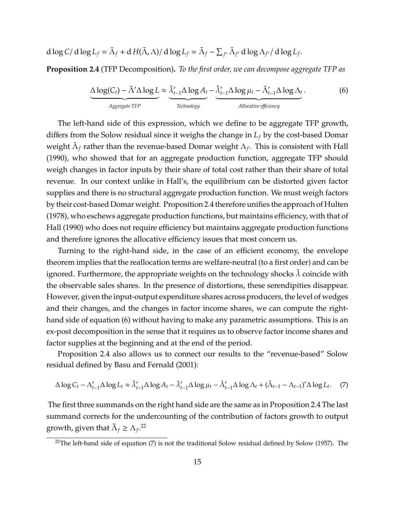$$
d \log C / d \log L_f = \tilde{\Lambda}_f + d H(\tilde{\Lambda}, \Lambda) / d \log L_f = \tilde{\Lambda}_f - \sum_{f'} \tilde{\Lambda}_{f'} d \log \Lambda_{f'}/ d \log L_f.
$$

<span id="page-14-0"></span>**Proposition 2.4** (TFP Decomposition)**.** *To the first order, we can decompose aggregate TFP as*

<span id="page-14-1"></span>
$$
\underbrace{\Delta \log(C_t) - \tilde{\Lambda}' \Delta \log L}_{Aggregate\ TFP} \approx \underbrace{\tilde{\lambda}'_{t-1} \Delta \log A_t}_{Technology} - \underbrace{\tilde{\lambda}'_{t-1} \Delta \log \mu_t - \tilde{\Lambda}'_{t-1} \Delta \log \Lambda_t}_{Allocation\ efficiency}.
$$
\n(6)

The left-hand side of this expression, which we define to be aggregate TFP growth, differs from the Solow residual since it weighs the change in *L<sup>f</sup>* by the cost-based Domar weight  $\tilde{\Lambda}_f$  rather than the revenue-based Domar weight  $\Lambda_f$ . This is consistent with [Hall](#page-70-8) [\(1990\)](#page-70-8), who showed that for an aggregate production function, aggregate TFP should weigh changes in factor inputs by their share of total cost rather than their share of total revenue. In our context unlike in Hall's, the equilibrium can be distorted given factor supplies and there is no structural aggregate production function. We must weigh factors by their cost-based Domar weight. Proposition [2.4](#page-14-0) therefore unifies the approach of [Hulten](#page-71-0) [\(1978\)](#page-71-0), who eschews aggregate production functions, but maintains efficiency, with that of [Hall](#page-70-8) [\(1990\)](#page-70-8) who does not require efficiency but maintains aggregate production functions and therefore ignores the allocative efficiency issues that most concern us.

Turning to the right-hand side, in the case of an efficient economy, the envelope theorem implies that the reallocation terms are welfare-neutral (to a first order) and can be ignored. Furthermore, the appropriate weights on the technology shocks  $\lambda$  coincide with the observable sales shares. In the presence of distortions, these serendipities disappear. However, given the input-output expenditure shares across producers, the level of wedges and their changes, and the changes in factor income shares, we can compute the righthand side of equation [\(6\)](#page-14-1) without having to make any parametric assumptions. This is an ex-post decomposition in the sense that it requires us to observe factor income shares and factor supplies at the beginning and at the end of the period.

Proposition [2.4](#page-14-0) also allows us to connect our results to the "revenue-based" Solow residual defined by [Basu and Fernald](#page-68-9) [\(2001\)](#page-68-9):

<span id="page-14-2"></span>
$$
\Delta \log C_t - \Lambda'_{t-1} \Delta \log L_t \approx \tilde{\lambda}'_{t-1} \Delta \log A_t - \tilde{\lambda}'_{t-1} \Delta \log \mu_t - \tilde{\Lambda}'_{t-1} \Delta \log \Lambda_t + (\tilde{\Lambda}_{t-1} - \Lambda_{t-1})' \Delta \log L_t. \tag{7}
$$

The first three summands on the right hand side are the same as in Proposition [2.4](#page-14-0) The last summand corrects for the undercounting of the contribution of factors growth to output growth, given that  $\tilde{\Lambda}_f \geq \Lambda_f$ .<sup>[22](#page-0-0)</sup>

 $22$ The left-hand side of equation [\(7\)](#page-14-2) is not the traditional [Solow](#page-72-0) residual defined by Solow [\(1957\)](#page-72-0). The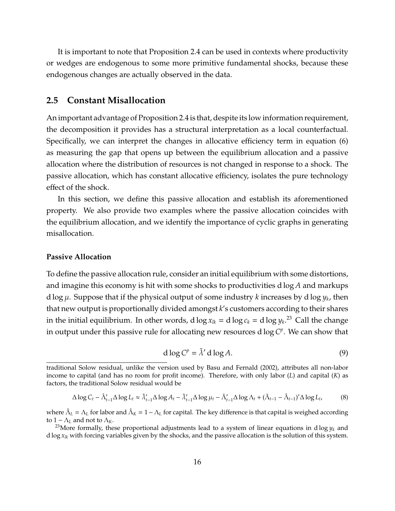It is important to note that Proposition [2.4](#page-14-0) can be used in contexts where productivity or wedges are endogenous to some more primitive fundamental shocks, because these endogenous changes are actually observed in the data.

#### **2.5 Constant Misallocation**

An important advantage of Proposition [2.4](#page-14-0) is that, despite its low information requirement, the decomposition it provides has a structural interpretation as a local counterfactual. Specifically, we can interpret the changes in allocative efficiency term in equation [\(6\)](#page-14-1) as measuring the gap that opens up between the equilibrium allocation and a passive allocation where the distribution of resources is not changed in response to a shock. The passive allocation, which has constant allocative efficiency, isolates the pure technology effect of the shock.

In this section, we define this passive allocation and establish its aforementioned property. We also provide two examples where the passive allocation coincides with the equilibrium allocation, and we identify the importance of cyclic graphs in generating misallocation.

#### **Passive Allocation**

To define the passive allocation rule, consider an initial equilibrium with some distortions, and imagine this economy is hit with some shocks to productivities d log *A* and markups d log µ. Suppose that if the physical output of some industry *k* increases by d log *y<sup>k</sup>* , then that new output is proportionally divided amongst *k*'s customers according to their shares in the initial equilibrium. In other words, d  $\log x_{lk} = \mathrm{d} \log c_k = \mathrm{d} \log y_k.^{23}$  $\log x_{lk} = \mathrm{d} \log c_k = \mathrm{d} \log y_k.^{23}$  $\log x_{lk} = \mathrm{d} \log c_k = \mathrm{d} \log y_k.^{23}$  Call the change in output under this passive rule for allocating new resources  $d \log C^p$ . We can show that

$$
d \log C^p = \tilde{\lambda}' d \log A. \tag{9}
$$

$$
\Delta \log C_t - \hat{\Lambda}'_{t-1} \Delta \log L_t \approx \tilde{\lambda}'_{t-1} \Delta \log A_t - \tilde{\lambda}'_{t-1} \Delta \log \mu_t - \tilde{\Lambda}'_{t-1} \Delta \log \Lambda_t + (\tilde{\Lambda}_{t-1} - \hat{\Lambda}_{t-1})' \Delta \log L_t,\tag{8}
$$

where  $\hat{\Lambda}_L=\Lambda_L$  for labor and  $\hat{\Lambda}_K=1-\Lambda_L$  for capital. The key difference is that capital is weighed according to  $1 - \Lambda_L$  and not to  $\Lambda_K$ .

traditional Solow residual, unlike the version used by [Basu and Fernald](#page-68-1) [\(2002\)](#page-68-1), attributes all non-labor income to capital (and has no room for profit income). Therefore, with only labor (*L*) and capital (*K*) as factors, the traditional Solow residual would be

<sup>&</sup>lt;sup>23</sup>More formally, these proportional adjustments lead to a system of linear equations in d log  $y_k$  and d  $\log x_{ik}$  with forcing variables given by the shocks, and the passive allocation is the solution of this system.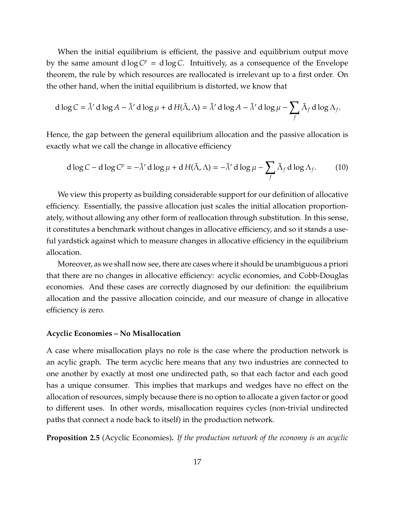When the initial equilibrium is efficient, the passive and equilibrium output move by the same amount  $d \log C^p = d \log C$ . Intuitively, as a consequence of the Envelope theorem, the rule by which resources are reallocated is irrelevant up to a first order. On the other hand, when the initial equilibrium is distorted, we know that

$$
d \log C = \tilde{\lambda}' d \log A - \tilde{\lambda}' d \log \mu + d H(\tilde{\Lambda}, \Lambda) = \tilde{\lambda}' d \log A - \tilde{\lambda}' d \log \mu - \sum_{f} \tilde{\Lambda}_f d \log \Lambda_f.
$$

Hence, the gap between the general equilibrium allocation and the passive allocation is exactly what we call the change in allocative efficiency

$$
d \log C - d \log C^p = -\tilde{\lambda}' d \log \mu + d H(\tilde{\Lambda}, \Lambda) = -\tilde{\lambda}' d \log \mu - \sum_f \tilde{\Lambda}_f d \log \Lambda_f.
$$
 (10)

We view this property as building considerable support for our definition of allocative efficiency. Essentially, the passive allocation just scales the initial allocation proportionately, without allowing any other form of reallocation through substitution. In this sense, it constitutes a benchmark without changes in allocative efficiency, and so it stands a useful yardstick against which to measure changes in allocative efficiency in the equilibrium allocation.

Moreover, as we shall now see, there are cases where it should be unambiguous a priori that there are no changes in allocative efficiency: acyclic economies, and Cobb-Douglas economies. And these cases are correctly diagnosed by our definition: the equilibrium allocation and the passive allocation coincide, and our measure of change in allocative efficiency is zero.

#### **Acyclic Economies – No Misallocation**

A case where misallocation plays no role is the case where the production network is an acylic graph. The term acyclic here means that any two industries are connected to one another by exactly at most one undirected path, so that each factor and each good has a unique consumer. This implies that markups and wedges have no effect on the allocation of resources, simply because there is no option to allocate a given factor or good to different uses. In other words, misallocation requires cycles (non-trivial undirected paths that connect a node back to itself) in the production network.

**Proposition 2.5** (Acyclic Economies)**.** *If the production network of the economy is an acyclic*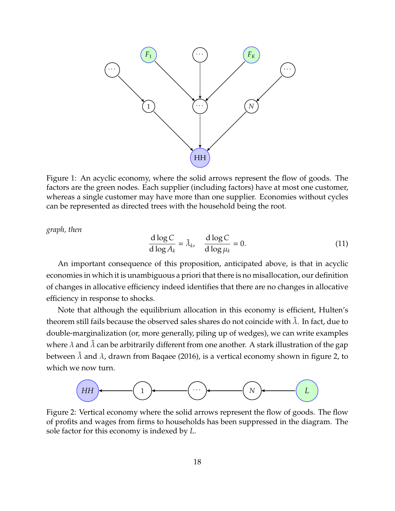

Figure 1: An acyclic economy, where the solid arrows represent the flow of goods. The factors are the green nodes. Each supplier (including factors) have at most one customer, whereas a single customer may have more than one supplier. Economies without cycles can be represented as directed trees with the household being the root.

*graph, then*

$$
\frac{\mathrm{d}\log C}{\mathrm{d}\log A_k} = \tilde{\lambda}_k, \quad \frac{\mathrm{d}\log C}{\mathrm{d}\log\mu_k} = 0. \tag{11}
$$

An important consequence of this proposition, anticipated above, is that in acyclic economies in which it is unambiguous a priori that there is no misallocation, our definition of changes in allocative efficiency indeed identifies that there are no changes in allocative efficiency in response to shocks.

Note that although the equilibrium allocation in this economy is efficient, Hulten's theorem still fails because the observed sales shares do not coincide with  $\lambda$ . In fact, due to double-marginalization (or, more generally, piling up of wedges), we can write examples where  $\lambda$  and  $\bar{\lambda}$  can be arbitrarily different from one another. A stark illustration of the gap between  $\lambda$  and  $\lambda$ , drawn from [Baqaee](#page-67-2) [\(2016\)](#page-67-2), is a vertical economy shown in figure [2,](#page-17-0) to which we now turn.

<span id="page-17-0"></span>

Figure 2: Vertical economy where the solid arrows represent the flow of goods. The flow of profits and wages from firms to households has been suppressed in the diagram. The sole factor for this economy is indexed by *L*.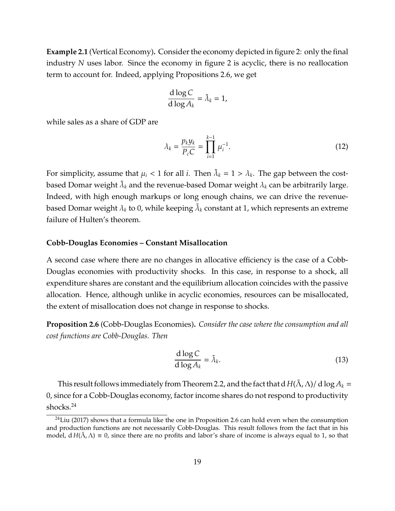**Example 2.1** (Vertical Economy)**.** Consider the economy depicted in figure [2:](#page-17-0) only the final industry *N* uses labor. Since the economy in figure [2](#page-17-0) is acyclic, there is no reallocation term to account for. Indeed, applying Propositions [2.6,](#page-18-0) we get

$$
\frac{\mathrm{d}\log C}{\mathrm{d}\log A_k} = \tilde{\lambda}_k = 1,
$$

while sales as a share of GDP are

$$
\lambda_k = \frac{p_k y_k}{P_c C} = \prod_{i=1}^{k-1} \mu_i^{-1}.
$$
\n(12)

For simplicity, assume that  $\mu_i < 1$  for all *i*. Then  $\tilde{\lambda}_k = 1 > \lambda_k$ . The gap between the costbased Domar weight  $\tilde{\lambda}_k$  and the revenue-based Domar weight  $\lambda_k$  can be arbitrarily large. Indeed, with high enough markups or long enough chains, we can drive the revenuebased Domar weight  $\lambda_k$  to 0, while keeping  $\tilde{\lambda}_k$  constant at 1, which represents an extreme failure of Hulten's theorem.

#### **Cobb-Douglas Economies – Constant Misallocation**

A second case where there are no changes in allocative efficiency is the case of a Cobb-Douglas economies with productivity shocks. In this case, in response to a shock, all expenditure shares are constant and the equilibrium allocation coincides with the passive allocation. Hence, although unlike in acyclic economies, resources can be misallocated, the extent of misallocation does not change in response to shocks.

<span id="page-18-0"></span>**Proposition 2.6** (Cobb-Douglas Economies)**.** *Consider the case where the consumption and all cost functions are Cobb-Douglas. Then*

$$
\frac{\mathrm{d}\log C}{\mathrm{d}\log A_k} = \tilde{\lambda}_k. \tag{13}
$$

This result follows immediately from Theorem [2.2,](#page-11-0) and the fact that d  $H(\Lambda, \Lambda)/d\log A_k =$ 0, since for a Cobb-Douglas economy, factor income shares do not respond to productivity shocks.[24](#page-0-0)

 $24$ [Liu](#page-71-3) [\(2017\)](#page-71-3) shows that a formula like the one in Proposition [2.6](#page-18-0) can hold even when the consumption and production functions are not necessarily Cobb-Douglas. This result follows from the fact that in his model,  $d H(\tilde{\Lambda}, \Lambda) \equiv 0$ , since there are no profits and labor's share of income is always equal to 1, so that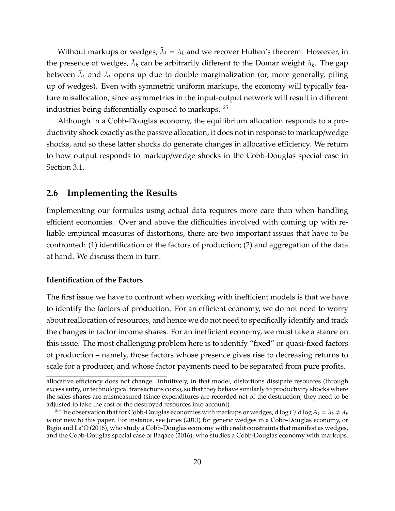Without markups or wedges,  $\tilde{\lambda}_k = \lambda_k$  and we recover Hulten's theorem. However, in the presence of wedges,  $\tilde{\lambda}_k$  can be arbitrarily different to the Domar weight  $\lambda_k$ . The gap between  $\tilde{\lambda}_k$  and  $\lambda_k$  opens up due to double-marginalization (or, more generally, piling up of wedges). Even with symmetric uniform markups, the economy will typically feature misallocation, since asymmetries in the input-output network will result in different industries being differentially exposed to markups. [25](#page-0-0)

Although in a Cobb-Douglas economy, the equilibrium allocation responds to a productivity shock exactly as the passive allocation, it does not in response to markup/wedge shocks, and so these latter shocks do generate changes in allocative efficiency. We return to how output responds to markup/wedge shocks in the Cobb-Douglas special case in Section [3.1.](#page-24-1)

#### **2.6 Implementing the Results**

Implementing our formulas using actual data requires more care than when handling efficient economies. Over and above the difficulties involved with coming up with reliable empirical measures of distortions, there are two important issues that have to be confronted: (1) identification of the factors of production; (2) and aggregation of the data at hand. We discuss them in turn.

#### **Identification of the Factors**

The first issue we have to confront when working with inefficient models is that we have to identify the factors of production. For an efficient economy, we do not need to worry about reallocation of resources, and hence we do not need to specifically identify and track the changes in factor income shares. For an inefficient economy, we must take a stance on this issue. The most challenging problem here is to identify "fixed" or quasi-fixed factors of production – namely, those factors whose presence gives rise to decreasing returns to scale for a producer, and whose factor payments need to be separated from pure profits.

allocative efficiency does not change. Intuitively, in that model, distortions dissipate resources (through excess entry, or technological transactions costs), so that they behave similarly to productivity shocks where the sales shares are mismeasured (since expenditures are recorded net of the destruction, they need to be adjusted to take the cost of the destroyed resources into account).

<sup>&</sup>lt;sup>25</sup> The observation that for Cobb-Douglas economies with markups or wedges, d log C/ d log  $A_k = \tilde{\lambda}_k \neq \lambda_k$ is not new to this paper. For instance, see [Jones](#page-71-2) [\(2013\)](#page-71-2) for generic wedges in a Cobb-Douglas economy, or [Bigio and La'O](#page-68-2) [\(2016\)](#page-68-2), who study a Cobb-Douglas economy with credit constraints that manifest as wedges, and the Cobb-Douglas special case of [Baqaee](#page-67-2) [\(2016\)](#page-67-2), who studies a Cobb-Douglas economy with markups.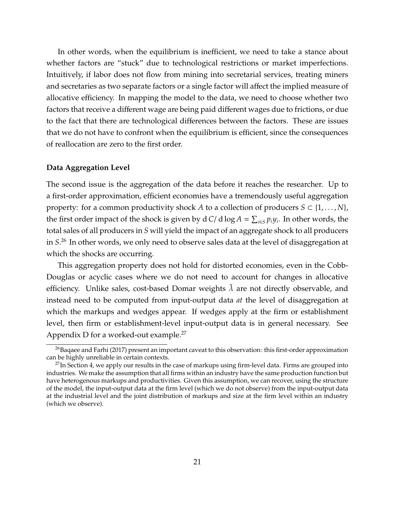In other words, when the equilibrium is inefficient, we need to take a stance about whether factors are "stuck" due to technological restrictions or market imperfections. Intuitively, if labor does not flow from mining into secretarial services, treating miners and secretaries as two separate factors or a single factor will affect the implied measure of allocative efficiency. In mapping the model to the data, we need to choose whether two factors that receive a different wage are being paid different wages due to frictions, or due to the fact that there are technological differences between the factors. These are issues that we do not have to confront when the equilibrium is efficient, since the consequences of reallocation are zero to the first order.

#### **Data Aggregation Level**

The second issue is the aggregation of the data before it reaches the researcher. Up to a first-order approximation, efficient economies have a tremendously useful aggregation property: for a common productivity shock *A* to a collection of producers  $S \subset \{1, \ldots, N\}$ , the first order impact of the shock is given by d *C*/d  $\log A = \sum_{i \in S} p_i y_i$ . In other words, the total sales of all producers in *S* will yield the impact of an aggregate shock to all producers in *S*. [26](#page-0-0) In other words, we only need to observe sales data at the level of disaggregation at which the shocks are occurring.

This aggregation property does not hold for distorted economies, even in the Cobb-Douglas or acyclic cases where we do not need to account for changes in allocative efficiency. Unlike sales, cost-based Domar weights  $\lambda$  are not directly observable, and instead need to be computed from input-output data *at* the level of disaggregation at which the markups and wedges appear. If wedges apply at the firm or establishment level, then firm or establishment-level input-output data is in general necessary. See Appendix [D](#page-98-0) for a worked-out example.[27](#page-0-0)

<sup>&</sup>lt;sup>26</sup>[Baqaee and Farhi](#page-67-1) [\(2017\)](#page-67-1) present an important caveat to this observation: this first-order approximation can be highly unreliable in certain contexts.

 $27$ In Section [4,](#page-39-0) we apply our results in the case of markups using firm-level data. Firms are grouped into industries. We make the assumption that all firms within an industry have the same production function but have heterogenous markups and productivities. Given this assumption, we can recover, using the structure of the model, the input-output data at the firm level (which we do not observe) from the input-output data at the industrial level and the joint distribution of markups and size at the firm level within an industry (which we observe).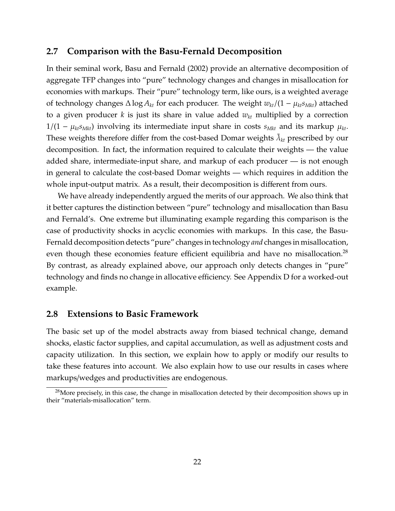#### <span id="page-21-0"></span>**2.7 Comparison with the Basu-Fernald Decomposition**

In their seminal work, [Basu and Fernald](#page-68-1) [\(2002\)](#page-68-1) provide an alternative decomposition of aggregate TFP changes into "pure" technology changes and changes in misallocation for economies with markups. Their "pure" technology term, like ours, is a weighted average of technology changes  $\Delta \log A_{kt}$  for each producer. The weight  $w_{kt}/(1 - \mu_{kt} s_{Mkt})$  attached to a given producer *k* is just its share in value added *wkt* multiplied by a correction  $1/(1 - \mu_{kt} s_{Mkt})$  involving its intermediate input share in costs  $s_{Mkt}$  and its markup  $\mu_{kt}$ . These weights therefore differ from the cost-based Domar weights  $\tilde{\lambda}_{kt}$  prescribed by our decomposition. In fact, the information required to calculate their weights — the value added share, intermediate-input share, and markup of each producer — is not enough in general to calculate the cost-based Domar weights — which requires in addition the whole input-output matrix. As a result, their decomposition is different from ours.

We have already independently argued the merits of our approach. We also think that it better captures the distinction between "pure" technology and misallocation than Basu and Fernald's. One extreme but illuminating example regarding this comparison is the case of productivity shocks in acyclic economies with markups. In this case, the Basu-Fernald decomposition detects "pure" changes in technology *and* changes in misallocation, even though these economies feature efficient equilibria and have no misallocation.<sup>[28](#page-0-0)</sup> By contrast, as already explained above, our approach only detects changes in "pure" technology and finds no change in allocative efficiency. See Appendix [D](#page-98-0) for a worked-out example.

#### **2.8 Extensions to Basic Framework**

The basic set up of the model abstracts away from biased technical change, demand shocks, elastic factor supplies, and capital accumulation, as well as adjustment costs and capacity utilization. In this section, we explain how to apply or modify our results to take these features into account. We also explain how to use our results in cases where markups/wedges and productivities are endogenous.

 $^{28}$ More precisely, in this case, the change in misallocation detected by their decomposition shows up in their "materials-misallocation" term.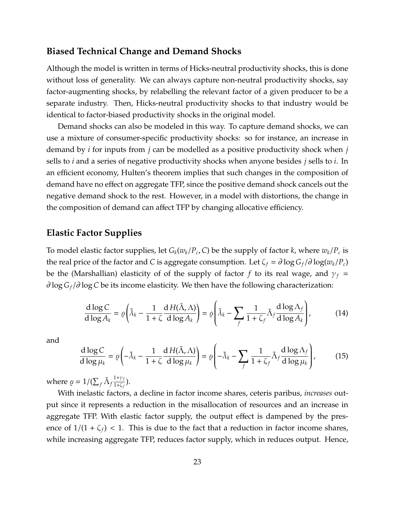# **Biased Technical Change and Demand Shocks**

Although the model is written in terms of Hicks-neutral productivity shocks, this is done without loss of generality. We can always capture non-neutral productivity shocks, say factor-augmenting shocks, by relabelling the relevant factor of a given producer to be a separate industry. Then, Hicks-neutral productivity shocks to that industry would be identical to factor-biased productivity shocks in the original model.

Demand shocks can also be modeled in this way. To capture demand shocks, we can use a mixture of consumer-specific productivity shocks: so for instance, an increase in demand by *i* for inputs from *j* can be modelled as a positive productivity shock when *j* sells to *i* and a series of negative productivity shocks when anyone besides *j* sells to *i*. In an efficient economy, Hulten's theorem implies that such changes in the composition of demand have no effect on aggregate TFP, since the positive demand shock cancels out the negative demand shock to the rest. However, in a model with distortions, the change in the composition of demand can affect TFP by changing allocative efficiency.

## **Elastic Factor Supplies**

To model elastic factor supplies, let  $G_k(w_k/P_c, C)$  be the supply of factor  $k$ , where  $w_k/P_c$  is the real price of the factor and *C* is aggregate consumption. Let  $\zeta_f = \partial \log G_f / \partial \log(w_k / P_c)$ be the (Marshallian) elasticity of of the supply of factor *f* to its real wage, and  $\gamma_f$  = ∂ log *G<sup>f</sup>* /∂ log*C* be its income elasticity. We then have the following characterization:

<span id="page-22-0"></span>
$$
\frac{d \log C}{d \log A_k} = \varrho \left( \tilde{\lambda}_k - \frac{1}{1+\zeta} \frac{d H(\tilde{\Lambda}, \Lambda)}{d \log A_k} \right) = \varrho \left( \tilde{\lambda}_k - \sum_f \frac{1}{1+\zeta_f} \tilde{\Lambda}_f \frac{d \log \Lambda_f}{d \log A_k} \right),\tag{14}
$$

and

$$
\frac{d \log C}{d \log \mu_k} = \varrho \left( -\tilde{\lambda}_k - \frac{1}{1+\zeta} \frac{d H(\tilde{\lambda}, \Lambda)}{d \log \mu_k} \right) = \varrho \left( -\tilde{\lambda}_k - \sum_f \frac{1}{1+\zeta_f} \tilde{\lambda}_f \frac{d \log \Lambda_f}{d \log \mu_k} \right),\tag{15}
$$

where  $\rho = 1/(\sum_f \tilde{\Lambda}_f)$ 1+γ*<sup>f</sup>*  $\frac{1+y_f}{1+\zeta_f}$ ).

With inelastic factors, a decline in factor income shares, ceteris paribus, *increases* output since it represents a reduction in the misallocation of resources and an increase in aggregate TFP. With elastic factor supply, the output effect is dampened by the presence of  $1/(1 + \zeta_f)$  < 1. This is due to the fact that a reduction in factor income shares, while increasing aggregate TFP, reduces factor supply, which in reduces output. Hence,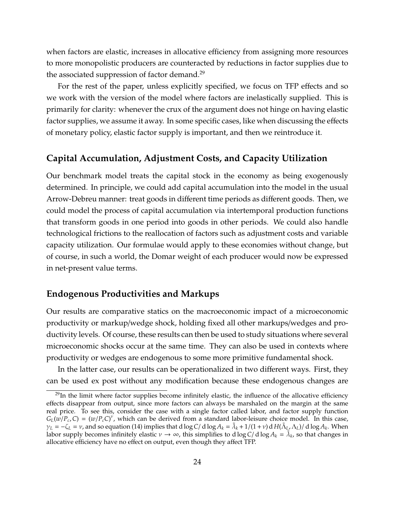when factors are elastic, increases in allocative efficiency from assigning more resources to more monopolistic producers are counteracted by reductions in factor supplies due to the associated suppression of factor demand.[29](#page-0-0)

For the rest of the paper, unless explicitly specified, we focus on TFP effects and so we work with the version of the model where factors are inelastically supplied. This is primarily for clarity: whenever the crux of the argument does not hinge on having elastic factor supplies, we assume it away. In some specific cases, like when discussing the effects of monetary policy, elastic factor supply is important, and then we reintroduce it.

# **Capital Accumulation, Adjustment Costs, and Capacity Utilization**

Our benchmark model treats the capital stock in the economy as being exogenously determined. In principle, we could add capital accumulation into the model in the usual Arrow-Debreu manner: treat goods in different time periods as different goods. Then, we could model the process of capital accumulation via intertemporal production functions that transform goods in one period into goods in other periods. We could also handle technological frictions to the reallocation of factors such as adjustment costs and variable capacity utilization. Our formulae would apply to these economies without change, but of course, in such a world, the Domar weight of each producer would now be expressed in net-present value terms.

## **Endogenous Productivities and Markups**

Our results are comparative statics on the macroeconomic impact of a microeconomic productivity or markup/wedge shock, holding fixed all other markups/wedges and productivity levels. Of course, these results can then be used to study situations where several microeconomic shocks occur at the same time. They can also be used in contexts where productivity or wedges are endogenous to some more primitive fundamental shock.

In the latter case, our results can be operationalized in two different ways. First, they can be used ex post without any modification because these endogenous changes are

 $^{29}$ In the limit where factor supplies become infinitely elastic, the influence of the allocative efficiency effects disappear from output, since more factors can always be marshaled on the margin at the same real price. To see this, consider the case with a single factor called labor, and factor supply function  $G_L(w/P_c, C) = (w/P_c C)^{\nu}$ , which can be derived from a standard labor-leisure choice model. In this case,  $\gamma_L = -\zeta_L = \nu$ , and so equation [\(14\)](#page-22-0) implies that d log *C*/ d log  $A_k = \tilde{\lambda}_k + 1/(1+\nu)$  d  $H(\tilde{\Lambda}_L, \Lambda_L)$ / d log  $A_k$ . When labor supply becomes infinitely elastic  $v \to \infty$ , this simplifies to  $d \log C / d \log A_k = \tilde{\lambda}_k$ , so that changes in allocative efficiency have no effect on output, even though they affect TFP.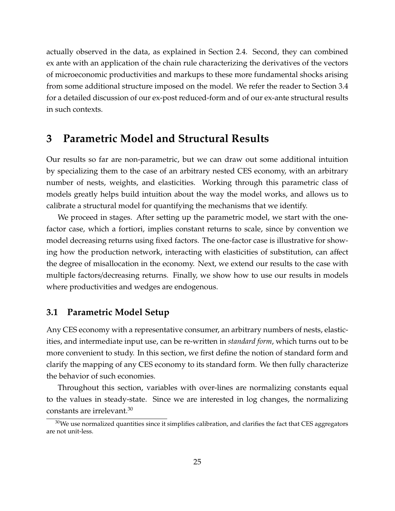actually observed in the data, as explained in Section [2.4.](#page-13-1) Second, they can combined ex ante with an application of the chain rule characterizing the derivatives of the vectors of microeconomic productivities and markups to these more fundamental shocks arising from some additional structure imposed on the model. We refer the reader to Section [3.4](#page-38-0) for a detailed discussion of our ex-post reduced-form and of our ex-ante structural results in such contexts.

# <span id="page-24-0"></span>**3 Parametric Model and Structural Results**

Our results so far are non-parametric, but we can draw out some additional intuition by specializing them to the case of an arbitrary nested CES economy, with an arbitrary number of nests, weights, and elasticities. Working through this parametric class of models greatly helps build intuition about the way the model works, and allows us to calibrate a structural model for quantifying the mechanisms that we identify.

We proceed in stages. After setting up the parametric model, we start with the onefactor case, which a fortiori, implies constant returns to scale, since by convention we model decreasing returns using fixed factors. The one-factor case is illustrative for showing how the production network, interacting with elasticities of substitution, can affect the degree of misallocation in the economy. Next, we extend our results to the case with multiple factors/decreasing returns. Finally, we show how to use our results in models where productivities and wedges are endogenous.

## <span id="page-24-1"></span>**3.1 Parametric Model Setup**

Any CES economy with a representative consumer, an arbitrary numbers of nests, elasticities, and intermediate input use, can be re-written in *standard form*, which turns out to be more convenient to study. In this section, we first define the notion of standard form and clarify the mapping of any CES economy to its standard form. We then fully characterize the behavior of such economies.

Throughout this section, variables with over-lines are normalizing constants equal to the values in steady-state. Since we are interested in log changes, the normalizing constants are irrelevant.<sup>[30](#page-0-0)</sup>

 $30$ We use normalized quantities since it simplifies calibration, and clarifies the fact that CES aggregators are not unit-less.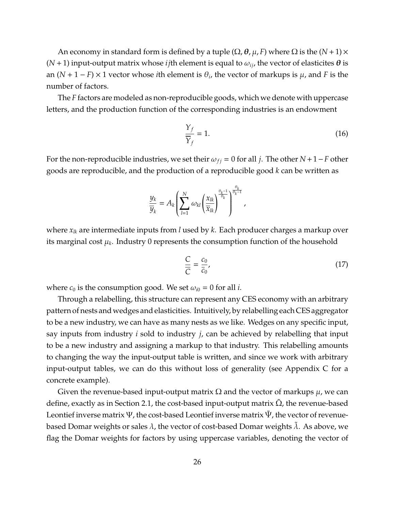An economy in standard form is defined by a tuple ( $\Omega$ ,  $\theta$ ,  $\mu$ ,  $F$ ) where  $\Omega$  is the ( $N+1$ )  $\times$  $(N + 1)$  input-output matrix whose *i* jth element is equal to  $\omega_{ij}$ , the vector of elasticites  $\theta$  is an  $(N + 1 - F) \times 1$  vector whose *i*th element is  $\theta_i$ , the vector of markups is  $\mu$ , and *F* is the number of factors.

The *F* factors are modeled as non-reproducible goods, which we denote with uppercase letters, and the production function of the corresponding industries is an endowment

$$
\frac{Y_f}{\overline{Y}_f} = 1.
$$
\n(16)

For the non-reproducible industries, we set their  $\omega_{fi} = 0$  for all *j*. The other *N* + 1 − *F* other goods are reproducible, and the production of a reproducible good *k* can be written as

$$
\frac{y_k}{\overline{y}_k} = A_k \left( \sum_{l=1}^N \omega_{kl} \left( \frac{x_{lk}}{\overline{x}_{lk}} \right)^{\frac{\theta_k - 1}{\theta_k}} \right)^{\frac{\theta_k}{\theta_k - 1}},
$$

where *xlk* are intermediate inputs from *l* used by *k*. Each producer charges a markup over its marginal cost  $\mu_k.$  Industry 0 represents the consumption function of the household

$$
\frac{C}{C} = \frac{c_0}{\bar{c}_0},\tag{17}
$$

where  $c_0$  is the consumption good. We set  $\omega_{i0} = 0$  for all *i*.

Through a relabelling, this structure can represent any CES economy with an arbitrary pattern of nests and wedges and elasticities. Intuitively, by relabelling each CES aggregator to be a new industry, we can have as many nests as we like. Wedges on any specific input, say inputs from industry *i* sold to industry *j*, can be achieved by relabelling that input to be a new industry and assigning a markup to that industry. This relabelling amounts to changing the way the input-output table is written, and since we work with arbitrary input-output tables, we can do this without loss of generality (see Appendix [C](#page-96-0) for a concrete example).

Given the revenue-based input-output matrix  $\Omega$  and the vector of markups  $\mu$ , we can define, exactly as in Section [2.1,](#page-6-1) the cost-based input-output matrix  $\Omega$ , the revenue-based Leontief inverse matrix  $\Psi$ , the cost-based Leontief inverse matrix  $\Psi$ , the vector of revenuebased Domar weights or sales  $\lambda$ , the vector of cost-based Domar weights  $\lambda$ . As above, we flag the Domar weights for factors by using uppercase variables, denoting the vector of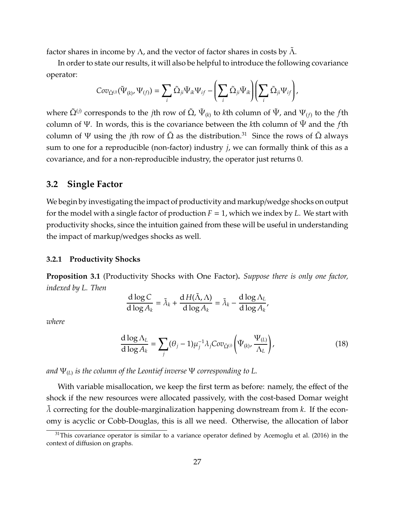factor shares in income by  $\Lambda$ , and the vector of factor shares in costs by  $\Lambda$ .

In order to state our results, it will also be helpful to introduce the following covariance operator:

<span id="page-26-0"></span>
$$
Cov_{\tilde{\Omega}^{(j)}}(\tilde{\Psi}_{(k)},\Psi_{(f)})=\sum_i\tilde{\Omega}_{ji}\tilde{\Psi}_{ik}\Psi_{if}-\left(\sum_i\tilde{\Omega}_{ji}\tilde{\Psi}_{ik}\right)\left(\sum_i\tilde{\Omega}_{ji}\Psi_{if}\right),\,
$$

where  $\tilde{\Omega}^{(j)}$  corresponds to the *j*th row of  $\tilde{\Omega}$ ,  $\tilde{\Psi}_{(k)}$  to *k*th column of  $\tilde{\Psi}$ , and  $\Psi_{(f)}$  to the *f*th column of Ψ. In words, this is the covariance between the *k*th column of Ψ˜ and the *f*th column of Ψ using the *j*th row of  $\tilde{\Omega}$  as the distribution.<sup>[31](#page-0-0)</sup> Since the rows of  $\tilde{\Omega}$  always sum to one for a reproducible (non-factor) industry *j*, we can formally think of this as a covariance, and for a non-reproducible industry, the operator just returns 0.

#### **3.2 Single Factor**

We begin by investigating the impact of productivity and markup/wedge shocks on output for the model with a single factor of production  $F = 1$ , which we index by L. We start with productivity shocks, since the intuition gained from these will be useful in understanding the impact of markup/wedges shocks as well.

#### **3.2.1 Productivity Shocks**

<span id="page-26-1"></span>**Proposition 3.1** (Productivity Shocks with One Factor)**.** *Suppose there is only one factor, indexed by L. Then*

$$
\frac{d \log C}{d \log A_k} = \tilde{\lambda}_k + \frac{d H(\tilde{\Lambda}, \Lambda)}{d \log A_k} = \tilde{\lambda}_k - \frac{d \log \Lambda_L}{d \log A_k},
$$

*where*

$$
\frac{\mathrm{d}\log\Lambda_L}{\mathrm{d}\log\Lambda_k} = \sum_j (\theta_j - 1)\mu_j^{-1} \lambda_j Cov_{\tilde{\Omega}^{(j)}} \left(\tilde{\Psi}_{(k)}, \frac{\Psi_{(L)}}{\Lambda_L}\right),\tag{18}
$$

*and* Ψ(*L*) *is the column of the Leontief inverse* Ψ *corresponding to L.*

With variable misallocation, we keep the first term as before: namely, the effect of the shock if the new resources were allocated passively, with the cost-based Domar weight  $\lambda$  correcting for the double-marginalization happening downstream from  $k$ . If the economy is acyclic or Cobb-Douglas, this is all we need. Otherwise, the allocation of labor

 $31$ This covariance operator is similar to a variance operator defined by [Acemoglu et al.](#page-67-9) [\(2016\)](#page-67-9) in the context of diffusion on graphs.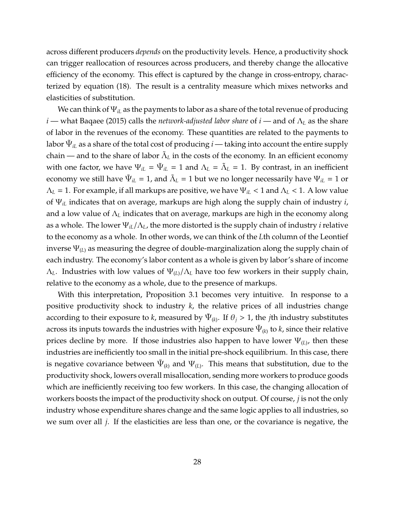across different producers *depends* on the productivity levels. Hence, a productivity shock can trigger reallocation of resources across producers, and thereby change the allocative efficiency of the economy. This effect is captured by the change in cross-entropy, characterized by equation [\(18\)](#page-26-0). The result is a centrality measure which mixes networks and elasticities of substitution.

We can think of Ψ*iL* as the payments to labor as a share of the total revenue of producing *i* — what [Baqaee](#page-67-10) [\(2015\)](#page-67-10) calls the *network-adjusted labor share* of *i* — and of Λ*<sup>L</sup>* as the share of labor in the revenues of the economy. These quantities are related to the payments to labor  $\tilde{\Psi}_{iL}$  as a share of the total cost of producing  $i$  — taking into account the entire supply chain — and to the share of labor  $\tilde{\Lambda}_L$  in the costs of the economy. In an efficient economy with one factor, we have  $\Psi_{iL} = \tilde{\Psi}_{iL} = 1$  and  $\Lambda_L = \tilde{\Lambda}_L = 1$ . By contrast, in an inefficient economy we still have  $\Psi_{iL}$  = 1, and  $\tilde\Lambda_L$  = 1 but we no longer necessarily have  $\Psi_{iL}$  = 1 or Λ*<sup>L</sup>* = 1. For example, if all markups are positive, we have Ψ*iL* < 1 and Λ*<sup>L</sup>* < 1. A low value of Ψ*iL* indicates that on average, markups are high along the supply chain of industry *i*, and a low value of Λ*<sup>L</sup>* indicates that on average, markups are high in the economy along as a whole. The lower Ψ*iL*/Λ*L*, the more distorted is the supply chain of industry *i* relative to the economy as a whole. In other words, we can think of the *L*th column of the Leontief inverse Ψ(*L*) as measuring the degree of double-marginalization along the supply chain of each industry. The economy's labor content as a whole is given by labor's share of income  $Λ$ <sub>*L*</sub>. Industries with low values of  $Ψ$ <sub>(*L*)</sub>/ $Λ$ <sub>*L*</sub> have too few workers in their supply chain, relative to the economy as a whole, due to the presence of markups.

With this interpretation, Proposition [3.1](#page-26-1) becomes very intuitive. In response to a positive productivity shock to industry *k*, the relative prices of all industries change according to their exposure to *k*, measured by  $\Psi_{(k)}$ . If  $\theta_j > 1$ , the *j*th industry substitutes across its inputs towards the industries with higher exposure  $\tilde{\Psi}_{(\boldsymbol{k})}$  to  $\boldsymbol{k}$ , since their relative prices decline by more. If those industries also happen to have lower Ψ(*L*) , then these industries are inefficiently too small in the initial pre-shock equilibrium. In this case, there is negative covariance between  $\tilde{\Psi}_{(k)}$  and  $\Psi_{(L)}$ . This means that substitution, due to the productivity shock, lowers overall misallocation, sending more workers to produce goods which are inefficiently receiving too few workers. In this case, the changing allocation of workers boosts the impact of the productivity shock on output. Of course, *j* is not the only industry whose expenditure shares change and the same logic applies to all industries, so we sum over all *j*. If the elasticities are less than one, or the covariance is negative, the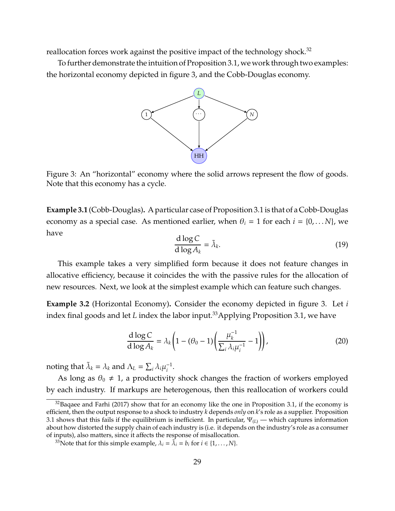reallocation forces work against the positive impact of the technology shock.<sup>[32](#page-0-0)</sup>

<span id="page-28-1"></span>To further demonstrate the intuition of Proposition [3.1,](#page-26-1) we work through two examples: the horizontal economy depicted in figure [3,](#page-28-1) and the Cobb-Douglas economy.



Figure 3: An "horizontal" economy where the solid arrows represent the flow of goods. Note that this economy has a cycle.

**Example 3.1** (Cobb-Douglas)**.** A particular case of Proposition [3.1](#page-26-1) is that of a Cobb-Douglas economy as a special case. As mentioned earlier, when  $\theta_i = 1$  for each  $i = \{0, \dots N\}$ , we have

$$
\frac{\mathrm{d}\log C}{\mathrm{d}\log A_k} = \tilde{\lambda}_k. \tag{19}
$$

This example takes a very simplified form because it does not feature changes in allocative efficiency, because it coincides the with the passive rules for the allocation of new resources. Next, we look at the simplest example which can feature such changes.

<span id="page-28-0"></span>**Example 3.2** (Horizontal Economy)**.** Consider the economy depicted in figure [3.](#page-28-1) Let *i* index final goods and let *L* index the labor input.<sup>[33](#page-0-0)</sup>Applying Proposition [3.1,](#page-26-1) we have

$$
\frac{\mathrm{d}\log C}{\mathrm{d}\log A_k} = \lambda_k \left( 1 - (\theta_0 - 1) \left( \frac{\mu_k^{-1}}{\sum_i \lambda_i \mu_i^{-1}} - 1 \right) \right),\tag{20}
$$

noting that  $\tilde{\lambda}_k = \lambda_k$  and  $\Lambda_L = \sum_i \lambda_i \mu_i^{-1}$  $\frac{-1}{i}$ .

As long as  $\theta_0 \neq 1$ , a productivity shock changes the fraction of workers employed by each industry. If markups are heterogenous, then this reallocation of workers could

 $32$ [Baqaee and Farhi](#page-67-1) [\(2017\)](#page-67-1) show that for an economy like the one in Proposition [3.1,](#page-26-1) if the economy is efficient, then the output response to a shock to industry *k* depends *only* on *k*'s role as a supplier. Proposition [3.1](#page-26-1) shows that this fails if the equilibrium is inefficient. In particular,  $\Psi_{(L)}$  — which captures information about how distorted the supply chain of each industry is (i.e. it depends on the industry's role as a consumer of inputs), also matters, since it affects the response of misallocation.

<sup>&</sup>lt;sup>33</sup>Note that for this simple example,  $\lambda_i = \tilde{\lambda_i} = b_i$  for  $i \in \{1, ..., N\}$ .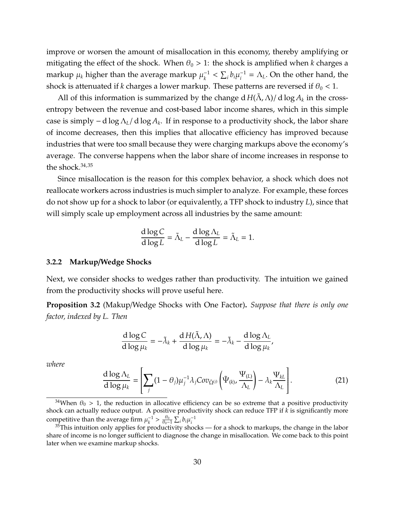improve or worsen the amount of misallocation in this economy, thereby amplifying or mitigating the effect of the shock. When  $\theta_0 > 1$ : the shock is amplified when *k* charges a markup  $\mu_k$  higher than the average markup  $\mu_k^{-1}$  $\sum_{i} b_i \mu_i^{-1}$  $i^{\text{-1}} = \Lambda_L$ . On the other hand, the shock is attenuated if *k* charges a lower markup. These patterns are reversed if  $\theta_0 < 1$ .

All of this information is summarized by the change d  $H(\tilde{\Lambda}, \Lambda)/d \log A_k$  in the crossentropy between the revenue and cost-based labor income shares, which in this simple case is simply −d log Λ*L*/ d log *A<sup>k</sup>* . If in response to a productivity shock, the labor share of income decreases, then this implies that allocative efficiency has improved because industries that were too small because they were charging markups above the economy's average. The converse happens when the labor share of income increases in response to the shock. $34,35$  $34,35$  $34,35$ 

Since misallocation is the reason for this complex behavior, a shock which does not reallocate workers across industries is much simpler to analyze. For example, these forces do not show up for a shock to labor (or equivalently, a TFP shock to industry *L*), since that will simply scale up employment across all industries by the same amount:

<span id="page-29-1"></span>
$$
\frac{d \log C}{d \log L} = \tilde{\Lambda}_L - \frac{d \log \Lambda_L}{d \log L} = \tilde{\Lambda}_L = 1.
$$

#### **3.2.2 Markup**/**Wedge Shocks**

Next, we consider shocks to wedges rather than productivity. The intuition we gained from the productivity shocks will prove useful here.

<span id="page-29-0"></span>**Proposition 3.2** (Makup/Wedge Shocks with One Factor)**.** *Suppose that there is only one factor, indexed by L. Then*

$$
\frac{d \log C}{d \log \mu_k} = -\tilde{\lambda}_k + \frac{d H(\tilde{\Lambda}, \Lambda)}{d \log \mu_k} = -\tilde{\lambda}_k - \frac{d \log \Lambda_k}{d \log \mu_k},
$$

*where*

$$
\frac{d \log \Lambda_L}{d \log \mu_k} = \left[ \sum_j (1 - \theta_j) \mu_j^{-1} \lambda_j Cov_{\tilde{\Omega}^{(j)}} \left( \tilde{\Psi}_{(k)}, \frac{\Psi_{(L)}}{\Lambda_L} \right) - \lambda_k \frac{\Psi_{kL}}{\Lambda_L} \right].
$$
\n(21)

<sup>&</sup>lt;sup>34</sup>When  $\theta_0 > 1$ , the reduction in allocative efficiency can be so extreme that a positive productivity shock can actually reduce output. A positive productivity shock can reduce TFP if *k* is significantly more competitive than the average firm  $\mu_k^{-1} > \frac{\theta_0}{\theta_0 - 1} \sum_i b_i \mu_i^{-1}$ 

 $35$ This intuition only applies for productivity shocks — for a shock to markups, the change in the labor share of income is no longer sufficient to diagnose the change in misallocation. We come back to this point later when we examine markup shocks.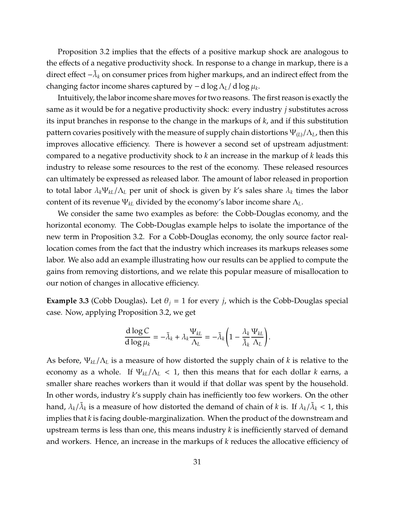Proposition [3.2](#page-29-0) implies that the effects of a positive markup shock are analogous to the effects of a negative productivity shock. In response to a change in markup, there is a direct effect – $\tilde{\lambda}_k$  on consumer prices from higher markups, and an indirect effect from the changing factor income shares captured by −d log Λ*L*/ d log µ*<sup>k</sup>* .

Intuitively, the labor income share moves for two reasons. The first reason is exactly the same as it would be for a negative productivity shock: every industry *j* substitutes across its input branches in response to the change in the markups of *k*, and if this substitution pattern covaries positively with the measure of supply chain distortions Ψ(*L*)/Λ*L*, then this improves allocative efficiency. There is however a second set of upstream adjustment: compared to a negative productivity shock to *k* an increase in the markup of *k* leads this industry to release some resources to the rest of the economy. These released resources can ultimately be expressed as released labor. The amount of labor released in proportion to total labor  $\lambda_k \Psi_{k} / \Lambda_L$  per unit of shock is given by *k*'s sales share  $\lambda_k$  times the labor content of its revenue Ψ*kL* divided by the economy's labor income share Λ*L*.

We consider the same two examples as before: the Cobb-Douglas economy, and the horizontal economy. The Cobb-Douglas example helps to isolate the importance of the new term in Proposition [3.2.](#page-29-0) For a Cobb-Douglas economy, the only source factor reallocation comes from the fact that the industry which increases its markups releases some labor. We also add an example illustrating how our results can be applied to compute the gains from removing distortions, and we relate this popular measure of misallocation to our notion of changes in allocative efficiency.

**Example 3.3** (Cobb Douglas). Let  $\theta_i = 1$  for every *j*, which is the Cobb-Douglas special case. Now, applying Proposition [3.2,](#page-29-0) we get

<span id="page-30-0"></span>
$$
\frac{\mathrm{d}\log C}{\mathrm{d}\log\mu_k}=-\tilde{\lambda}_k+\lambda_k\frac{\Psi_{kL}}{\Lambda_L}=-\tilde{\lambda}_k\left(1-\frac{\lambda_k}{\tilde{\lambda}_k}\frac{\Psi_{kL}}{\Lambda_L}\right).
$$

As before, Ψ*kL*/Λ*<sup>L</sup>* is a measure of how distorted the supply chain of *k* is relative to the economy as a whole. If  $\Psi_{k}/\Lambda_L < 1$ , then this means that for each dollar *k* earns, a smaller share reaches workers than it would if that dollar was spent by the household. In other words, industry *k*'s supply chain has inefficiently too few workers. On the other hand,  $\lambda_k/\tilde{\lambda}_k$  is a measure of how distorted the demand of chain of *k* is. If  $\lambda_k/\tilde{\lambda}_k < 1$ , this implies that *k* is facing double-marginalization. When the product of the downstream and upstream terms is less than one, this means industry *k* is inefficiently starved of demand and workers. Hence, an increase in the markups of *k* reduces the allocative efficiency of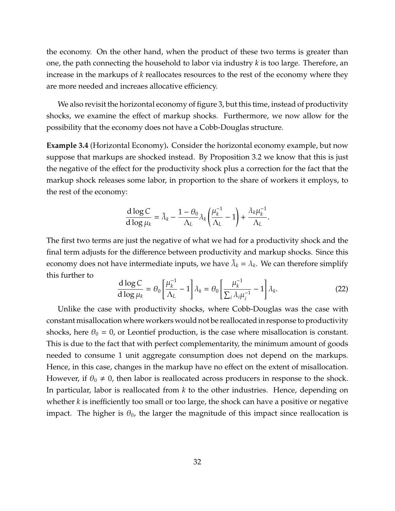the economy. On the other hand, when the product of these two terms is greater than one, the path connecting the household to labor via industry *k* is too large. Therefore, an increase in the markups of *k* reallocates resources to the rest of the economy where they are more needed and increaes allocative efficiency.

We also revisit the horizontal economy of figure [3,](#page-28-1) but this time, instead of productivity shocks, we examine the effect of markup shocks. Furthermore, we now allow for the possibility that the economy does not have a Cobb-Douglas structure.

**Example 3.4** (Horizontal Economy)**.** Consider the horizontal economy example, but now suppose that markups are shocked instead. By Proposition [3.2](#page-29-0) we know that this is just the negative of the effect for the productivity shock plus a correction for the fact that the markup shock releases some labor, in proportion to the share of workers it employs, to the rest of the economy:

$$
\frac{\mathrm{d} \log \mathcal{C}}{\mathrm{d} \log \mu_k} = \tilde{\lambda}_k - \frac{1-\theta_0}{\Lambda_L} \lambda_k \left(\frac{\mu_k^{-1}}{\Lambda_L} - 1\right) + \frac{\lambda_k \mu_k^{-1}}{\Lambda_L}.
$$

The first two terms are just the negative of what we had for a productivity shock and the final term adjusts for the difference between productivity and markup shocks. Since this economy does not have intermediate inputs, we have  $\tilde{\lambda}_k = \lambda_k$ . We can therefore simplify this further to

$$
\frac{\mathrm{d}\log C}{\mathrm{d}\log\mu_k} = \theta_0 \left[ \frac{\mu_k^{-1}}{\Lambda_L} - 1 \right] \lambda_k = \theta_0 \left[ \frac{\mu_k^{-1}}{\Sigma_i \lambda_i \mu_i^{-1}} - 1 \right] \lambda_k. \tag{22}
$$

Unlike the case with productivity shocks, where Cobb-Douglas was the case with constant misallocation where workers would not be reallocated in response to productivity shocks, here  $\theta_0 = 0$ , or Leontief production, is the case where misallocation is constant. This is due to the fact that with perfect complementarity, the minimum amount of goods needed to consume 1 unit aggregate consumption does not depend on the markups. Hence, in this case, changes in the markup have no effect on the extent of misallocation. However, if  $\theta_0 \neq 0$ , then labor is reallocated across producers in response to the shock. In particular, labor is reallocated from *k* to the other industries. Hence, depending on whether *k* is inefficiently too small or too large, the shock can have a positive or negative impact. The higher is  $\theta_0$ , the larger the magnitude of this impact since reallocation is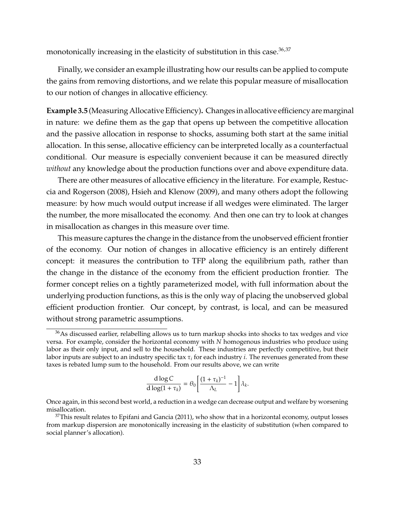monotonically increasing in the elasticity of substitution in this case.<sup>[36](#page-0-0),[37](#page-0-0)</sup>

Finally, we consider an example illustrating how our results can be applied to compute the gains from removing distortions, and we relate this popular measure of misallocation to our notion of changes in allocative efficiency.

**Example 3.5** (Measuring Allocative Efficiency)**.** Changes in allocative efficiency are marginal in nature: we define them as the gap that opens up between the competitive allocation and the passive allocation in response to shocks, assuming both start at the same initial allocation. In this sense, allocative efficiency can be interpreted locally as a counterfactual conditional. Our measure is especially convenient because it can be measured directly *without* any knowledge about the production functions over and above expenditure data.

There are other measures of allocative efficiency in the literature. For example, [Restuc](#page-72-1)[cia and Rogerson](#page-72-1) [\(2008\)](#page-72-1), [Hsieh and Klenow](#page-70-2) [\(2009\)](#page-70-2), and many others adopt the following measure: by how much would output increase if all wedges were eliminated. The larger the number, the more misallocated the economy. And then one can try to look at changes in misallocation as changes in this measure over time.

This measure captures the change in the distance from the unobserved efficient frontier of the economy. Our notion of changes in allocative efficiency is an entirely different concept: it measures the contribution to TFP along the equilibrium path, rather than the change in the distance of the economy from the efficient production frontier. The former concept relies on a tightly parameterized model, with full information about the underlying production functions, as this is the only way of placing the unobserved global efficient production frontier. Our concept, by contrast, is local, and can be measured without strong parametric assumptions.

<span id="page-32-0"></span>
$$
\frac{\mathrm{d}\log C}{\mathrm{d}\log(1+\tau_k)} = \theta_0 \left[ \frac{(1+\tau_k)^{-1}}{\Lambda_L} - 1 \right] \lambda_k.
$$

 $36$ As discussed earlier, relabelling allows us to turn markup shocks into shocks to tax wedges and vice versa. For example, consider the horizontal economy with *N* homogenous industries who produce using labor as their only input, and sell to the household. These industries are perfectly competitive, but their labor inputs are subject to an industry specific tax  $\tau_i$  for each industry *i*. The revenues generated from these taxes is rebated lump sum to the household. From our results above, we can write

Once again, in this second best world, a reduction in a wedge can decrease output and welfare by worsening misallocation.

 $37$ This result relates to [Epifani and Gancia](#page-69-3) [\(2011\)](#page-69-3), who show that in a horizontal economy, output losses from markup dispersion are monotonically increasing in the elasticity of substitution (when compared to social planner's allocation).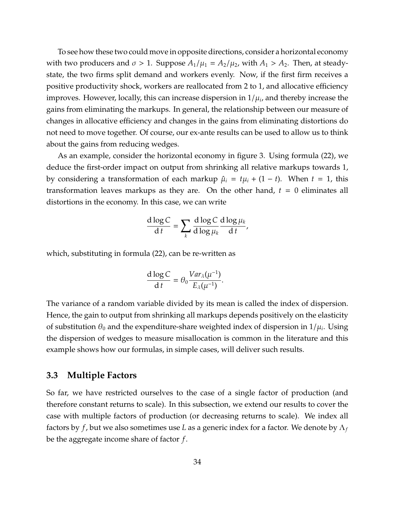To see how these two could move in opposite directions, consider a horizontal economy with two producers and  $\sigma > 1$ . Suppose  $A_1/\mu_1 = A_2/\mu_2$ , with  $A_1 > A_2$ . Then, at steadystate, the two firms split demand and workers evenly. Now, if the first firm receives a positive productivity shock, workers are reallocated from 2 to 1, and allocative efficiency improves. However, locally, this can increase dispersion in  $1/\mu_i$ , and thereby increase the gains from eliminating the markups. In general, the relationship between our measure of changes in allocative efficiency and changes in the gains from eliminating distortions do not need to move together. Of course, our ex-ante results can be used to allow us to think about the gains from reducing wedges.

As an example, consider the horizontal economy in figure [3.](#page-28-1) Using formula [\(22\)](#page-30-0), we deduce the first-order impact on output from shrinking all relative markups towards 1, by considering a transformation of each markup  $\hat{\mu}_i = t\mu_i + (1-t)$ . When  $t = 1$ , this transformation leaves markups as they are. On the other hand,  $t = 0$  eliminates all distortions in the economy. In this case, we can write

$$
\frac{d \log C}{dt} = \sum_{k} \frac{d \log C}{d \log \mu_k} \frac{d \log \mu_k}{dt},
$$

which, substituting in formula [\(22\)](#page-30-0), can be re-written as

$$
\frac{\mathrm{d}\log C}{\mathrm{d}t}=\theta_0\frac{Var_\lambda(\mu^{-1})}{E_\lambda(\mu^{-1})}.
$$

The variance of a random variable divided by its mean is called the index of dispersion. Hence, the gain to output from shrinking all markups depends positively on the elasticity of substitution  $\theta_0$  and the expenditure-share weighted index of dispersion in  $1/\mu_i$ . Using the dispersion of wedges to measure misallocation is common in the literature and this example shows how our formulas, in simple cases, will deliver such results.

#### **3.3 Multiple Factors**

So far, we have restricted ourselves to the case of a single factor of production (and therefore constant returns to scale). In this subsection, we extend our results to cover the case with multiple factors of production (or decreasing returns to scale). We index all factors by *f*, but we also sometimes use *L* as a generic index for a factor. We denote by Λ*<sup>f</sup>* be the aggregate income share of factor *f*.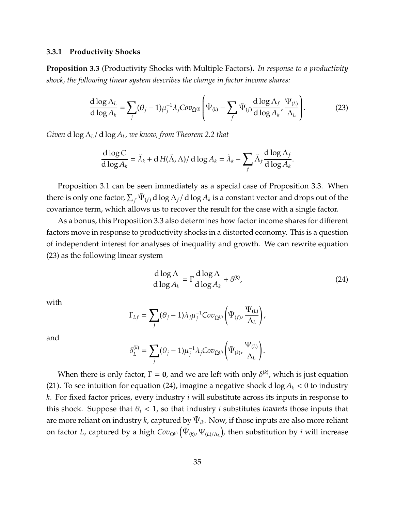#### **3.3.1 Productivity Shocks**

<span id="page-34-0"></span>**Proposition 3.3** (Productivity Shocks with Multiple Factors)**.** *In response to a productivity shock, the following linear system describes the change in factor income shares:*

$$
\frac{d \log \Lambda_L}{d \log A_k} = \sum_j (\theta_j - 1) \mu_j^{-1} \lambda_j Cov_{\tilde{\Omega}^{(j)}} \left( \tilde{\Psi}_{(k)} - \sum_j \tilde{\Psi}_{(f)} \frac{d \log \Lambda_f}{d \log A_k}, \frac{\Psi_{(L)}}{\Lambda_L} \right).
$$
(23)

*Given* d log Λ*L*/ d log *A<sup>k</sup> , we know, from Theorem [2.2](#page-11-0) that*

<span id="page-34-1"></span>
$$
\frac{d \log C}{d \log A_k} = \tilde{\lambda}_k + d H(\tilde{\Lambda}, \Lambda) / d \log A_k = \tilde{\lambda}_k - \sum_f \tilde{\Lambda}_f \frac{d \log \Lambda_f}{d \log A_k}.
$$

Proposition [3.1](#page-26-1) can be seen immediately as a special case of Proposition [3.3.](#page-34-0) When there is only one factor,  $\sum_f \tilde{\Psi}_{(f)}$  d  $\log \Lambda_f/$  d  $\log A_k$  is a constant vector and drops out of the covariance term, which allows us to recover the result for the case with a single factor.

As a bonus, this Proposition [3.3](#page-34-0) also determines how factor income shares for different factors move in response to productivity shocks in a distorted economy. This is a question of independent interest for analyses of inequality and growth. We can rewrite equation [\(23\)](#page-32-0) as the following linear system

$$
\frac{d \log \Lambda}{d \log A_k} = \Gamma \frac{d \log \Lambda}{d \log A_k} + \delta^{(k)},\tag{24}
$$

with

$$
\Gamma_{Lf} = \sum_j (\theta_j - 1) \lambda_j \mu_j^{-1} Cov_{\tilde{\Omega}^{(j)}} \left( \tilde{\Psi}_{(f)}, \frac{\Psi_{(L)}}{\Lambda_L} \right),
$$

and

$$
\delta_L^{(k)} = \sum_j (\theta_j - 1) \mu_j^{-1} \lambda_j Cov_{\tilde{\Omega}^{(j)}} \left( \tilde{\Psi}_{(k)}, \frac{\Psi_{(L)}}{\Lambda_L} \right).
$$

When there is only factor,  $\Gamma = 0$ , and we are left with only  $\delta^{(k)}$ , which is just equation [\(21\)](#page-29-1). To see intuition for equation [\(24\)](#page-34-1), imagine a negative shock d  $\log A_k < 0$  to industry *k*. For fixed factor prices, every industry *i* will substitute across its inputs in response to this shock. Suppose that  $\theta_i$  < 1, so that industry *i* substitutes *towards* those inputs that are more reliant on industry  $k$ , captured by  $\Psi_{ik}$ . Now, if those inputs are also more reliant on factor *L,* captured by a high  $Cov_{\Omega^{(i)}}\big(\tilde{\Psi}_{(k)},\Psi_{(L)/\Lambda_L}\big)$ , then substitution by  $i$  will increase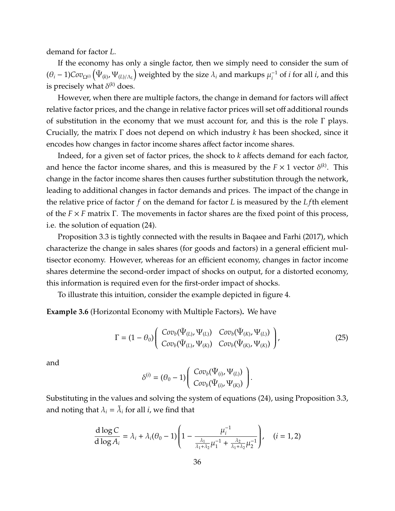demand for factor *L*.

If the economy has only a single factor, then we simply need to consider the sum of  $(\theta_i -1)$ Co $v_{\Omega^{(i)}}\big(\tilde{\Psi}_{(k)},\Psi_{(L)/\Lambda_L}\big)$  weighted by the size  $\lambda_i$  and markups  $\mu_i^{-1}$  $i<sup>-1</sup>$  of *i* for all *i*, and this is precisely what  $\delta^{(k)}$  does.

However, when there are multiple factors, the change in demand for factors will affect relative factor prices, and the change in relative factor prices will set off additional rounds of substitution in the economy that we must account for, and this is the role Γ plays. Crucially, the matrix Γ does not depend on which industry *k* has been shocked, since it encodes how changes in factor income shares affect factor income shares.

Indeed, for a given set of factor prices, the shock to *k* affects demand for each factor, and hence the factor income shares, and this is measured by the  $F \times 1$  vector  $\delta^{(k)}$ . This change in the factor income shares then causes further substitution through the network, leading to additional changes in factor demands and prices. The impact of the change in the relative price of factor *f* on the demand for factor *L* is measured by the *L f*th element of the *F* × *F* matrix Γ. The movements in factor shares are the fixed point of this process, i.e. the solution of equation [\(24\)](#page-34-1).

Proposition [3.3](#page-34-0) is tightly connected with the results in [Baqaee and Farhi](#page-67-1) [\(2017\)](#page-67-1), which characterize the change in sales shares (for goods and factors) in a general efficient multisector economy. However, whereas for an efficient economy, changes in factor income shares determine the second-order impact of shocks on output, for a distorted economy, this information is required even for the first-order impact of shocks.

To illustrate this intuition, consider the example depicted in figure [4.](#page-36-0)

**Example 3.6** (Horizontal Economy with Multiple Factors)**.** We have

$$
\Gamma = (1 - \theta_0) \begin{pmatrix} Cov_b(\tilde{\Psi}_{(L)}, \Psi_{(L)}) & Cov_b(\tilde{\Psi}_{(K)}, \Psi_{(L)}) \\ Cov_b(\tilde{\Psi}_{(L)}, \Psi_{(K)}) & Cov_b(\tilde{\Psi}_{(K)}, \Psi_{(K)}) \end{pmatrix},
$$
(25)

and

$$
\delta^{(i)}=(\theta_0-1)\left(\begin{array}{c}Cov_b(\tilde{\Psi}_{(i)},\Psi_{(L)})\\ Cov_b(\tilde{\Psi}_{(i)},\Psi_{(K)})\end{array}\right).
$$

Substituting in the values and solving the system of equations [\(24\)](#page-34-1), using Proposition [3.3,](#page-34-0) and noting that  $\lambda_i = \tilde{\lambda}_i$  for all *i*, we find that

$$
\frac{d \log C}{d \log A_i} = \lambda_i + \lambda_i (\theta_0 - 1) \left( 1 - \frac{\mu_i^{-1}}{\frac{\lambda_1}{\lambda_1 + \lambda_2} \mu_1^{-1} + \frac{\lambda_2}{\lambda_1 + \lambda_2} \mu_2^{-1}} \right), \quad (i = 1, 2)
$$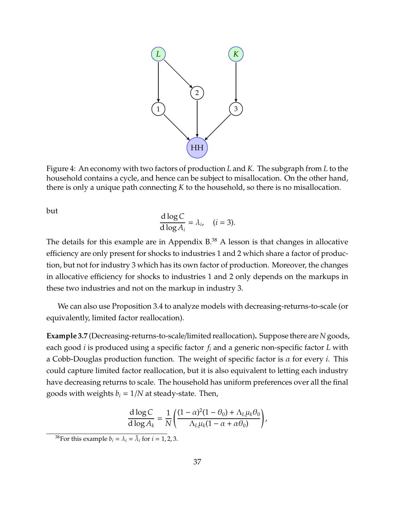

Figure 4: An economy with two factors of production *L* and *K*. The subgraph from *L* to the household contains a cycle, and hence can be subject to misallocation. On the other hand, there is only a unique path connecting *K* to the household, so there is no misallocation.

but

$$
\frac{\mathrm{d}\log C}{\mathrm{d}\log A_i} = \lambda_i, \quad (i = 3).
$$

The details for this example are in Appendix  $B^{38}$  $B^{38}$  $B^{38}$  A lesson is that changes in allocative efficiency are only present for shocks to industries 1 and 2 which share a factor of production, but not for industry 3 which has its own factor of production. Moreover, the changes in allocative efficiency for shocks to industries 1 and 2 only depends on the markups in these two industries and not on the markup in industry 3.

We can also use Proposition [3.4](#page-37-0) to analyze models with decreasing-returns-to-scale (or equivalently, limited factor reallocation).

**Example 3.7** (Decreasing-returns-to-scale/limited reallocation)**.** Suppose there are*N* goods, each good *i* is produced using a specific factor *f<sup>i</sup>* and a generic non-specific factor *L* with a Cobb-Douglas production function. The weight of specific factor is α for every *i*. This could capture limited factor reallocation, but it is also equivalent to letting each industry have decreasing returns to scale. The household has uniform preferences over all the final goods with weights  $b_i = 1/N$  at steady-state. Then,

$$
\frac{\mathrm{d}\log C}{\mathrm{d}\log A_k} = \frac{1}{N} \left( \frac{(1-\alpha)^2 (1-\theta_0) + \Lambda_L \mu_k \theta_0}{\Lambda_L \mu_k (1-\alpha+\alpha\theta_0)} \right),
$$

<sup>&</sup>lt;sup>38</sup> For this example  $b_i = \lambda_i = \tilde{\lambda}_i$  for  $i = 1, 2, 3$ .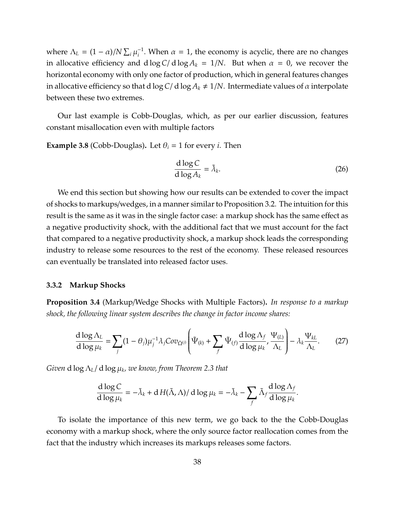where  $\Lambda_L = (1 - \alpha) / N \sum_i \mu_i^{-1}$  $i$ <sup>-1</sup>. When  $\alpha$  = 1, the economy is acyclic, there are no changes in allocative efficiency and  $d \log C / d \log A_k = 1/N$ . But when  $\alpha = 0$ , we recover the horizontal economy with only one factor of production, which in general features changes in allocative efficiency so that d log  $C/d \log A_k \neq 1/N$ . Intermediate values of  $\alpha$  interpolate between these two extremes.

Our last example is Cobb-Douglas, which, as per our earlier discussion, features constant misallocation even with multiple factors

**Example 3.8** (Cobb-Douglas). Let  $\theta_i = 1$  for every *i*. Then

$$
\frac{\mathrm{d}\log C}{\mathrm{d}\log A_k} = \tilde{\lambda}_k. \tag{26}
$$

We end this section but showing how our results can be extended to cover the impact of shocks to markups/wedges, in a manner similar to Proposition [3.2.](#page-29-0) The intuition for this result is the same as it was in the single factor case: a markup shock has the same effect as a negative productivity shock, with the additional fact that we must account for the fact that compared to a negative productivity shock, a markup shock leads the corresponding industry to release some resources to the rest of the economy. These released resources can eventually be translated into released factor uses.

#### **3.3.2 Markup Shocks**

<span id="page-37-0"></span>**Proposition 3.4** (Markup/Wedge Shocks with Multiple Factors)**.** *In response to a markup shock, the following linear system describes the change in factor income shares:*

$$
\frac{d \log \Lambda_L}{d \log \mu_k} = \sum_j (1 - \theta_j) \mu_j^{-1} \lambda_j Cov_{\tilde{\Omega}^{(j)}} \left( \tilde{\Psi}_{(k)} + \sum_j \tilde{\Psi}_{(f)} \frac{d \log \Lambda_f}{d \log \mu_k}, \frac{\Psi_{(L)}}{\Lambda_L} \right) - \lambda_k \frac{\Psi_{kL}}{\Lambda_L}.
$$
 (27)

*Given* d log Λ*L*/ d log µ*<sup>k</sup> , we know, from Theorem [2.3](#page-13-0) that*

<span id="page-37-1"></span>
$$
\frac{d \log C}{d \log \mu_k} = -\tilde{\lambda}_k + d H(\tilde{\Lambda}, \Lambda) / d \log \mu_k = -\tilde{\lambda}_k - \sum_f \tilde{\Lambda}_f \frac{d \log \Lambda_f}{d \log \mu_k}.
$$

To isolate the importance of this new term, we go back to the the Cobb-Douglas economy with a markup shock, where the only source factor reallocation comes from the fact that the industry which increases its markups releases some factors.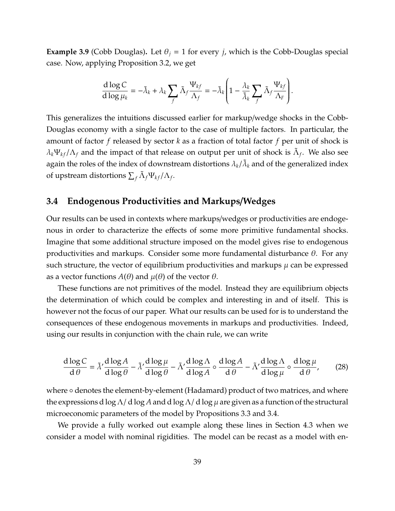<span id="page-38-0"></span>**Example 3.9** (Cobb Douglas). Let  $\theta_j = 1$  for every *j*, which is the Cobb-Douglas special case. Now, applying Proposition [3.2,](#page-29-0) we get

$$
\frac{\mathrm{d}\log C}{\mathrm{d}\log\mu_k}=-\tilde{\lambda}_k+\lambda_k\sum_f\tilde{\Lambda}_f\frac{\Psi_{kf}}{\Lambda_f}=-\tilde{\lambda}_k\left(1-\frac{\lambda_k}{\tilde{\lambda}_k}\sum_f\tilde{\Lambda}_f\frac{\Psi_{kf}}{\Lambda_F}\right).
$$

This generalizes the intuitions discussed earlier for markup/wedge shocks in the Cobb-Douglas economy with a single factor to the case of multiple factors. In particular, the amount of factor *f* released by sector *k* as a fraction of total factor *f* per unit of shock is  $\lambda_k \Psi_{kf} / \Lambda_f$  and the impact of that release on output per unit of shock is  $\tilde{\Lambda}_f$ . We also see again the roles of the index of downstream distortions  $\lambda_k/\tilde{\lambda}_k$  and of the generalized index of upstream distortions  $\sum_f \tilde{\Lambda}_f \Psi_{kf} / \Lambda_f$ .

### **3.4 Endogenous Productivities and Markups**/**Wedges**

Our results can be used in contexts where markups/wedges or productivities are endogenous in order to characterize the effects of some more primitive fundamental shocks. Imagine that some additional structure imposed on the model gives rise to endogenous productivities and markups. Consider some more fundamental disturbance  $\theta$ . For any such structure, the vector of equilibrium productivities and markups  $\mu$  can be expressed as a vector functions  $A(\theta)$  and  $\mu(\theta)$  of the vector  $\theta$ .

These functions are not primitives of the model. Instead they are equilibrium objects the determination of which could be complex and interesting in and of itself. This is however not the focus of our paper. What our results can be used for is to understand the consequences of these endogenous movements in markups and productivities. Indeed, using our results in conjunction with the chain rule, we can write

$$
\frac{d \log C}{d \theta} = \tilde{\lambda}' \frac{d \log A}{d \log \theta} - \tilde{\lambda}' \frac{d \log \mu}{d \log \theta} - \tilde{\Lambda}' \frac{d \log \Lambda}{d \log A} \circ \frac{d \log A}{d \theta} - \tilde{\Lambda}' \frac{d \log \Lambda}{d \log \mu} \circ \frac{d \log \mu}{d \theta'},\tag{28}
$$

where ∘ denotes the element-by-element (Hadamard) product of two matrices, and where the expressions d log  $\Lambda$ / d log A and d log  $\Lambda$ / d log  $\mu$  are given as a function of the structural microeconomic parameters of the model by Propositions [3.3](#page-34-0) and [3.4.](#page-37-0)

We provide a fully worked out example along these lines in Section [4.3](#page-49-0) when we consider a model with nominal rigidities. The model can be recast as a model with en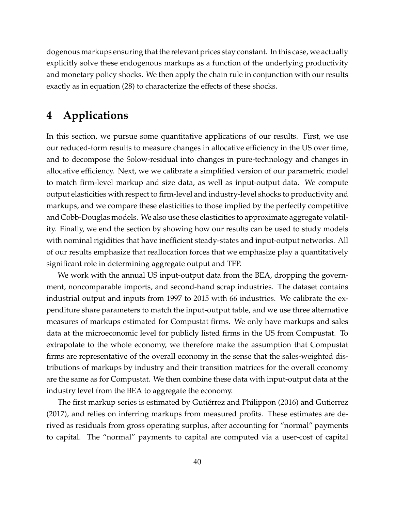dogenous markups ensuring that the relevant prices stay constant. In this case, we actually explicitly solve these endogenous markups as a function of the underlying productivity and monetary policy shocks. We then apply the chain rule in conjunction with our results exactly as in equation [\(28\)](#page-37-1) to characterize the effects of these shocks.

# <span id="page-39-0"></span>**4 Applications**

In this section, we pursue some quantitative applications of our results. First, we use our reduced-form results to measure changes in allocative efficiency in the US over time, and to decompose the Solow-residual into changes in pure-technology and changes in allocative efficiency. Next, we we calibrate a simplified version of our parametric model to match firm-level markup and size data, as well as input-output data. We compute output elasticities with respect to firm-level and industry-level shocks to productivity and markups, and we compare these elasticities to those implied by the perfectly competitive and Cobb-Douglas models. We also use these elasticities to approximate aggregate volatility. Finally, we end the section by showing how our results can be used to study models with nominal rigidities that have inefficient steady-states and input-output networks. All of our results emphasize that reallocation forces that we emphasize play a quantitatively significant role in determining aggregate output and TFP.

We work with the annual US input-output data from the BEA, dropping the government, noncomparable imports, and second-hand scrap industries. The dataset contains industrial output and inputs from 1997 to 2015 with 66 industries. We calibrate the expenditure share parameters to match the input-output table, and we use three alternative measures of markups estimated for Compustat firms. We only have markups and sales data at the microeconomic level for publicly listed firms in the US from Compustat. To extrapolate to the whole economy, we therefore make the assumption that Compustat firms are representative of the overall economy in the sense that the sales-weighted distributions of markups by industry and their transition matrices for the overall economy are the same as for Compustat. We then combine these data with input-output data at the industry level from the BEA to aggregate the economy.

The first markup series is estimated by Gutiérrez and Philippon [\(2016\)](#page-70-0) and [Gutierrez](#page-70-1) [\(2017\)](#page-70-1), and relies on inferring markups from measured profits. These estimates are derived as residuals from gross operating surplus, after accounting for "normal" payments to capital. The "normal" payments to capital are computed via a user-cost of capital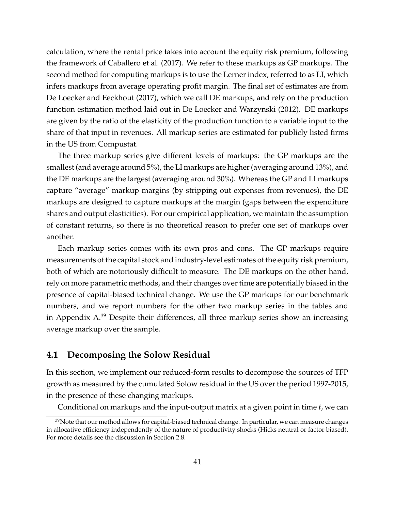calculation, where the rental price takes into account the equity risk premium, following the framework of [Caballero et al.](#page-68-0) [\(2017\)](#page-68-0). We refer to these markups as GP markups. The second method for computing markups is to use the Lerner index, referred to as LI, which infers markups from average operating profit margin. The final set of estimates are from [De Loecker and Eeckhout](#page-69-0) [\(2017\)](#page-69-0), which we call DE markups, and rely on the production function estimation method laid out in [De Loecker and Warzynski](#page-69-1) [\(2012\)](#page-69-1). DE markups are given by the ratio of the elasticity of the production function to a variable input to the share of that input in revenues. All markup series are estimated for publicly listed firms in the US from Compustat.

The three markup series give different levels of markups: the GP markups are the smallest (and average around 5%), the LI markups are higher (averaging around 13%), and the DE markups are the largest (averaging around 30%). Whereas the GP and LI markups capture "average" markup margins (by stripping out expenses from revenues), the DE markups are designed to capture markups at the margin (gaps between the expenditure shares and output elasticities). For our empirical application, we maintain the assumption of constant returns, so there is no theoretical reason to prefer one set of markups over another.

Each markup series comes with its own pros and cons. The GP markups require measurements of the capital stock and industry-level estimates of the equity risk premium, both of which are notoriously difficult to measure. The DE markups on the other hand, rely on more parametric methods, and their changes over time are potentially biased in the presence of capital-biased technical change. We use the GP markups for our benchmark numbers, and we report numbers for the other two markup series in the tables and in Appendix [A.](#page-73-0)[39](#page-0-0) Despite their differences, all three markup series show an increasing average markup over the sample.

### **4.1 Decomposing the Solow Residual**

In this section, we implement our reduced-form results to decompose the sources of TFP growth as measured by the cumulated Solow residual in the US over the period 1997-2015, in the presence of these changing markups.

Conditional on markups and the input-output matrix at a given point in time *t*, we can

 $39$ Note that our method allows for capital-biased technical change. In particular, we can measure changes in allocative efficiency independently of the nature of productivity shocks (Hicks neutral or factor biased). For more details see the discussion in Section [2.8.](#page-21-0)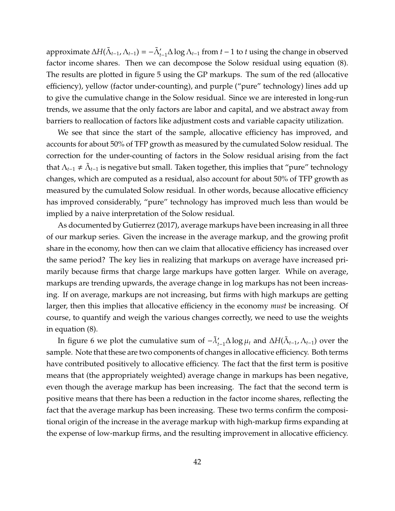approximate  $\Delta H(\tilde{\Lambda}_{t-1}, \Lambda_{t-1}) = -\tilde{\Lambda}'_{t-1}\Delta \log \Lambda_{t-1}$  from  $t-1$  to  $t$  using the change in observed factor income shares. Then we can decompose the Solow residual using equation [\(8\)](#page-15-0). The results are plotted in figure [5](#page-43-0) using the GP markups. The sum of the red (allocative efficiency), yellow (factor under-counting), and purple ("pure" technology) lines add up to give the cumulative change in the Solow residual. Since we are interested in long-run trends, we assume that the only factors are labor and capital, and we abstract away from barriers to reallocation of factors like adjustment costs and variable capacity utilization.

We see that since the start of the sample, allocative efficiency has improved, and accounts for about 50% of TFP growth as measured by the cumulated Solow residual. The correction for the under-counting of factors in the Solow residual arising from the fact that  $\Lambda_{t-1} \neq \tilde\Lambda_{t-1}$  is negative but small. Taken together, this implies that "pure" technology changes, which are computed as a residual, also account for about 50% of TFP growth as measured by the cumulated Solow residual. In other words, because allocative efficiency has improved considerably, "pure" technology has improved much less than would be implied by a naive interpretation of the Solow residual.

As documented by [Gutierrez](#page-70-1) [\(2017\)](#page-70-1), average markups have been increasing in all three of our markup series. Given the increase in the average markup, and the growing profit share in the economy, how then can we claim that allocative efficiency has increased over the same period? The key lies in realizing that markups on average have increased primarily because firms that charge large markups have gotten larger. While on average, markups are trending upwards, the average change in log markups has not been increasing. If on average, markups are not increasing, but firms with high markups are getting larger, then this implies that allocative efficiency in the economy *must* be increasing. Of course, to quantify and weigh the various changes correctly, we need to use the weights in equation [\(8\)](#page-15-0).

In figure [6](#page-43-0) we plot the cumulative sum of  $-\tilde{\lambda}'_{t-1}\Delta \log \mu_t$  and  $\Delta H(\tilde{\Lambda}_{t-1}, \Lambda_{t-1})$  over the sample. Note that these are two components of changes in allocative efficiency. Both terms have contributed positively to allocative efficiency. The fact that the first term is positive means that (the appropriately weighted) average change in markups has been negative, even though the average markup has been increasing. The fact that the second term is positive means that there has been a reduction in the factor income shares, reflecting the fact that the average markup has been increasing. These two terms confirm the compositional origin of the increase in the average markup with high-markup firms expanding at the expense of low-markup firms, and the resulting improvement in allocative efficiency.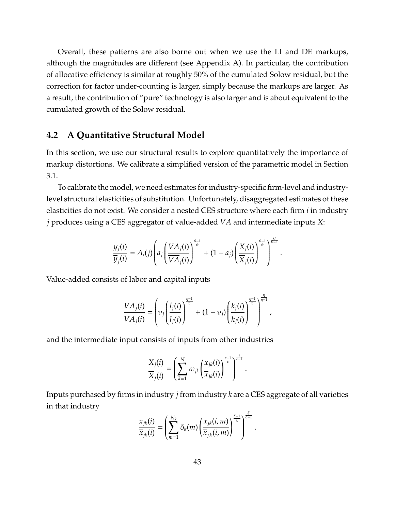Overall, these patterns are also borne out when we use the LI and DE markups, although the magnitudes are different (see Appendix [A\)](#page-73-0). In particular, the contribution of allocative efficiency is similar at roughly 50% of the cumulated Solow residual, but the correction for factor under-counting is larger, simply because the markups are larger. As a result, the contribution of "pure" technology is also larger and is about equivalent to the cumulated growth of the Solow residual.

### **4.2 A Quantitative Structural Model**

In this section, we use our structural results to explore quantitatively the importance of markup distortions. We calibrate a simplified version of the parametric model in Section [3.1.](#page-24-0)

To calibrate the model, we need estimates for industry-specific firm-level and industrylevel structural elasticities of substitution. Unfortunately, disaggregated estimates of these elasticities do not exist. We consider a nested CES structure where each firm *i* in industry *j* produces using a CES aggregator of value-added *VA* and intermediate inputs *X*:

$$
\frac{y_j(i)}{\overline{y}_j(i)} = A_i(j) \left( a_j \left( \frac{VA_j(i)}{\overline{VA}_j(i)} \right)^{\frac{\theta-1}{\theta}} + (1 - a_j) \left( \frac{X_j(i)}{\overline{X}_j(i)} \right)^{\frac{\theta-1}{\theta}} \right)^{\frac{\theta}{\theta-1}}.
$$

Value-added consists of labor and capital inputs

$$
\frac{VA_j(i)}{\overline{VA}_j(i)} = \left(v_j\left(\frac{l_j(i)}{\overline{l}_j(i)}\right)^{\frac{\eta-1}{\eta}} + (1-v_j)\left(\frac{k_j(i)}{\overline{k}_j(i)}\right)^{\frac{\eta-1}{\eta}}\right)^{\frac{\eta}{\eta-1}},
$$

η

.

and the intermediate input consists of inputs from other industries

$$
\frac{X_j(i)}{\overline{X}_j(i)} = \left(\sum_{k=1}^N \omega_{jk} \left(\frac{x_{jk}(i)}{\overline{x}_{jk}(i)}\right)^{\frac{\varepsilon-1}{\varepsilon}}\right)^{\frac{\varepsilon}{\varepsilon-1}}
$$

Inputs purchased by firms in industry *j* from industry *k* are a CES aggregate of all varieties in that industry

$$
\frac{x_{jk}(i)}{\overline{x}_{jk}(i)} = \left(\sum_{m=1}^{N_k} \delta_k(m) \left(\frac{x_{jk}(i,m)}{\overline{x}_{jk}(i,m)}\right)^{\frac{\xi-1}{\xi}}\right)^{\frac{\xi}{\xi-1}}.
$$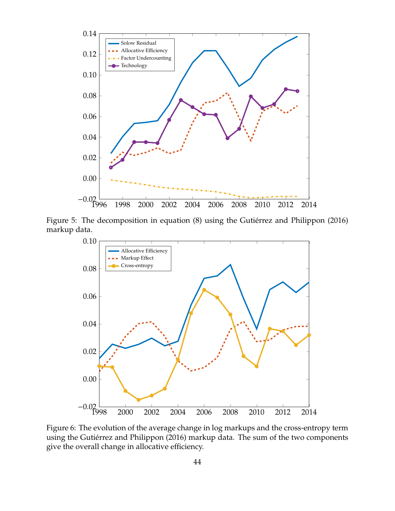<span id="page-43-0"></span>

Figure 5: The decomposition in equation [\(8\)](#page-15-0) using the Gutiérrez and Philippon [\(2016\)](#page-70-0) markup data.



Figure 6: The evolution of the average change in log markups and the cross-entropy term using the Gutiérrez and Philippon [\(2016\)](#page-70-0) markup data. The sum of the two components give the overall change in allocative efficiency.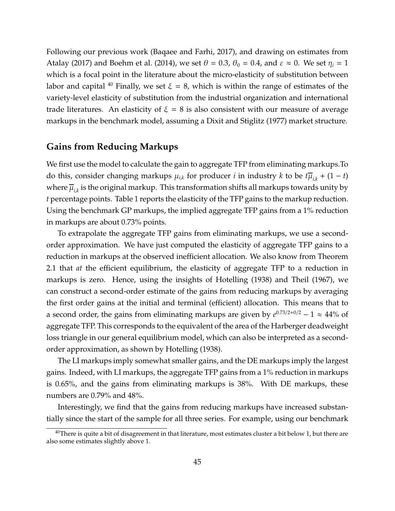Following our previous work [\(Baqaee and Farhi, 2017\)](#page-67-0), and drawing on estimates from [Atalay](#page-67-1) [\(2017\)](#page-67-1) and [Boehm et al.](#page-68-1) [\(2014\)](#page-68-1), we set  $\theta = 0.3$ ,  $\theta_0 = 0.4$ , and  $\varepsilon \approx 0$ . We set  $\eta_i = 1$ which is a focal point in the literature about the micro-elasticity of substitution between labor and capital <sup>[40](#page-0-0)</sup> Finally, we set  $\xi = 8$ , which is within the range of estimates of the variety-level elasticity of substitution from the industrial organization and international trade literatures. An elasticity of  $\xi = 8$  is also consistent with our measure of average markups in the benchmark model, assuming a [Dixit and Stiglitz](#page-69-2) [\(1977\)](#page-69-2) market structure.

## **Gains from Reducing Markups**

We first use the model to calculate the gain to aggregate TFP from eliminating markups.To do this, consider changing markups  $\mu_{i,k}$  for producer *i* in industry *k* to be  $t\overline{\mu}_{i,k} + (1 - t)$ where  $\overline{\mu}_{i,k}$  is the original markup. This transformation shifts all markups towards unity by *t* percentage points. Table [1](#page-46-0) reports the elasticity of the TFP gains to the markup reduction. Using the benchmark GP markups, the implied aggregate TFP gains from a 1% reduction in markups are about 0.73% points.

To extrapolate the aggregate TFP gains from eliminating markups, we use a secondorder approximation. We have just computed the elasticity of aggregate TFP gains to a reduction in markups at the observed inefficient allocation. We also know from Theorem [2.1](#page-10-0) that *at* the efficient equilibrium, the elasticity of aggregate TFP to a reduction in markups is zero. Hence, using the insights of [Hotelling](#page-70-2) [\(1938\)](#page-70-2) and [Theil](#page-72-0) [\(1967\)](#page-72-0), we can construct a second-order estimate of the gains from reducing markups by averaging the first order gains at the initial and terminal (efficient) allocation. This means that to a second order, the gains from eliminating markups are given by  $e^{0.73/2+0/2} - 1 \approx 44\%$  of aggregate TFP. This corresponds to the equivalent of the area of the Harberger deadweight loss triangle in our general equilibrium model, which can also be interpreted as a secondorder approximation, as shown by [Hotelling](#page-70-2) [\(1938\)](#page-70-2).

The LI markups imply somewhat smaller gains, and the DE markups imply the largest gains. Indeed, with LI markups, the aggregate TFP gains from a 1% reduction in markups is 0.65%, and the gains from eliminating markups is 38%. With DE markups, these numbers are 0.79% and 48%.

Interestingly, we find that the gains from reducing markups have increased substantially since the start of the sample for all three series. For example, using our benchmark

 $^{40}$ There is quite a bit of disagreement in that literature, most estimates cluster a bit below 1, but there are also some estimates slightly above 1.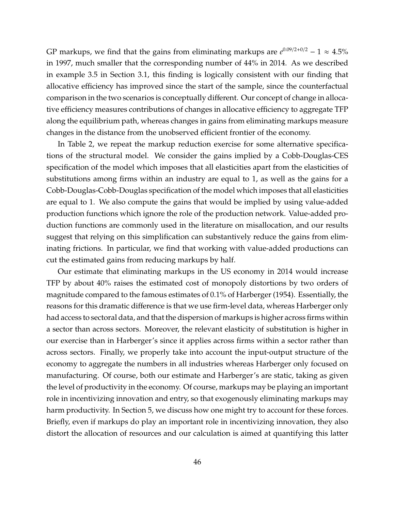GP markups, we find that the gains from eliminating markups are  $e^{0.09/2+0/2} - 1 \approx 4.5\%$ in 1997, much smaller that the corresponding number of 44% in 2014. As we described in example [3.5](#page-32-0) in Section [3.1,](#page-24-0) this finding is logically consistent with our finding that allocative efficiency has improved since the start of the sample, since the counterfactual comparison in the two scenarios is conceptually different. Our concept of change in allocative efficiency measures contributions of changes in allocative efficiency to aggregate TFP along the equilibrium path, whereas changes in gains from eliminating markups measure changes in the distance from the unobserved efficient frontier of the economy.

In Table [2,](#page-46-1) we repeat the markup reduction exercise for some alternative specifications of the structural model. We consider the gains implied by a Cobb-Douglas-CES specification of the model which imposes that all elasticities apart from the elasticities of substitutions among firms within an industry are equal to 1, as well as the gains for a Cobb-Douglas-Cobb-Douglas specification of the model which imposes that all elasticities are equal to 1. We also compute the gains that would be implied by using value-added production functions which ignore the role of the production network. Value-added production functions are commonly used in the literature on misallocation, and our results suggest that relying on this simplification can substantively reduce the gains from eliminating frictions. In particular, we find that working with value-added productions can cut the estimated gains from reducing markups by half.

Our estimate that eliminating markups in the US economy in 2014 would increase TFP by about 40% raises the estimated cost of monopoly distortions by two orders of magnitude compared to the famous estimates of 0.1% of [Harberger](#page-70-3) [\(1954\)](#page-70-3). Essentially, the reasons for this dramatic difference is that we use firm-level data, whereas Harberger only had access to sectoral data, and that the dispersion of markups is higher across firms within a sector than across sectors. Moreover, the relevant elasticity of substitution is higher in our exercise than in Harberger's since it applies across firms within a sector rather than across sectors. Finally, we properly take into account the input-output structure of the economy to aggregate the numbers in all industries whereas Harberger only focused on manufacturing. Of course, both our estimate and Harberger's are static, taking as given the level of productivity in the economy. Of course, markups may be playing an important role in incentivizing innovation and entry, so that exogenously eliminating markups may harm productivity. In Section [5,](#page-57-0) we discuss how one might try to account for these forces. Briefly, even if markups do play an important role in incentivizing innovation, they also distort the allocation of resources and our calculation is aimed at quantifying this latter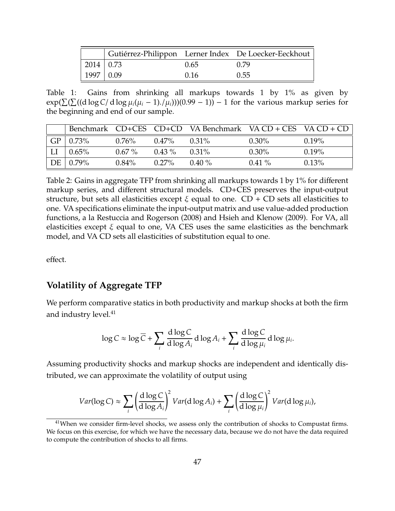<span id="page-46-0"></span>

|                  |      | Gutiérrez-Philippon Lerner Index De Loecker-Eeckhout |
|------------------|------|------------------------------------------------------|
| $2014 \mid 0.73$ | 0.65 | O 79                                                 |
| $1997 \mid 0.09$ | 0.16 | 0.55                                                 |

Table 1: Gains from shrinking all markups towards 1 by 1% as given by  $exp(\sum(\sum((d \log C/\, d \log \mu_i(\mu_i - 1),\mu_i)))(0.99 - 1)) - 1$  for the various markup series for the beginning and end of our sample.

<span id="page-46-1"></span>

|    |                     |          |          | Benchmark $CD+CES$ $CD+CD$ VA Benchmark VA $CD + CES$ VA $CD + CD$ |          |          |
|----|---------------------|----------|----------|--------------------------------------------------------------------|----------|----------|
|    | $GP   0.73\%$       | $0.76\%$ | $0.47\%$ | $0.31\%$                                                           | $0.30\%$ | $0.19\%$ |
| LI | $\pm 0.65\%$        | $0.67\%$ | $0.43\%$ | $0.31\%$                                                           | $0.30\%$ | $0.19\%$ |
|    | $DE \,   \, 0.79\%$ | $0.84\%$ | $0.27\%$ | $0.40\%$                                                           | $0.41\%$ | $0.13\%$ |

Table 2: Gains in aggregate TFP from shrinking all markups towards 1 by 1% for different markup series, and different structural models. CD+CES preserves the input-output structure, but sets all elasticities except  $\xi$  equal to one. CD + CD sets all elasticities to one. VA specifications eliminate the input-output matrix and use value-added production functions, a la [Restuccia and Rogerson](#page-72-1) [\(2008\)](#page-72-1) and [Hsieh and Klenow](#page-70-4) [\(2009\)](#page-70-4). For VA, all elasticities except  $\xi$  equal to one, VA CES uses the same elasticities as the benchmark model, and VA CD sets all elasticities of substitution equal to one.

effect.

## **Volatility of Aggregate TFP**

We perform comparative statics in both productivity and markup shocks at both the firm and industry level.<sup>[41](#page-0-0)</sup>

<span id="page-46-2"></span>
$$
\log C \approx \log \overline{C} + \sum_{i} \frac{d \log C}{d \log A_i} d \log A_i + \sum_{i} \frac{d \log C}{d \log \mu_i} d \log \mu_i.
$$

Assuming productivity shocks and markup shocks are independent and identically distributed, we can approximate the volatility of output using

$$
Var(\log C) \approx \sum_{i} \left(\frac{d \log C}{d \log A_i}\right)^2 Var(d \log A_i) + \sum_{i} \left(\frac{d \log C}{d \log \mu_i}\right)^2 Var(d \log \mu_i),
$$

 $41$ When we consider firm-level shocks, we assess only the contribution of shocks to Compustat firms. We focus on this exercise, for which we have the necessary data, because we do not have the data required to compute the contribution of shocks to all firms.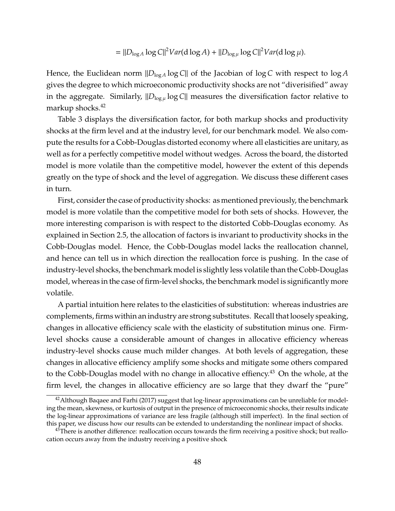$$
= ||D_{\log A} \log C||^2 Var(d \log A) + ||D_{\log \mu} \log C||^2 Var(d \log \mu).
$$

Hence, the Euclidean norm  $\|D_{\log A}\log C\|$  of the Jacobian of log *C* with respect to log *A* gives the degree to which microeconomic productivity shocks are not "diverisified" away in the aggregate. Similarly,  $\|D_{\log \mu}\log C\|$  measures the diversification factor relative to markup shocks.<sup>[42](#page-0-0)</sup>

Table [3](#page-48-0) displays the diversification factor, for both markup shocks and productivity shocks at the firm level and at the industry level, for our benchmark model. We also compute the results for a Cobb-Douglas distorted economy where all elasticities are unitary, as well as for a perfectly competitive model without wedges. Across the board, the distorted model is more volatile than the competitive model, however the extent of this depends greatly on the type of shock and the level of aggregation. We discuss these different cases in turn.

First, consider the case of productivity shocks: as mentioned previously, the benchmark model is more volatile than the competitive model for both sets of shocks. However, the more interesting comparison is with respect to the distorted Cobb-Douglas economy. As explained in Section [2.5,](#page-15-1) the allocation of factors is invariant to productivity shocks in the Cobb-Douglas model. Hence, the Cobb-Douglas model lacks the reallocation channel, and hence can tell us in which direction the reallocation force is pushing. In the case of industry-level shocks, the benchmark model is slightly less volatile than the Cobb-Douglas model, whereas in the case of firm-level shocks, the benchmark model is significantly more volatile.

A partial intuition here relates to the elasticities of substitution: whereas industries are complements, firms within an industry are strong substitutes. Recall that loosely speaking, changes in allocative efficiency scale with the elasticity of substitution minus one. Firmlevel shocks cause a considerable amount of changes in allocative efficiency whereas industry-level shocks cause much milder changes. At both levels of aggregation, these changes in allocative efficiency amplify some shocks and mitigate some others compared to the Cobb-Douglas model with no change in allocative effiency.<sup>[43](#page-0-0)</sup> On the whole, at the firm level, the changes in allocative efficiency are so large that they dwarf the "pure"

 $42$ Although [Baqaee and Farhi](#page-67-0) [\(2017\)](#page-67-0) suggest that log-linear approximations can be unreliable for modeling the mean, skewness, or kurtosis of output in the presence of microeconomic shocks, their results indicate the log-linear approximations of variance are less fragile (although still imperfect). In the final section of this paper, we discuss how our results can be extended to understanding the nonlinear impact of shocks.

 $43$ There is another difference: reallocation occurs towards the firm receiving a positive shock; but reallocation occurs away from the industry receiving a positive shock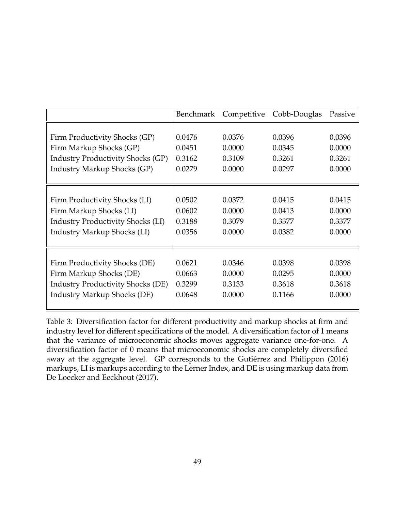<span id="page-48-0"></span>

|                                          | <b>Benchmark</b> | Competitive | Cobb-Douglas | Passive |
|------------------------------------------|------------------|-------------|--------------|---------|
|                                          |                  |             |              |         |
| Firm Productivity Shocks (GP)            | 0.0476           | 0.0376      | 0.0396       | 0.0396  |
| Firm Markup Shocks (GP)                  | 0.0451           | 0.0000      | 0.0345       | 0.0000  |
| <b>Industry Productivity Shocks (GP)</b> | 0.3162           | 0.3109      | 0.3261       | 0.3261  |
| <b>Industry Markup Shocks (GP)</b>       | 0.0279           | 0.0000      | 0.0297       | 0.0000  |
|                                          |                  |             |              |         |
|                                          |                  |             |              |         |
| Firm Productivity Shocks (LI)            | 0.0502           | 0.0372      | 0.0415       | 0.0415  |
| Firm Markup Shocks (LI)                  | 0.0602           | 0.0000      | 0.0413       | 0.0000  |
| <b>Industry Productivity Shocks (LI)</b> | 0.3188           | 0.3079      | 0.3377       | 0.3377  |
| <b>Industry Markup Shocks (LI)</b>       | 0.0356           | 0.0000      | 0.0382       | 0.0000  |
|                                          |                  |             |              |         |
|                                          |                  |             |              |         |
| Firm Productivity Shocks (DE)            | 0.0621           | 0.0346      | 0.0398       | 0.0398  |
| Firm Markup Shocks (DE)                  | 0.0663           | 0.0000      | 0.0295       | 0.0000  |
| <b>Industry Productivity Shocks (DE)</b> | 0.3299           | 0.3133      | 0.3618       | 0.3618  |
| <b>Industry Markup Shocks (DE)</b>       | 0.0648           | 0.0000      | 0.1166       | 0.0000  |
|                                          |                  |             |              |         |

Table 3: Diversification factor for different productivity and markup shocks at firm and industry level for different specifications of the model. A diversification factor of 1 means that the variance of microeconomic shocks moves aggregate variance one-for-one. A diversification factor of 0 means that microeconomic shocks are completely diversified away at the aggregate level. GP corresponds to the Gutiérrez and Philippon [\(2016\)](#page-70-0) markups, LI is markups according to the Lerner Index, and DE is using markup data from [De Loecker and Eeckhout](#page-69-0) [\(2017\)](#page-69-0).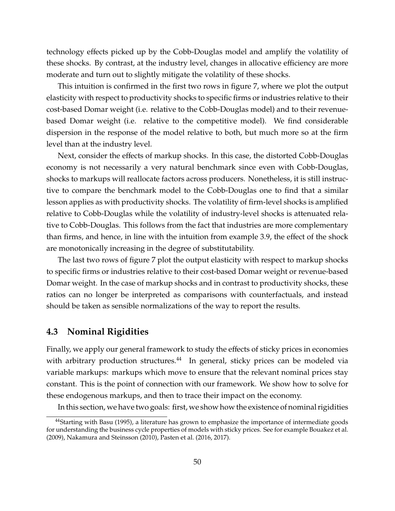technology effects picked up by the Cobb-Douglas model and amplify the volatility of these shocks. By contrast, at the industry level, changes in allocative efficiency are more moderate and turn out to slightly mitigate the volatility of these shocks.

This intuition is confirmed in the first two rows in figure [7,](#page-50-0) where we plot the output elasticity with respect to productivity shocks to specific firms or industries relative to their cost-based Domar weight (i.e. relative to the Cobb-Douglas model) and to their revenuebased Domar weight (i.e. relative to the competitive model). We find considerable dispersion in the response of the model relative to both, but much more so at the firm level than at the industry level.

Next, consider the effects of markup shocks. In this case, the distorted Cobb-Douglas economy is not necessarily a very natural benchmark since even with Cobb-Douglas, shocks to markups will reallocate factors across producers. Nonetheless, it is still instructive to compare the benchmark model to the Cobb-Douglas one to find that a similar lesson applies as with productivity shocks. The volatility of firm-level shocks is amplified relative to Cobb-Douglas while the volatility of industry-level shocks is attenuated relative to Cobb-Douglas. This follows from the fact that industries are more complementary than firms, and hence, in line with the intuition from example [3.9,](#page-38-0) the effect of the shock are monotonically increasing in the degree of substitutability.

The last two rows of figure [7](#page-50-0) plot the output elasticity with respect to markup shocks to specific firms or industries relative to their cost-based Domar weight or revenue-based Domar weight. In the case of markup shocks and in contrast to productivity shocks, these ratios can no longer be interpreted as comparisons with counterfactuals, and instead should be taken as sensible normalizations of the way to report the results.

### <span id="page-49-0"></span>**4.3 Nominal Rigidities**

Finally, we apply our general framework to study the effects of sticky prices in economies with arbitrary production structures.<sup>[44](#page-0-0)</sup> In general, sticky prices can be modeled via variable markups: markups which move to ensure that the relevant nominal prices stay constant. This is the point of connection with our framework. We show how to solve for these endogenous markups, and then to trace their impact on the economy.

In this section, we have two goals: first, we show how the existence of nominal rigidities

<sup>&</sup>lt;sup>44</sup>Starting with [Basu](#page-68-2) [\(1995\)](#page-68-2), a literature has grown to emphasize the importance of intermediate goods for understanding the business cycle properties of models with sticky prices. See for example [Bouakez et al.](#page-68-3) [\(2009\)](#page-68-3), [Nakamura and Steinsson](#page-71-0) [\(2010\)](#page-71-0), [Pasten et al.](#page-71-1) [\(2016,](#page-71-1) [2017\)](#page-71-2).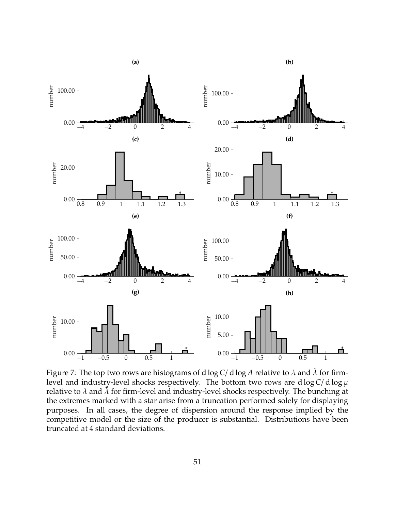<span id="page-50-0"></span>

Figure 7: The top two rows are histograms of d log  $C/d \log A$  relative to  $\lambda$  and  $\lambda$  for firmlevel and industry-level shocks respectively. The bottom two rows are  $d \log C / d \log \mu$ relative to  $\lambda$  and  $\tilde{\lambda}$  for firm-level and industry-level shocks respectively. The bunching at the extremes marked with a star arise from a truncation performed solely for displaying purposes. In all cases, the degree of dispersion around the response implied by the competitive model or the size of the producer is substantial. Distributions have been truncated at 4 standard deviations.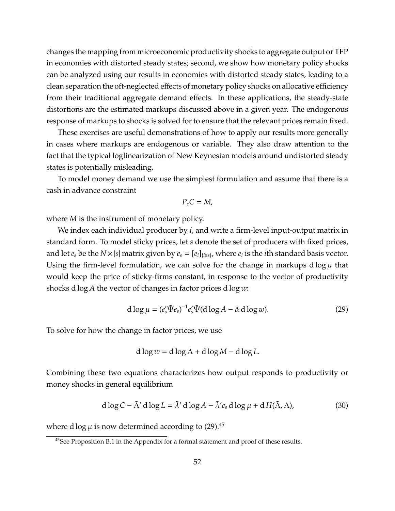changes the mapping from microeconomic productivity shocks to aggregate output or TFP in economies with distorted steady states; second, we show how monetary policy shocks can be analyzed using our results in economies with distorted steady states, leading to a clean separation the oft-neglected effects of monetary policy shocks on allocative efficiency from their traditional aggregate demand effects. In these applications, the steady-state distortions are the estimated markups discussed above in a given year. The endogenous response of markups to shocks is solved for to ensure that the relevant prices remain fixed.

These exercises are useful demonstrations of how to apply our results more generally in cases where markups are endogenous or variable. They also draw attention to the fact that the typical loglinearization of New Keynesian models around undistorted steady states is potentially misleading.

To model money demand we use the simplest formulation and assume that there is a cash in advance constraint

$$
P_c C = M,
$$

where *M* is the instrument of monetary policy.

We index each individual producer by *i*, and write a firm-level input-output matrix in standard form. To model sticky prices, let *s* denote the set of producers with fixed prices, and let  $e_s$  be the  $N \times |s|$  matrix given by  $e_s = [e_i]_{\{i \in s\}}$ , where  $e_i$  is the *i*th standard basis vector. Using the firm-level formulation, we can solve for the change in markups d  $\log \mu$  that would keep the price of sticky-firms constant, in response to the vector of productivity shocks d log *A* the vector of changes in factor prices d log *w*:

$$
d \log \mu = (e'_s \tilde{\Psi} e_s)^{-1} e'_s \tilde{\Psi} (d \log A - \tilde{\alpha} d \log w). \tag{29}
$$

To solve for how the change in factor prices, we use

<span id="page-51-0"></span>
$$
d \log w = d \log \Lambda + d \log M - d \log L.
$$

Combining these two equations characterizes how output responds to productivity or money shocks in general equilibrium

$$
d \log C - \tilde{\Lambda}' d \log L = \tilde{\lambda}' d \log A - \tilde{\lambda}' e_s d \log \mu + d H(\tilde{\Lambda}, \Lambda),
$$
 (30)

where d log  $\mu$  is now determined according to [\(29\)](#page-46-2).<sup>[45](#page-0-0)</sup>

<sup>&</sup>lt;sup>45</sup>See Proposition [B.1](#page-91-0) in the Appendix for a formal statement and proof of these results.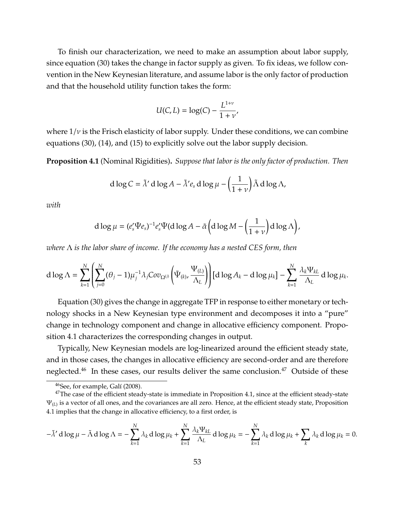To finish our characterization, we need to make an assumption about labor supply, since equation [\(30\)](#page-51-0) takes the change in factor supply as given. To fix ideas, we follow convention in the New Keynesian literature, and assume labor is the only factor of production and that the household utility function takes the form:

$$
U(C, L) = \log(C) - \frac{L^{1+\nu}}{1+\nu},
$$

where  $1/v$  is the Frisch elasticity of labor supply. Under these conditions, we can combine equations [\(30\)](#page-51-0), [\(14\)](#page-22-0), and [\(15\)](#page-22-1) to explicitly solve out the labor supply decision.

<span id="page-52-0"></span>**Proposition 4.1** (Nominal Rigidities)**.** *Suppose that labor is the only factor of production. Then*

$$
d \log C = \tilde{\lambda}' d \log A - \tilde{\lambda}' e_s d \log \mu - \left(\frac{1}{1+\nu}\right) \tilde{\Lambda} d \log \Lambda,
$$

*with*

d log 
$$
\mu = (e'_s \tilde{\Psi} e_s)^{-1} e'_s \tilde{\Psi}(\text{d log } A - \tilde{\alpha} \left( \text{d log } M - \left( \frac{1}{1+\nu} \right) \text{d log } \Lambda \right),
$$

*where* Λ *is the labor share of income. If the economy has a nested CES form, then*

$$
d \log \Lambda = \sum_{k=1}^N \left( \sum_{j=0}^N (\theta_j - 1) \mu_j^{-1} \lambda_j Cov_{\Omega^{(j)}} \left( \tilde{\Psi}_{(k)}, \frac{\Psi_{(L)}}{\Lambda_L} \right) \right) [d \log A_k - d \log \mu_k] - \sum_{k=1}^N \frac{\lambda_k \Psi_{kL}}{\Lambda_L} d \log \mu_k.
$$

Equation [\(30\)](#page-51-0) gives the change in aggregate TFP in response to either monetary or technology shocks in a New Keynesian type environment and decomposes it into a "pure" change in technology component and change in allocative efficiency component. Proposition [4.1](#page-52-0) characterizes the corresponding changes in output.

Typically, New Keynesian models are log-linearized around the efficient steady state, and in those cases, the changes in allocative efficiency are second-order and are therefore neglected.<sup>[46](#page-0-0)</sup> In these cases, our results deliver the same conclusion.<sup>[47](#page-0-0)</sup> Outside of these

$$
-\tilde{\lambda}' \, d \log \mu - \tilde{\Lambda} \, d \log \Lambda = -\sum_{k=1}^N \lambda_k \, d \log \mu_k + \sum_{k=1}^N \frac{\lambda_k \Psi_{kL}}{\Lambda_L} \, d \log \mu_k = -\sum_{k=1}^N \lambda_k \, d \log \mu_k + \sum_k \lambda_k \, d \log \mu_k = 0.
$$

 $46$ See, for example, Galí [\(2008\)](#page-69-3).

 $47$ The case of the efficient steady-state is immediate in Proposition [4.1,](#page-52-0) since at the efficient steady-state  $\Psi_{(L)}$  is a vector of all ones, and the covariances are all zero. Hence, at the efficient steady state, Proposition [4.1](#page-52-0) implies that the change in allocative efficiency, to a first order, is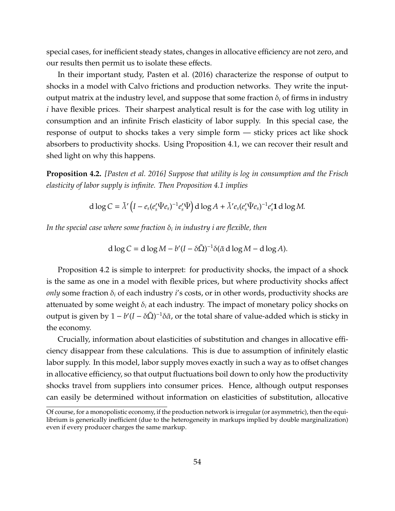special cases, for inefficient steady states, changes in allocative efficiency are not zero, and our results then permit us to isolate these effects.

In their important study, [Pasten et al.](#page-71-1) [\(2016\)](#page-71-1) characterize the response of output to shocks in a model with Calvo frictions and production networks. They write the inputoutput matrix at the industry level, and suppose that some fraction  $\delta_i$  of firms in industry *i* have flexible prices. Their sharpest analytical result is for the case with log utility in consumption and an infinite Frisch elasticity of labor supply. In this special case, the response of output to shocks takes a very simple form — sticky prices act like shock absorbers to productivity shocks. Using Proposition [4.1,](#page-52-0) we can recover their result and shed light on why this happens.

<span id="page-53-0"></span>**Proposition 4.2.** *[\[Pasten et al. 2016\]](#page-71-1) Suppose that utility is log in consumption and the Frisch elasticity of labor supply is infinite. Then Proposition [4.1](#page-52-0) implies*

$$
d \log C = \tilde{\lambda}' \left( I - e_s (e_s' \tilde{\Psi} e_s)^{-1} e_s' \tilde{\Psi} \right) d \log A + \tilde{\lambda}' e_s (e_s' \tilde{\Psi} e_s)^{-1} e_s' \mathbf{1} d \log M.
$$

*In the special case where some fraction* δ*<sup>i</sup> in industry i are flexible, then*

$$
d \log C = d \log M - b'(I - \delta \tilde{\Omega})^{-1} \delta(\tilde{\alpha} d \log M - d \log A).
$$

Proposition [4.2](#page-53-0) is simple to interpret: for productivity shocks, the impact of a shock is the same as one in a model with flexible prices, but where productivity shocks affect *only* some fraction δ*<sup>i</sup>* of each industry *i*'s costs, or in other words, productivity shocks are attenuated by some weight  $\delta_i$  at each industry. The impact of monetary policy shocks on output is given by  $1 - b'(I - \delta \tilde{\Omega})^{-1} \delta \tilde{\alpha}$ , or the total share of value-added which is sticky in the economy.

Crucially, information about elasticities of substitution and changes in allocative efficiency disappear from these calculations. This is due to assumption of infinitely elastic labor supply. In this model, labor supply moves exactly in such a way as to offset changes in allocative efficiency, so that output fluctuations boil down to only how the productivity shocks travel from suppliers into consumer prices. Hence, although output responses can easily be determined without information on elasticities of substitution, allocative

Of course, for a monopolistic economy, if the production network is irregular (or asymmetric), then the equilibrium is generically inefficient (due to the heterogeneity in markups implied by double marginalization) even if every producer charges the same markup.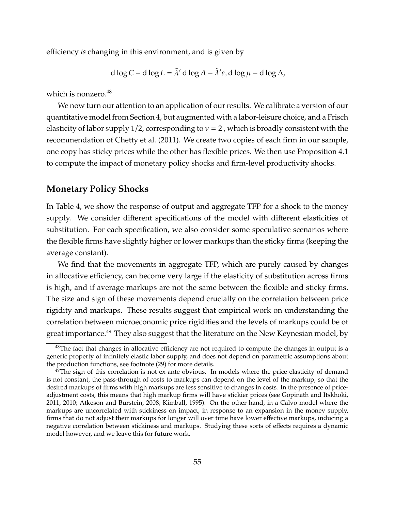efficiency *is* changing in this environment, and is given by

$$
d \log C - d \log L = \tilde{\lambda}' d \log A - \tilde{\lambda}' e_s d \log \mu - d \log \Lambda,
$$

which is nonzero. $48$ 

We now turn our attention to an application of our results. We calibrate a version of our quantitative model from Section [4,](#page-39-0) but augmented with a labor-leisure choice, and a Frisch elasticity of labor supply 1/2, corresponding to  $v = 2$ , which is broadly consistent with the recommendation of [Chetty et al.](#page-69-4) [\(2011\)](#page-69-4). We create two copies of each firm in our sample, one copy has sticky prices while the other has flexible prices. We then use Proposition [4.1](#page-52-0) to compute the impact of monetary policy shocks and firm-level productivity shocks.

## **Monetary Policy Shocks**

In Table [4,](#page-56-0) we show the response of output and aggregate TFP for a shock to the money supply. We consider different specifications of the model with different elasticities of substitution. For each specification, we also consider some speculative scenarios where the flexible firms have slightly higher or lower markups than the sticky firms (keeping the average constant).

We find that the movements in aggregate TFP, which are purely caused by changes in allocative efficiency, can become very large if the elasticity of substitution across firms is high, and if average markups are not the same between the flexible and sticky firms. The size and sign of these movements depend crucially on the correlation between price rigidity and markups. These results suggest that empirical work on understanding the correlation between microeconomic price rigidities and the levels of markups could be of great importance.<sup>[49](#page-0-0)</sup> They also suggest that the literature on the New Keynesian model, by

<sup>&</sup>lt;sup>48</sup>The fact that changes in allocative efficiency are not required to compute the changes in output is a generic property of infinitely elastic labor supply, and does not depend on parametric assumptions about the production functions, see footnote [\(29\)](#page-22-1) for more details.

 $49$ The sign of this correlation is not ex-ante obvious. In models where the price elasticity of demand is not constant, the pass-through of costs to markups can depend on the level of the markup, so that the desired markups of firms with high markups are less sensitive to changes in costs. In the presence of priceadjustment costs, this means that high markup firms will have stickier prices (see [Gopinath and Itskhoki,](#page-70-5) [2011,](#page-70-5) [2010;](#page-70-6) [Atkeson and Burstein, 2008;](#page-67-2) [Kimball, 1995\)](#page-71-3). On the other hand, in a Calvo model where the markups are uncorrelated with stickiness on impact, in response to an expansion in the money supply, firms that do not adjust their markups for longer will over time have lower effective markups, inducing a negative correlation between stickiness and markups. Studying these sorts of effects requires a dynamic model however, and we leave this for future work.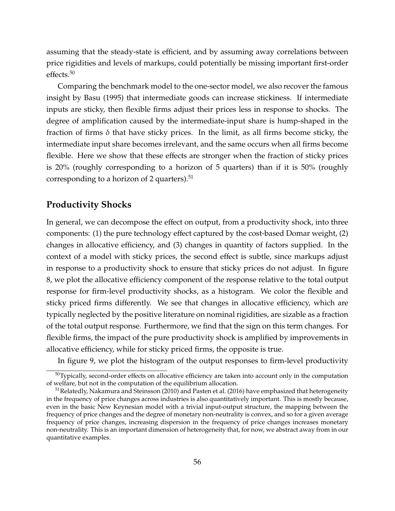assuming that the steady-state is efficient, and by assuming away correlations between price rigidities and levels of markups, could potentially be missing important first-order effects.<sup>[50](#page-0-0)</sup>

Comparing the benchmark model to the one-sector model, we also recover the famous insight by [Basu](#page-68-2) [\(1995\)](#page-68-2) that intermediate goods can increase stickiness. If intermediate inputs are sticky, then flexible firms adjust their prices less in response to shocks. The degree of amplification caused by the intermediate-input share is hump-shaped in the fraction of firms  $\delta$  that have sticky prices. In the limit, as all firms become sticky, the intermediate input share becomes irrelevant, and the same occurs when all firms become flexible. Here we show that these effects are stronger when the fraction of sticky prices is 20% (roughly corresponding to a horizon of 5 quarters) than if it is 50% (roughly corresponding to a horizon of 2 quarters). $51$ 

### **Productivity Shocks**

In general, we can decompose the effect on output, from a productivity shock, into three components: (1) the pure technology effect captured by the cost-based Domar weight, (2) changes in allocative efficiency, and (3) changes in quantity of factors supplied. In the context of a model with sticky prices, the second effect is subtle, since markups adjust in response to a productivity shock to ensure that sticky prices do not adjust. In figure [8,](#page-58-0) we plot the allocative efficiency component of the response relative to the total output response for firm-level productivity shocks, as a histogram. We color the flexible and sticky priced firms differently. We see that changes in allocative efficiency, which are typically neglected by the positive literature on nominal rigidities, are sizable as a fraction of the total output response. Furthermore, we find that the sign on this term changes. For flexible firms, the impact of the pure productivity shock is amplified by improvements in allocative efficiency, while for sticky priced firms, the opposite is true.

In figure [9,](#page-58-0) we plot the histogram of the output responses to firm-level productivity

<sup>&</sup>lt;sup>50</sup>Typically, second-order effects on allocative efficiency are taken into account only in the computation of welfare, but not in the computation of the equilibrium allocation.

<sup>&</sup>lt;sup>51</sup> Relatedly, [Nakamura and Steinsson](#page-71-0) [\(2010\)](#page-71-0) and [Pasten et al.](#page-71-1) [\(2016\)](#page-71-1) have emphasized that heterogeneity in the frequency of price changes across industries is also quantitatively important. This is mostly because, even in the basic New Keynesian model with a trivial input-output structure, the mapping between the frequency of price changes and the degree of monetary non-neutrality is convex, and so for a given average frequency of price changes, increasing dispersion in the frequency of price changes increases monetary non-neutrality. This is an important dimension of heterogeneity that, for now, we abstract away from in our quantitative examples.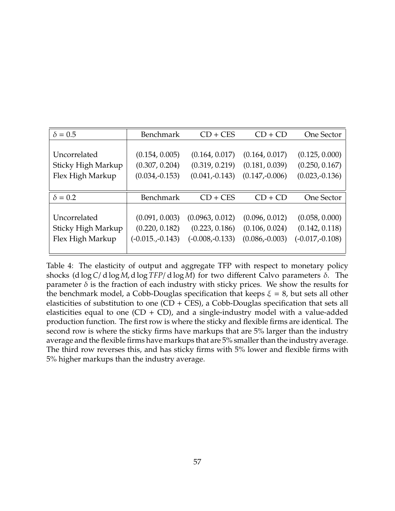<span id="page-56-0"></span>

| $\delta = 0.5$     | Benchmark          | $CD + CES$        | $CD + CD$        | One Sector        |
|--------------------|--------------------|-------------------|------------------|-------------------|
|                    |                    |                   |                  |                   |
| Uncorrelated       | (0.154, 0.005)     | (0.164, 0.017)    | (0.164, 0.017)   | (0.125, 0.000)    |
| Sticky High Markup | (0.307, 0.204)     | (0.319, 0.219)    | (0.181, 0.039)   | (0.250, 0.167)    |
| Flex High Markup   | $(0.034,-0.153)$   | $(0.041,-0.143)$  | $(0.147,-0.006)$ | $(0.023,-0.136)$  |
|                    |                    |                   |                  |                   |
| $\delta = 0.2$     | Benchmark          | $CD + CES$        | $CD + CD$        | One Sector        |
|                    |                    |                   |                  |                   |
|                    |                    |                   |                  |                   |
| Uncorrelated       | (0.091, 0.003)     | (0.0963, 0.012)   | (0.096, 0.012)   | (0.058, 0.000)    |
| Sticky High Markup | (0.220, 0.182)     | (0.223, 0.186)    | (0.106, 0.024)   | (0.142, 0.118)    |
| Flex High Markup   | $(-0.015, -0.143)$ | $(-0.008,-0.133)$ | $(0.086,-0.003)$ | $(-0.017,-0.108)$ |

Table 4: The elasticity of output and aggregate TFP with respect to monetary policy shocks (d log*C*/ d log *M*, d log *TFP*/ d log *M*) for two different Calvo parameters δ. The parameter  $\delta$  is the fraction of each industry with sticky prices. We show the results for the benchmark model, a Cobb-Douglas specification that keeps  $\xi = 8$ , but sets all other elasticities of substitution to one  $(CD + CES)$ , a Cobb-Douglas specification that sets all elasticities equal to one  $(CD + CD)$ , and a single-industry model with a value-added production function. The first row is where the sticky and flexible firms are identical. The second row is where the sticky firms have markups that are 5% larger than the industry average and the flexible firms have markups that are 5% smaller than the industry average. The third row reverses this, and has sticky firms with 5% lower and flexible firms with 5% higher markups than the industry average.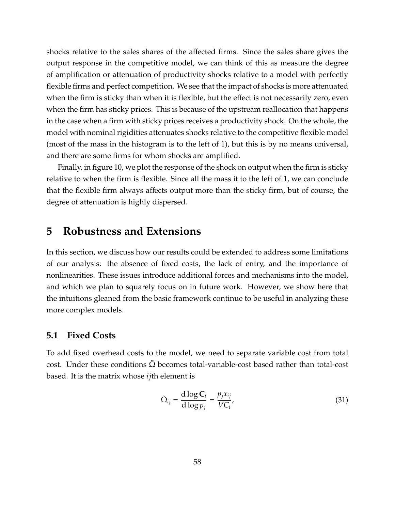shocks relative to the sales shares of the affected firms. Since the sales share gives the output response in the competitive model, we can think of this as measure the degree of amplification or attenuation of productivity shocks relative to a model with perfectly flexible firms and perfect competition. We see that the impact of shocks is more attenuated when the firm is sticky than when it is flexible, but the effect is not necessarily zero, even when the firm has sticky prices. This is because of the upstream reallocation that happens in the case when a firm with sticky prices receives a productivity shock. On the whole, the model with nominal rigidities attenuates shocks relative to the competitive flexible model (most of the mass in the histogram is to the left of 1), but this is by no means universal, and there are some firms for whom shocks are amplified.

Finally, in figure [10,](#page-59-0) we plot the response of the shock on output when the firm is sticky relative to when the firm is flexible. Since all the mass it to the left of 1, we can conclude that the flexible firm always affects output more than the sticky firm, but of course, the degree of attenuation is highly dispersed.

## <span id="page-57-0"></span>**5 Robustness and Extensions**

In this section, we discuss how our results could be extended to address some limitations of our analysis: the absence of fixed costs, the lack of entry, and the importance of nonlinearities. These issues introduce additional forces and mechanisms into the model, and which we plan to squarely focus on in future work. However, we show here that the intuitions gleaned from the basic framework continue to be useful in analyzing these more complex models.

### **5.1 Fixed Costs**

To add fixed overhead costs to the model, we need to separate variable cost from total cost. Under these conditions  $\Omega$  becomes total-variable-cost based rather than total-cost based. It is the matrix whose *ij*th element is

$$
\tilde{\Omega}_{ij} = \frac{\mathrm{d}\log \mathbf{C}_i}{\mathrm{d}\log p_j} = \frac{p_j x_{ij}}{V C_i},\tag{31}
$$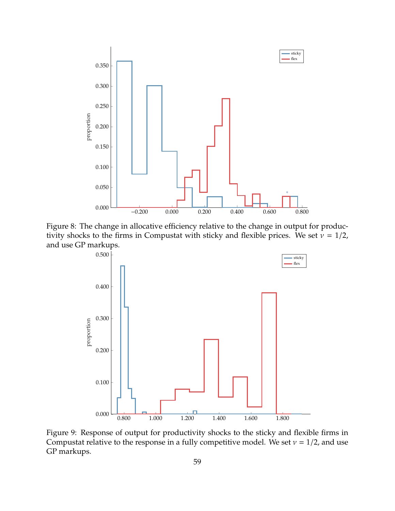<span id="page-58-0"></span>

Figure 8: The change in allocative efficiency relative to the change in output for productivity shocks to the firms in Compustat with sticky and flexible prices. We set  $v = 1/2$ , and use GP markups.



Figure 9: Response of output for productivity shocks to the sticky and flexible firms in Compustat relative to the response in a fully competitive model. We set  $v = 1/2$ , and use GP markups.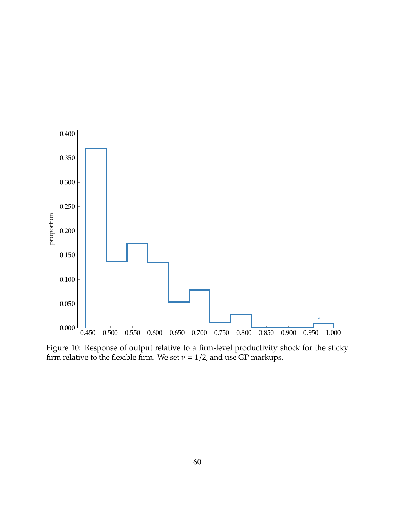<span id="page-59-0"></span>

Figure 10: Response of output relative to a firm-level productivity shock for the sticky firm relative to the flexible firm. We set  $v = 1/2$ , and use GP markups.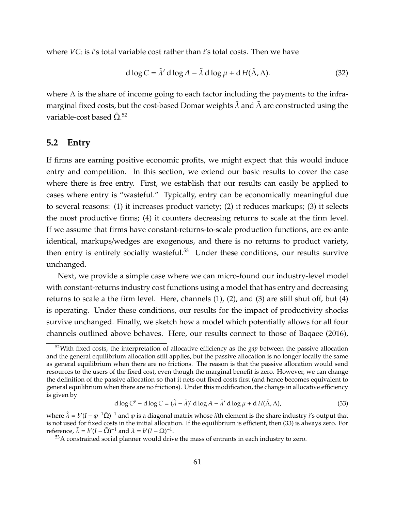where *VC<sup>i</sup>* is *i*'s total variable cost rather than *i*'s total costs. Then we have

$$
d \log C = \tilde{\lambda}' d \log A - \tilde{\lambda} d \log \mu + d H(\tilde{\Lambda}, \Lambda).
$$
 (32)

where  $\Lambda$  is the share of income going to each factor including the payments to the inframarginal fixed costs, but the cost-based Domar weights  $\tilde{\lambda}$  and  $\tilde{\Lambda}$  are constructed using the variable-cost based  $\tilde{\Omega}$ .<sup>[52](#page-0-0)</sup>

### **5.2 Entry**

If firms are earning positive economic profits, we might expect that this would induce entry and competition. In this section, we extend our basic results to cover the case where there is free entry. First, we establish that our results can easily be applied to cases where entry is "wasteful." Typically, entry can be economically meaningful due to several reasons: (1) it increases product variety; (2) it reduces markups; (3) it selects the most productive firms; (4) it counters decreasing returns to scale at the firm level. If we assume that firms have constant-returns-to-scale production functions, are ex-ante identical, markups/wedges are exogenous, and there is no returns to product variety, then entry is entirely socially wasteful. $53$  Under these conditions, our results survive unchanged.

Next, we provide a simple case where we can micro-found our industry-level model with constant-returns industry cost functions using a model that has entry and decreasing returns to scale a the firm level. Here, channels (1), (2), and (3) are still shut off, but (4) is operating. Under these conditions, our results for the impact of productivity shocks survive unchanged. Finally, we sketch how a model which potentially allows for all four channels outlined above behaves. Here, our results connect to those of [Baqaee](#page-67-3) [\(2016\)](#page-67-3),

<span id="page-60-0"></span>
$$
d \log C^{p} - d \log C = (\hat{\lambda} - \tilde{\lambda})' d \log A - \tilde{\lambda}' d \log \mu + d H(\tilde{\Lambda}, \Lambda),
$$
\n(33)

<sup>52</sup>With fixed costs, the interpretation of allocative efficiency as the *gap* between the passive allocation and the general equilibrium allocation still applies, but the passive allocation is no longer locally the same as general equilibrium when there are no frictions. The reason is that the passive allocation would send resources to the users of the fixed cost, even though the marginal benefit is zero. However, we can change the definition of the passive allocation so that it nets out fixed costs first (and hence becomes equivalent to general equilibrium when there are no frictions). Under this modification, the change in allocative efficiency is given by

where  $\hat{\lambda} = b'(I - \varphi^{-1} \tilde{\Omega})^{-1}$  and  $\varphi$  is a diagonal matrix whose *ii*th element is the share industry *i*'s output that is not used for fixed costs in the initial allocation. If the equilibrium is efficient, then [\(33\)](#page-60-0) is always zero. For reference,  $\tilde{\lambda} = b'(I - \tilde{\Omega})^{-1}$  and  $\lambda = b'(I - \Omega)^{-1}$ .

<sup>&</sup>lt;sup>53</sup>A constrained social planner would drive the mass of entrants in each industry to zero.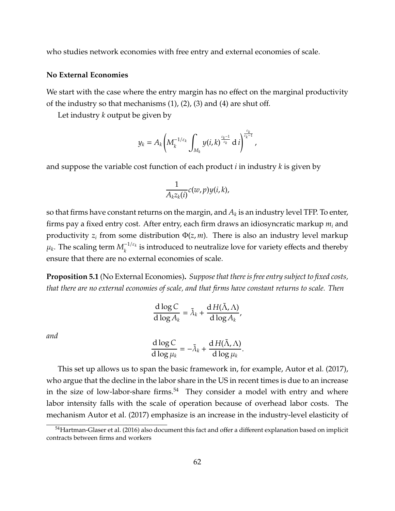who studies network economies with free entry and external economies of scale.

### **No External Economies**

We start with the case where the entry margin has no effect on the marginal productivity of the industry so that mechanisms  $(1)$ ,  $(2)$ ,  $(3)$  and  $(4)$  are shut off.

Let industry *k* output be given by

$$
y_k=A_k\bigg(M_k^{-1/\varepsilon_k}\int_{M_k}y(i,k)^{\frac{\varepsilon_k-1}{\varepsilon_k}}\,\mathrm{d}\,i\bigg)^{\frac{\varepsilon_k}{\varepsilon_k-1}}\,,
$$

and suppose the variable cost function of each product *i* in industry *k* is given by

$$
\frac{1}{A_k z_k(i)} c(w, p) y(i, k),
$$

so that firms have constant returns on the margin, and  $A_k$  is an industry level TFP. To enter, firms pay a fixed entry cost. After entry, each firm draws an idiosyncratic markup *m<sup>i</sup>* and productivity  $z_i$  from some distribution  $\Phi(z, m)$ . There is also an industry level markup  $μ_k$ . The scaling term  $M_k^{-1/ε_k}$  $\frac{1}{k}$  is introduced to neutralize love for variety effects and thereby ensure that there are no external economies of scale.

**Proposition 5.1** (No External Economies)**.** *Suppose that there is free entry subject to fixed costs, that there are no external economies of scale, and that firms have constant returns to scale. Then*

$$
\frac{\mathrm{d}\log C}{\mathrm{d}\log A_k} = \tilde{\lambda}_k + \frac{\mathrm{d}\,H(\tilde{\Lambda},\Lambda)}{\mathrm{d}\log A_k},
$$

*and*

$$
\frac{\mathrm{d}\log C}{\mathrm{d}\log\mu_k} = -\tilde{\lambda}_k + \frac{\mathrm{d}\,H(\tilde{\Lambda},\Lambda)}{\mathrm{d}\log\mu_k}.
$$

This set up allows us to span the basic framework in, for example, [Autor et al.](#page-67-4) [\(2017\)](#page-67-4), who argue that the decline in the labor share in the US in recent times is due to an increase in the size of low-labor-share firms. $54$  They consider a model with entry and where labor intensity falls with the scale of operation because of overhead labor costs. The mechanism [Autor et al.](#page-67-4) [\(2017\)](#page-67-4) emphasize is an increase in the industry-level elasticity of

<sup>&</sup>lt;sup>54</sup>[Hartman-Glaser et al.](#page-70-7) [\(2016\)](#page-70-7) also document this fact and offer a different explanation based on implicit contracts between firms and workers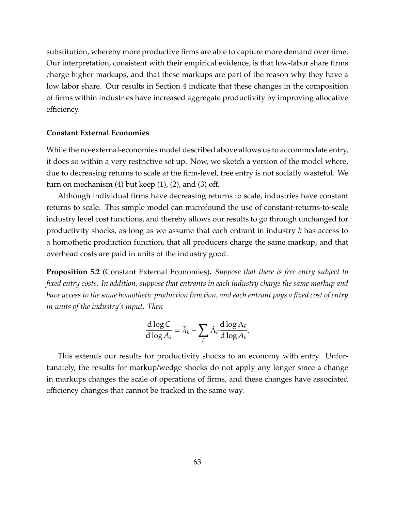substitution, whereby more productive firms are able to capture more demand over time. Our interpretation, consistent with their empirical evidence, is that low-labor share firms charge higher markups, and that these markups are part of the reason why they have a low labor share. Our results in Section [4](#page-39-0) indicate that these changes in the composition of firms within industries have increased aggregate productivity by improving allocative efficiency.

### **Constant External Economies**

While the no-external-economies model described above allows us to accommodate entry, it does so within a very restrictive set up. Now, we sketch a version of the model where, due to decreasing returns to scale at the firm-level, free entry is not socially wasteful. We turn on mechanism  $(4)$  but keep  $(1)$ ,  $(2)$ , and  $(3)$  off.

Although individual firms have decreasing returns to scale, industries have constant returns to scale. This simple model can microfound the use of constant-returns-to-scale industry level cost functions, and thereby allows our results to go through unchanged for productivity shocks, as long as we assume that each entrant in industry *k* has access to a homothetic production function, that all producers charge the same markup, and that overhead costs are paid in units of the industry good.

**Proposition 5.2** (Constant External Economies)**.** *Suppose that there is free entry subject to fixed entry costs. In addition, suppose that entrants in each industry charge the same markup and have access to the same homothetic production function, and each entrant pays a fixed cost of entry in units of the industry's input. Then*

$$
\frac{\mathrm{d}\log C}{\mathrm{d}\log A_k} = \tilde{\lambda}_k - \sum_F \tilde{\Lambda}_F \frac{\mathrm{d}\log\Lambda_F}{\mathrm{d}\log A_k}.
$$

This extends our results for productivity shocks to an economy with entry. Unfortunately, the results for markup/wedge shocks do not apply any longer since a change in markups changes the scale of operations of firms, and these changes have associated efficiency changes that cannot be tracked in the same way.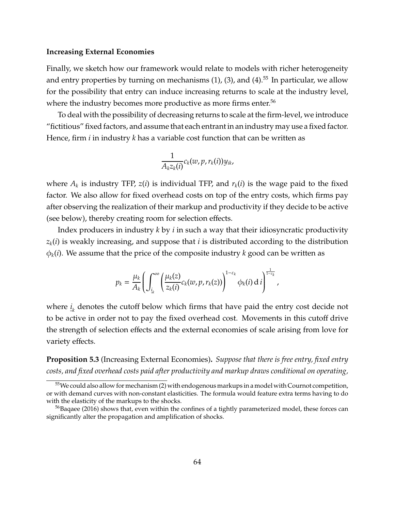### **Increasing External Economies**

Finally, we sketch how our framework would relate to models with richer heterogeneity and entry properties by turning on mechanisms  $(1)$ ,  $(3)$ , and  $(4)$ .<sup>[55](#page-0-0)</sup> In particular, we allow for the possibility that entry can induce increasing returns to scale at the industry level, where the industry becomes more productive as more firms enter.<sup>[56](#page-0-0)</sup>

To deal with the possibility of decreasing returns to scale at the firm-level, we introduce "fictitious" fixed factors, and assume that each entrant in an industry may use a fixed factor. Hence, firm *i* in industry *k* has a variable cost function that can be written as

$$
\frac{1}{A_k z_k(i)} c_k(w, p, r_k(i)) y_{ik},
$$

where  $A_k$  is industry TFP,  $z(i)$  is individual TFP, and  $r_k(i)$  is the wage paid to the fixed factor. We also allow for fixed overhead costs on top of the entry costs, which firms pay after observing the realization of their markup and productivity if they decide to be active (see below), thereby creating room for selection effects.

Index producers in industry *k* by *i* in such a way that their idiosyncratic productivity  $z_k(i)$  is weakly increasing, and suppose that *i* is distributed according to the distribution  $\phi_k(i)$ . We assume that the price of the composite industry *k* good can be written as

$$
p_k = \frac{\mu_k}{A_k} \left( \int_{\underline{i}_k}^{\infty} \left( \frac{\mu_k(z)}{z_k(i)} c_k(w, p, r_k(z)) \right)^{1-\varepsilon_k} \phi_k(i) \, \mathrm{d} \, i \right)^{\frac{1}{1-\varepsilon_k}},
$$

where  $i_{\boldsymbol{k}}$  denotes the cutoff below which firms that have paid the entry cost decide not to be active in order not to pay the fixed overhead cost. Movements in this cutoff drive the strength of selection effects and the external economies of scale arising from love for variety effects.

<span id="page-63-0"></span>**Proposition 5.3** (Increasing External Economies)**.** *Suppose that there is free entry, fixed entry costs, and fixed overhead costs paid after productivity and markup draws conditional on operating,*

<sup>55</sup>We could also allow for mechanism (2) with endogenous markups in a model with Cournot competition, or with demand curves with non-constant elasticities. The formula would feature extra terms having to do with the elasticity of the markups to the shocks.

 $56B$ aqaee [\(2016\)](#page-67-3) shows that, even within the confines of a tightly parameterized model, these forces can significantly alter the propagation and amplification of shocks.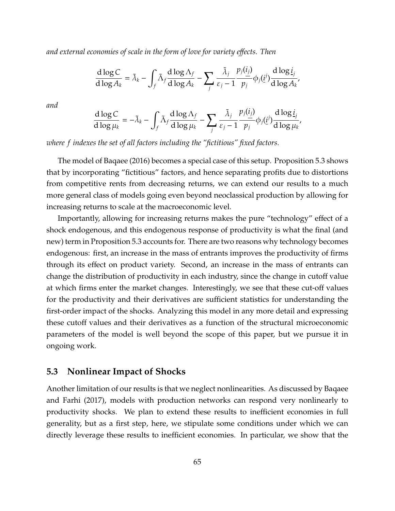*and external economies of scale in the form of love for variety e*ff*ects. Then*

$$
\frac{\mathrm{d}\log C}{\mathrm{d}\log A_k} = \tilde{\lambda}_k - \int_f \tilde{\Lambda}_f \frac{\mathrm{d}\log\Lambda_f}{\mathrm{d}\log A_k} - \sum_j \frac{\tilde{\lambda}_j}{\varepsilon_j - 1} \frac{p_j(i_j)}{p_j} \phi_j(i_j) \frac{\mathrm{d}\log i_j}{\mathrm{d}\log A_k},
$$

*and*

$$
\frac{d \log C}{d \log \mu_k} = -\tilde{\lambda}_k - \int_f \tilde{\Lambda}_f \frac{d \log \Lambda_f}{d \log \mu_k} - \sum_j \frac{\tilde{\lambda}_j}{\varepsilon_j - 1} \frac{p_j(\underline{i}_j)}{p_j} \phi_j(\underline{i}^j) \frac{d \log \underline{i}_j}{d \log \mu_k},
$$

*where f indexes the set of all factors including the "fictitious" fixed factors.*

The model of [Baqaee](#page-67-3) [\(2016\)](#page-67-3) becomes a special case of this setup. Proposition [5.3](#page-63-0) shows that by incorporating "fictitious" factors, and hence separating profits due to distortions from competitive rents from decreasing returns, we can extend our results to a much more general class of models going even beyond neoclassical production by allowing for increasing returns to scale at the macroeconomic level.

Importantly, allowing for increasing returns makes the pure "technology" effect of a shock endogenous, and this endogenous response of productivity is what the final (and new) term in Proposition [5.3](#page-63-0) accounts for. There are two reasons why technology becomes endogenous: first, an increase in the mass of entrants improves the productivity of firms through its effect on product variety. Second, an increase in the mass of entrants can change the distribution of productivity in each industry, since the change in cutoff value at which firms enter the market changes. Interestingly, we see that these cut-off values for the productivity and their derivatives are sufficient statistics for understanding the first-order impact of the shocks. Analyzing this model in any more detail and expressing these cutoff values and their derivatives as a function of the structural microeconomic parameters of the model is well beyond the scope of this paper, but we pursue it in ongoing work.

### **5.3 Nonlinear Impact of Shocks**

Another limitation of our results is that we neglect nonlinearities. As discussed by [Baqaee](#page-67-0) [and Farhi](#page-67-0) [\(2017\)](#page-67-0), models with production networks can respond very nonlinearly to productivity shocks. We plan to extend these results to inefficient economies in full generality, but as a first step, here, we stipulate some conditions under which we can directly leverage these results to inefficient economies. In particular, we show that the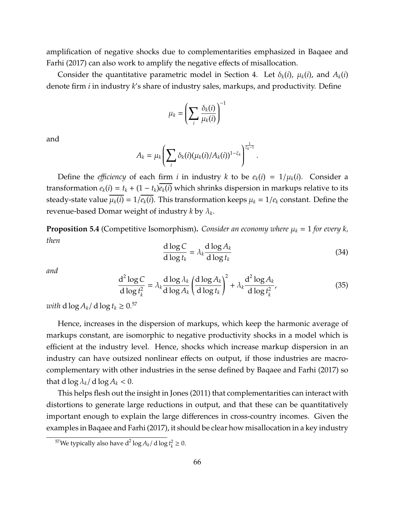amplification of negative shocks due to complementarities emphasized in [Baqaee and](#page-67-0) [Farhi](#page-67-0) [\(2017\)](#page-67-0) can also work to amplify the negative effects of misallocation.

Consider the quantitative parametric model in Section [4.](#page-39-0) Let  $\delta_k(i)$ ,  $\mu_k(i)$ , and  $A_k(i)$ denote firm *i* in industry *k*'s share of industry sales, markups, and productivity. Define

$$
\mu_k = \left(\sum_i \frac{\delta_k(i)}{\mu_k(i)}\right)^{-1}
$$

and

$$
A_k = \mu_k \left( \sum_i \delta_k(i) (\mu_k(i)/A_k(i))^{1-\xi_k} \right)^{\frac{1}{\xi_k-1}}.
$$

Define the *efficiency* of each firm *i* in industry *k* to be  $e_k(i) = 1/\mu_k(i)$ . Consider a transformation  $e_k(i) = t_k + (1 - t_k)e_k(i)$  which shrinks dispersion in markups relative to its steady-state value  $\overline{\mu_k(i)} = 1/\overline{e_k(i)}$ . This transformation keeps  $\mu_k = 1/e_k$  constant. Define the revenue-based Domar weight of industry *k* by λ*<sup>k</sup>* .

**Proposition 5.4** (Competitive Isomorphism). *Consider an economy where*  $\mu_k = 1$  *for every k, then*

$$
\frac{\mathrm{d}\log C}{\mathrm{d}\log t_k} = \lambda_k \frac{\mathrm{d}\log A_k}{\mathrm{d}\log t_k} \tag{34}
$$

*and*

$$
\frac{d^2 \log C}{d \log t_k^2} = \lambda_k \frac{d \log \lambda_k}{d \log A_k} \left(\frac{d \log A_k}{d \log t_k}\right)^2 + \lambda_k \frac{d^2 \log A_k}{d \log t_k^2},
$$
(35)

*with*  $d \log A_k / d \log t_k \ge 0.57$  $d \log A_k / d \log t_k \ge 0.57$ 

Hence, increases in the dispersion of markups, which keep the harmonic average of markups constant, are isomorphic to negative productivity shocks in a model which is efficient at the industry level. Hence, shocks which increase markup dispersion in an industry can have outsized nonlinear effects on output, if those industries are macrocomplementary with other industries in the sense defined by [Baqaee and Farhi](#page-67-0) [\(2017\)](#page-67-0) so that d  $\log \lambda_k / d \log A_k < 0$ .

This helps flesh out the insight in [Jones](#page-71-4) [\(2011\)](#page-71-4) that complementarities can interact with distortions to generate large reductions in output, and that these can be quantitatively important enough to explain the large differences in cross-country incomes. Given the examples in [Baqaee and Farhi](#page-67-0) [\(2017\)](#page-67-0), it should be clear how misallocation in a key industry

<sup>&</sup>lt;sup>57</sup>We typically also have  $d^2 \log A_k / d \log t_k^2 \ge 0$ .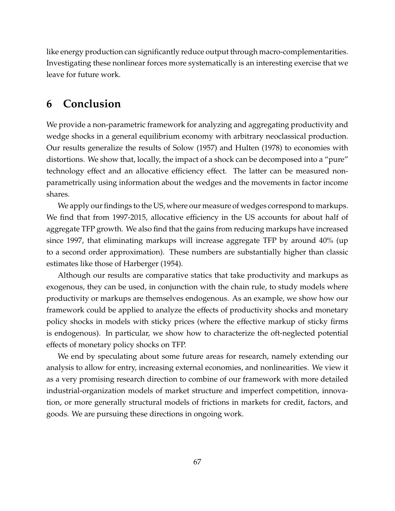like energy production can significantly reduce output through macro-complementarities. Investigating these nonlinear forces more systematically is an interesting exercise that we leave for future work.

# **6 Conclusion**

We provide a non-parametric framework for analyzing and aggregating productivity and wedge shocks in a general equilibrium economy with arbitrary neoclassical production. Our results generalize the results of [Solow](#page-72-2) [\(1957\)](#page-72-2) and [Hulten](#page-71-5) [\(1978\)](#page-71-5) to economies with distortions. We show that, locally, the impact of a shock can be decomposed into a "pure" technology effect and an allocative efficiency effect. The latter can be measured nonparametrically using information about the wedges and the movements in factor income shares.

We apply our findings to the US, where our measure of wedges correspond to markups. We find that from 1997-2015, allocative efficiency in the US accounts for about half of aggregate TFP growth. We also find that the gains from reducing markups have increased since 1997, that eliminating markups will increase aggregate TFP by around 40% (up to a second order approximation). These numbers are substantially higher than classic estimates like those of [Harberger](#page-70-3) [\(1954\)](#page-70-3).

Although our results are comparative statics that take productivity and markups as exogenous, they can be used, in conjunction with the chain rule, to study models where productivity or markups are themselves endogenous. As an example, we show how our framework could be applied to analyze the effects of productivity shocks and monetary policy shocks in models with sticky prices (where the effective markup of sticky firms is endogenous). In particular, we show how to characterize the oft-neglected potential effects of monetary policy shocks on TFP.

We end by speculating about some future areas for research, namely extending our analysis to allow for entry, increasing external economies, and nonlinearities. We view it as a very promising research direction to combine of our framework with more detailed industrial-organization models of market structure and imperfect competition, innovation, or more generally structural models of frictions in markets for credit, factors, and goods. We are pursuing these directions in ongoing work.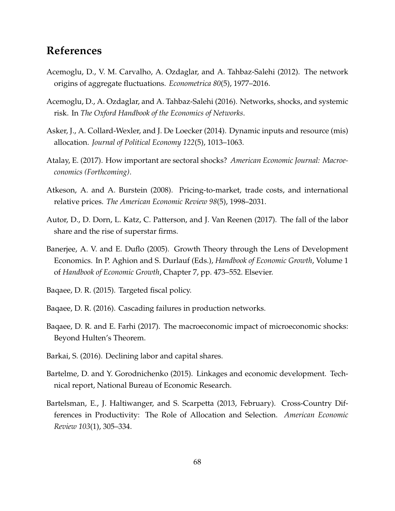# **References**

- Acemoglu, D., V. M. Carvalho, A. Ozdaglar, and A. Tahbaz-Salehi (2012). The network origins of aggregate fluctuations. *Econometrica 80*(5), 1977–2016.
- Acemoglu, D., A. Ozdaglar, and A. Tahbaz-Salehi (2016). Networks, shocks, and systemic risk. In *The Oxford Handbook of the Economics of Networks*.
- Asker, J., A. Collard-Wexler, and J. De Loecker (2014). Dynamic inputs and resource (mis) allocation. *Journal of Political Economy 122*(5), 1013–1063.
- <span id="page-67-1"></span>Atalay, E. (2017). How important are sectoral shocks? *American Economic Journal: Macroeconomics (Forthcoming)*.
- <span id="page-67-2"></span>Atkeson, A. and A. Burstein (2008). Pricing-to-market, trade costs, and international relative prices. *The American Economic Review 98*(5), 1998–2031.
- <span id="page-67-4"></span>Autor, D., D. Dorn, L. Katz, C. Patterson, and J. Van Reenen (2017). The fall of the labor share and the rise of superstar firms.
- Banerjee, A. V. and E. Duflo (2005). Growth Theory through the Lens of Development Economics. In P. Aghion and S. Durlauf (Eds.), *Handbook of Economic Growth*, Volume 1 of *Handbook of Economic Growth*, Chapter 7, pp. 473–552. Elsevier.

Baqaee, D. R. (2015). Targeted fiscal policy.

- <span id="page-67-3"></span>Baqaee, D. R. (2016). Cascading failures in production networks.
- <span id="page-67-0"></span>Baqaee, D. R. and E. Farhi (2017). The macroeconomic impact of microeconomic shocks: Beyond Hulten's Theorem.
- Barkai, S. (2016). Declining labor and capital shares.
- Bartelme, D. and Y. Gorodnichenko (2015). Linkages and economic development. Technical report, National Bureau of Economic Research.
- Bartelsman, E., J. Haltiwanger, and S. Scarpetta (2013, February). Cross-Country Differences in Productivity: The Role of Allocation and Selection. *American Economic Review 103*(1), 305–334.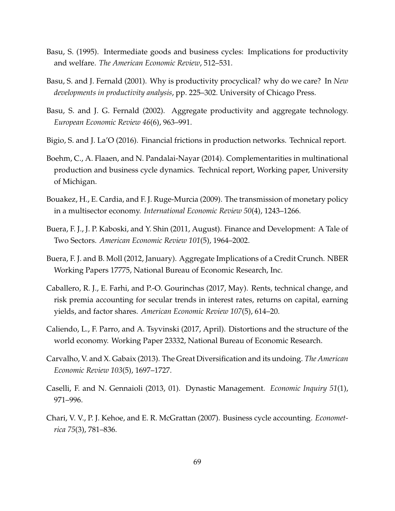- <span id="page-68-2"></span>Basu, S. (1995). Intermediate goods and business cycles: Implications for productivity and welfare. *The American Economic Review*, 512–531.
- Basu, S. and J. Fernald (2001). Why is productivity procyclical? why do we care? In *New developments in productivity analysis*, pp. 225–302. University of Chicago Press.
- Basu, S. and J. G. Fernald (2002). Aggregate productivity and aggregate technology. *European Economic Review 46*(6), 963–991.
- Bigio, S. and J. La'O (2016). Financial frictions in production networks. Technical report.
- <span id="page-68-1"></span>Boehm, C., A. Flaaen, and N. Pandalai-Nayar (2014). Complementarities in multinational production and business cycle dynamics. Technical report, Working paper, University of Michigan.
- <span id="page-68-3"></span>Bouakez, H., E. Cardia, and F. J. Ruge-Murcia (2009). The transmission of monetary policy in a multisector economy. *International Economic Review 50*(4), 1243–1266.
- Buera, F. J., J. P. Kaboski, and Y. Shin (2011, August). Finance and Development: A Tale of Two Sectors. *American Economic Review 101*(5), 1964–2002.
- Buera, F. J. and B. Moll (2012, January). Aggregate Implications of a Credit Crunch. NBER Working Papers 17775, National Bureau of Economic Research, Inc.
- <span id="page-68-0"></span>Caballero, R. J., E. Farhi, and P.-O. Gourinchas (2017, May). Rents, technical change, and risk premia accounting for secular trends in interest rates, returns on capital, earning yields, and factor shares. *American Economic Review 107*(5), 614–20.
- Caliendo, L., F. Parro, and A. Tsyvinski (2017, April). Distortions and the structure of the world economy. Working Paper 23332, National Bureau of Economic Research.
- Carvalho, V. and X. Gabaix (2013). The Great Diversification and its undoing. *The American Economic Review 103*(5), 1697–1727.
- Caselli, F. and N. Gennaioli (2013, 01). Dynastic Management. *Economic Inquiry 51*(1), 971–996.
- Chari, V. V., P. J. Kehoe, and E. R. McGrattan (2007). Business cycle accounting. *Econometrica 75*(3), 781–836.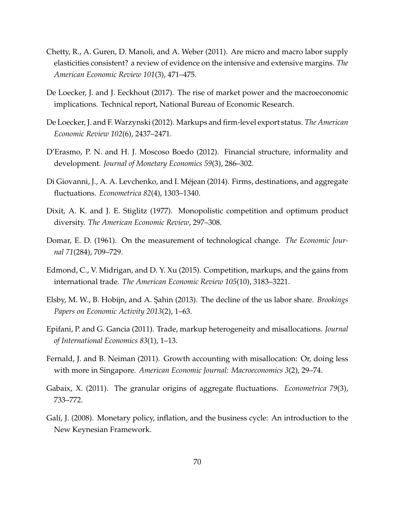- <span id="page-69-4"></span>Chetty, R., A. Guren, D. Manoli, and A. Weber (2011). Are micro and macro labor supply elasticities consistent? a review of evidence on the intensive and extensive margins. *The American Economic Review 101*(3), 471–475.
- <span id="page-69-0"></span>De Loecker, J. and J. Eeckhout (2017). The rise of market power and the macroeconomic implications. Technical report, National Bureau of Economic Research.
- <span id="page-69-1"></span>De Loecker, J. and F. Warzynski (2012). Markups and firm-level export status. *The American Economic Review 102*(6), 2437–2471.
- D'Erasmo, P. N. and H. J. Moscoso Boedo (2012). Financial structure, informality and development. *Journal of Monetary Economics 59*(3), 286–302.
- Di Giovanni, J., A. A. Levchenko, and I. Mejean (2014). Firms, destinations, and aggregate ´ fluctuations. *Econometrica 82*(4), 1303–1340.
- <span id="page-69-2"></span>Dixit, A. K. and J. E. Stiglitz (1977). Monopolistic competition and optimum product diversity. *The American Economic Review*, 297–308.
- Domar, E. D. (1961). On the measurement of technological change. *The Economic Journal 71*(284), 709–729.
- Edmond, C., V. Midrigan, and D. Y. Xu (2015). Competition, markups, and the gains from international trade. *The American Economic Review 105*(10), 3183–3221.
- Elsby, M. W., B. Hobijn, and A. Sahin (2013). The decline of the us labor share. *Brookings Papers on Economic Activity 2013*(2), 1–63.
- Epifani, P. and G. Gancia (2011). Trade, markup heterogeneity and misallocations. *Journal of International Economics 83*(1), 1–13.
- Fernald, J. and B. Neiman (2011). Growth accounting with misallocation: Or, doing less with more in Singapore. *American Economic Journal: Macroeconomics 3*(2), 29–74.
- Gabaix, X. (2011). The granular origins of aggregate fluctuations. *Econometrica 79*(3), 733–772.
- <span id="page-69-3"></span>Galí, J. (2008). Monetary policy, inflation, and the business cycle: An introduction to the New Keynesian Framework.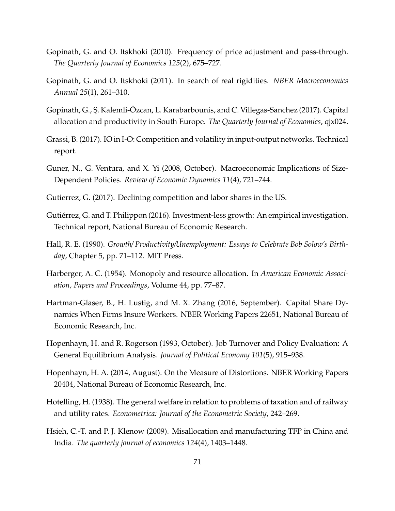- <span id="page-70-6"></span>Gopinath, G. and O. Itskhoki (2010). Frequency of price adjustment and pass-through. *The Quarterly Journal of Economics 125*(2), 675–727.
- <span id="page-70-5"></span>Gopinath, G. and O. Itskhoki (2011). In search of real rigidities. *NBER Macroeconomics Annual 25*(1), 261–310.
- Gopinath, G., S¸. Kalemli-Ozcan, L. Karabarbounis, and C. Villegas-Sanchez (2017). Capital ¨ allocation and productivity in South Europe. *The Quarterly Journal of Economics*, qjx024.
- Grassi, B. (2017). IO in I-O: Competition and volatility in input-output networks. Technical report.
- Guner, N., G. Ventura, and X. Yi (2008, October). Macroeconomic Implications of Size-Dependent Policies. *Review of Economic Dynamics 11*(4), 721–744.
- <span id="page-70-1"></span>Gutierrez, G. (2017). Declining competition and labor shares in the US.
- <span id="page-70-0"></span>Gutiérrez, G. and T. Philippon (2016). Investment-less growth: An empirical investigation. Technical report, National Bureau of Economic Research.
- Hall, R. E. (1990). *Growth*/ *Productivity*/*Unemployment: Essays to Celebrate Bob Solow's Birthday*, Chapter 5, pp. 71–112. MIT Press.
- <span id="page-70-3"></span>Harberger, A. C. (1954). Monopoly and resource allocation. In *American Economic Association, Papers and Proceedings*, Volume 44, pp. 77–87.
- <span id="page-70-7"></span>Hartman-Glaser, B., H. Lustig, and M. X. Zhang (2016, September). Capital Share Dynamics When Firms Insure Workers. NBER Working Papers 22651, National Bureau of Economic Research, Inc.
- Hopenhayn, H. and R. Rogerson (1993, October). Job Turnover and Policy Evaluation: A General Equilibrium Analysis. *Journal of Political Economy 101*(5), 915–938.
- Hopenhayn, H. A. (2014, August). On the Measure of Distortions. NBER Working Papers 20404, National Bureau of Economic Research, Inc.
- <span id="page-70-2"></span>Hotelling, H. (1938). The general welfare in relation to problems of taxation and of railway and utility rates. *Econometrica: Journal of the Econometric Society*, 242–269.
- <span id="page-70-4"></span>Hsieh, C.-T. and P. J. Klenow (2009). Misallocation and manufacturing TFP in China and India. *The quarterly journal of economics 124*(4), 1403–1448.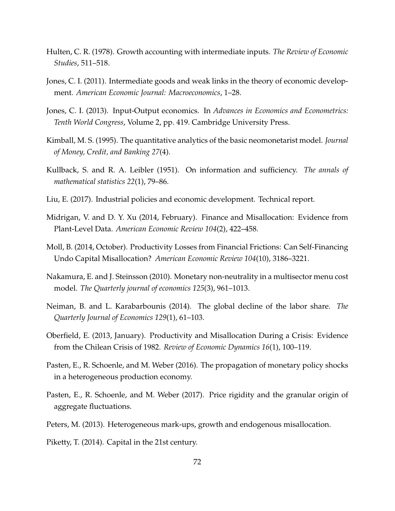- <span id="page-71-5"></span>Hulten, C. R. (1978). Growth accounting with intermediate inputs. *The Review of Economic Studies*, 511–518.
- <span id="page-71-4"></span>Jones, C. I. (2011). Intermediate goods and weak links in the theory of economic development. *American Economic Journal: Macroeconomics*, 1–28.
- Jones, C. I. (2013). Input-Output economics. In *Advances in Economics and Econometrics: Tenth World Congress*, Volume 2, pp. 419. Cambridge University Press.
- <span id="page-71-3"></span>Kimball, M. S. (1995). The quantitative analytics of the basic neomonetarist model. *Journal of Money, Credit, and Banking 27*(4).
- Kullback, S. and R. A. Leibler (1951). On information and sufficiency. *The annals of mathematical statistics 22*(1), 79–86.
- Liu, E. (2017). Industrial policies and economic development. Technical report.
- Midrigan, V. and D. Y. Xu (2014, February). Finance and Misallocation: Evidence from Plant-Level Data. *American Economic Review 104*(2), 422–458.
- Moll, B. (2014, October). Productivity Losses from Financial Frictions: Can Self-Financing Undo Capital Misallocation? *American Economic Review 104*(10), 3186–3221.
- <span id="page-71-0"></span>Nakamura, E. and J. Steinsson (2010). Monetary non-neutrality in a multisector menu cost model. *The Quarterly journal of economics 125*(3), 961–1013.
- Neiman, B. and L. Karabarbounis (2014). The global decline of the labor share. *The Quarterly Journal of Economics 129*(1), 61–103.
- Oberfield, E. (2013, January). Productivity and Misallocation During a Crisis: Evidence from the Chilean Crisis of 1982. *Review of Economic Dynamics 16*(1), 100–119.
- <span id="page-71-1"></span>Pasten, E., R. Schoenle, and M. Weber (2016). The propagation of monetary policy shocks in a heterogeneous production economy.
- <span id="page-71-2"></span>Pasten, E., R. Schoenle, and M. Weber (2017). Price rigidity and the granular origin of aggregate fluctuations.
- Peters, M. (2013). Heterogeneous mark-ups, growth and endogenous misallocation.

Piketty, T. (2014). Capital in the 21st century.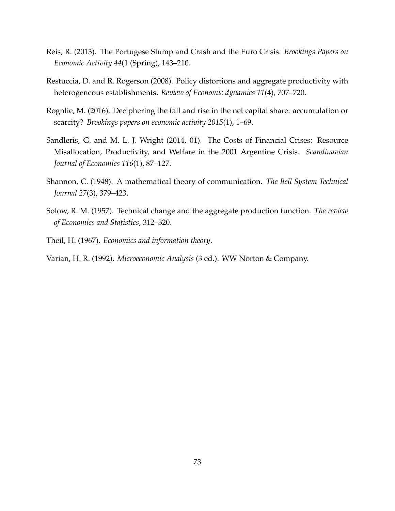- Reis, R. (2013). The Portugese Slump and Crash and the Euro Crisis. *Brookings Papers on Economic Activity 44*(1 (Spring), 143–210.
- Restuccia, D. and R. Rogerson (2008). Policy distortions and aggregate productivity with heterogeneous establishments. *Review of Economic dynamics 11*(4), 707–720.
- Rognlie, M. (2016). Deciphering the fall and rise in the net capital share: accumulation or scarcity? *Brookings papers on economic activity 2015*(1), 1–69.
- Sandleris, G. and M. L. J. Wright (2014, 01). The Costs of Financial Crises: Resource Misallocation, Productivity, and Welfare in the 2001 Argentine Crisis. *Scandinavian Journal of Economics 116*(1), 87–127.
- Shannon, C. (1948). A mathematical theory of communication. *The Bell System Technical Journal 27*(3), 379–423.
- Solow, R. M. (1957). Technical change and the aggregate production function. *The review of Economics and Statistics*, 312–320.
- Theil, H. (1967). *Economics and information theory*.
- Varian, H. R. (1992). *Microeconomic Analysis* (3 ed.). WW Norton & Company.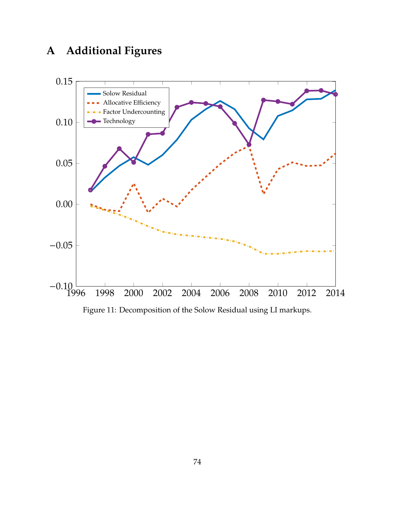# **A Additional Figures**



Figure 11: Decomposition of the Solow Residual using LI markups.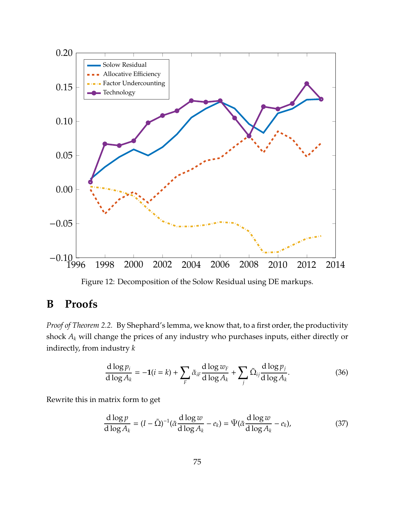

Figure 12: Decomposition of the Solow Residual using DE markups.

### **B Proofs**

*Proof of Theorem [2.2.](#page-11-0)* By Shephard's lemma, we know that, to a first order, the productivity shock *A<sup>k</sup>* will change the prices of any industry who purchases inputs, either directly or indirectly, from industry *k*

$$
\frac{\mathrm{d}\log p_i}{\mathrm{d}\log A_k} = -1(i=k) + \sum_{F} \tilde{\alpha}_{iF} \frac{\mathrm{d}\log w_F}{\mathrm{d}\log A_k} + \sum_{j} \tilde{\Omega}_{ij} \frac{\mathrm{d}\log p_j}{\mathrm{d}\log A_k}.\tag{36}
$$

Rewrite this in matrix form to get

$$
\frac{\mathrm{d}\log p}{\mathrm{d}\log A_k} = (I - \tilde{\Omega})^{-1} (\tilde{\alpha} \frac{\mathrm{d}\log w}{\mathrm{d}\log A_k} - e_k) = \tilde{\Psi}(\tilde{\alpha} \frac{\mathrm{d}\log w}{\mathrm{d}\log A_k} - e_k),\tag{37}
$$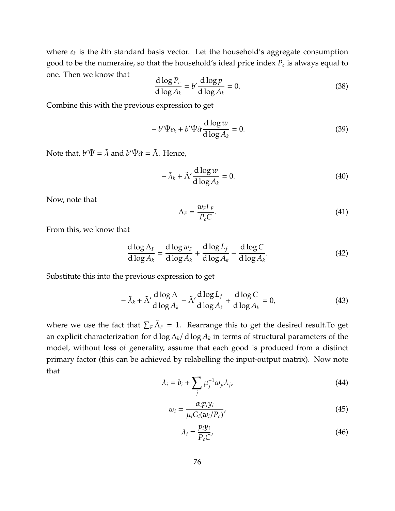where *e<sup>k</sup>* is the *k*th standard basis vector. Let the household's aggregate consumption good to be the numeraire, so that the household's ideal price index *P<sup>c</sup>* is always equal to one. Then we know that

$$
\frac{\mathrm{d}\log P_c}{\mathrm{d}\log A_k} = b' \frac{\mathrm{d}\log p}{\mathrm{d}\log A_k} = 0.
$$
\n(38)

Combine this with the previous expression to get

$$
-b'\tilde{\Psi}e_k + b'\tilde{\Psi}\tilde{\alpha}\frac{\mathrm{d}\log w}{\mathrm{d}\log A_k} = 0.
$$
\n(39)

Note that,  $b'\tilde{\Psi} = \tilde{\lambda}$  and  $b'\tilde{\Psi}\tilde{\alpha} = \tilde{\Lambda}$ . Hence,

$$
-\tilde{\lambda}_k + \tilde{\Lambda}' \frac{\mathrm{d}\log w}{\mathrm{d}\log A_k} = 0. \tag{40}
$$

Now, note that

$$
\Lambda_F = \frac{w_F L_F}{P_c C}.\tag{41}
$$

From this, we know that

$$
\frac{d \log \Lambda_F}{d \log A_k} = \frac{d \log w_F}{d \log A_k} + \frac{d \log L_f}{d \log A_k} - \frac{d \log C}{d \log A_k}.
$$
\n(42)

Substitute this into the previous expression to get

$$
-\tilde{\lambda}_k + \tilde{\Lambda}' \frac{d \log \Lambda}{d \log A_k} - \tilde{\Lambda}' \frac{d \log L_f}{d \log A_k} + \frac{d \log C}{d \log A_k} = 0,
$$
\n(43)

where we use the fact that  $\sum_{F} \tilde{\Lambda}_F = 1$ . Rearrange this to get the desired result.To get an explicit characterization for d log Λ*k*/ d log *A<sup>k</sup>* in terms of structural parameters of the model, without loss of generality, assume that each good is produced from a distinct primary factor (this can be achieved by relabelling the input-output matrix). Now note that

$$
\lambda_i = b_i + \sum_j \mu_j^{-1} \omega_{ji} \lambda_j,\tag{44}
$$

$$
w_i = \frac{\alpha_i p_i y_i}{\mu_i G_i (w_i / P_c)},
$$
\n(45)

$$
\lambda_i = \frac{p_i y_i}{P_c C'}
$$
\n(46)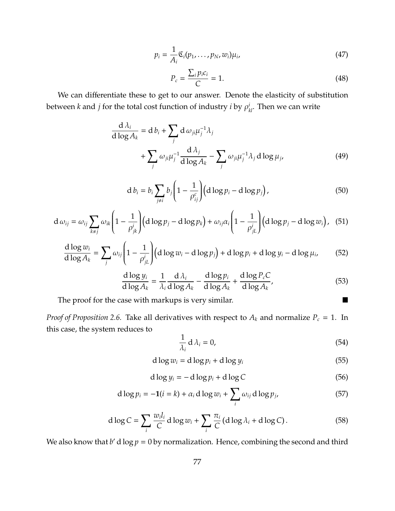$$
p_i = \frac{1}{A_i} \mathfrak{C}_i(p_1, \dots, p_N, w_i) \mu_i,
$$
\n(47)

$$
P_c = \frac{\sum_i p_i c_i}{C} = 1.
$$
\n(48)

We can differentiate these to get to our answer. Denote the elasticity of substitution between  $k$  and  $j$  for the total cost function of industry  $i$  by  $\rho^i_{kl}$ . Then we can write

$$
\frac{d \lambda_i}{d \log A_k} = d b_i + \sum_j d \omega_{ji} \mu_j^{-1} \lambda_j
$$
  
+ 
$$
\sum_j \omega_{ji} \mu_j^{-1} \frac{d \lambda_j}{d \log A_k} - \sum_j \omega_{ji} \mu_j^{-1} \lambda_j d \log \mu_j,
$$
 (49)

$$
d b_i = b_i \sum_{j \neq i} b_j \left( 1 - \frac{1}{\rho_{ij}^c} \right) \left( d \log p_i - d \log p_j \right), \tag{50}
$$

$$
d \omega_{ij} = \omega_{ij} \sum_{k \neq j} \omega_{ik} \left( 1 - \frac{1}{\rho_{jk}^i} \right) \left( d \log p_j - d \log p_k \right) + \omega_{ij} \alpha_i \left( 1 - \frac{1}{\rho_{jL}^i} \right) \left( d \log p_j - d \log w_i \right), \quad (51)
$$

$$
\frac{d \log w_i}{d \log A_k} = \sum_j \omega_{ij} \left( 1 - \frac{1}{\rho_{jL}^i} \right) \left( d \log w_i - d \log p_j \right) + d \log p_i + d \log y_i - d \log \mu_i, \tag{52}
$$

$$
\frac{d \log y_i}{d \log A_k} = \frac{1}{\lambda_i} \frac{d \lambda_i}{d \log A_k} - \frac{d \log p_i}{d \log A_k} + \frac{d \log P_c C}{d \log A_k},
$$
(53)

The proof for the case with markups is very similar.

*Proof of Proposition* [2.6.](#page-18-0) Take all derivatives with respect to  $A_k$  and normalize  $P_c = 1$ . In this case, the system reduces to

$$
\frac{1}{\lambda_i} d \lambda_i = 0, \tag{54}
$$

$$
d \log w_i = d \log p_i + d \log y_i \tag{55}
$$

$$
d \log y_i = -d \log p_i + d \log C \tag{56}
$$

$$
d \log p_i = -\mathbf{1}(i = k) + \alpha_i d \log w_i + \sum_i \omega_{ij} d \log p_j, \qquad (57)
$$

$$
d \log C = \sum_{i} \frac{w_i l_i}{C} d \log w_i + \sum_{i} \frac{\pi_i}{C} (d \log \lambda_i + d \log C).
$$
 (58)

We also know that  $b'$  d log  $p = 0$  by normalization. Hence, combining the second and third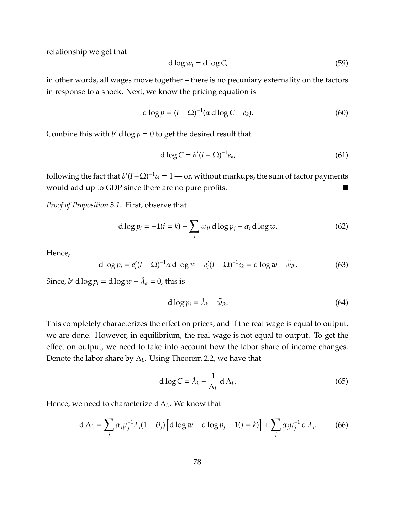relationship we get that

$$
d \log w_i = d \log C, \tag{59}
$$

in other words, all wages move together – there is no pecuniary externality on the factors in response to a shock. Next, we know the pricing equation is

$$
d \log p = (I - \Omega)^{-1} (\alpha \, d \log C - e_k). \tag{60}
$$

Combine this with  $b'$  d  $\log p = 0$  to get the desired result that

$$
d \log C = b'(I - \Omega)^{-1} e_k,
$$
\n(61)

following the fact that  $b'(I - \Omega)^{-1}\alpha = 1$  — or, without markups, the sum of factor payments would add up to GDP since there are no pure profits.

*Proof of Proposition [3.1.](#page-26-0)* First, observe that

$$
d \log p_i = -\mathbf{1}(i = k) + \sum_j \omega_{ij} \, d \log p_j + \alpha_i \, d \log w. \tag{62}
$$

Hence,

$$
d \log p_i = e'_i (I - \Omega)^{-1} \alpha \, d \log w - e'_i (I - \Omega)^{-1} e_k = d \log w - \tilde{\psi}_{ik}.
$$
 (63)

Since, *b'* d  $\log p_i = d \log w - \tilde{\lambda}_k = 0$ , this is

$$
d \log p_i = \tilde{\lambda}_k - \tilde{\psi}_{ik}.
$$
 (64)

This completely characterizes the effect on prices, and if the real wage is equal to output, we are done. However, in equilibrium, the real wage is not equal to output. To get the effect on output, we need to take into account how the labor share of income changes. Denote the labor share by Λ*L*. Using Theorem [2.2,](#page-11-0) we have that

$$
d \log C = \tilde{\lambda}_k - \frac{1}{\Lambda_L} d \Lambda_L. \tag{65}
$$

Hence, we need to characterize d Λ*L*. We know that

$$
d \Lambda_L = \sum_j \alpha_j \mu_j^{-1} \lambda_j (1 - \theta_j) \left[ d \log w - d \log p_j - 1 (j = k) \right] + \sum_j \alpha_j \mu_j^{-1} d \lambda_j. \tag{66}
$$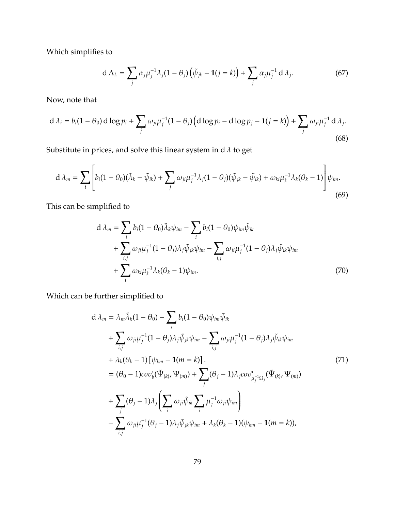Which simplifies to

$$
d \Lambda_L = \sum_j \alpha_j \mu_j^{-1} \lambda_j (1 - \theta_j) \left( \tilde{\psi}_{jk} - \mathbf{1}(j = k) \right) + \sum_j \alpha_j \mu_j^{-1} d \lambda_j.
$$
 (67)

Now, note that

$$
d \lambda_i = b_i (1 - \theta_0) d \log p_i + \sum_j \omega_{ji} \mu_j^{-1} (1 - \theta_j) \left( d \log p_i - d \log p_j - 1 (j = k) \right) + \sum_j \omega_{ji} \mu_j^{-1} d \lambda_j.
$$
\n(68)

Substitute in prices, and solve this linear system in d  $\lambda$  to get

$$
d\lambda_m = \sum_i \left[ b_i (1 - \theta_0)(\tilde{\lambda}_k - \tilde{\psi}_{ik}) + \sum_j \omega_{ji} \mu_j^{-1} \lambda_j (1 - \theta_j)(\tilde{\psi}_{jk} - \tilde{\psi}_{ik}) + \omega_{ki} \mu_k^{-1} \lambda_k (\theta_k - 1) \right] \psi_{im}.
$$
\n(69)

This can be simplified to

$$
d \lambda_m = \sum_i b_i (1 - \theta_0) \tilde{\lambda}_k \psi_{im} - \sum_i b_i (1 - \theta_0) \psi_{im} \tilde{\psi}_{ik} + \sum_{i,j} \omega_{ji} \mu_j^{-1} (1 - \theta_j) \lambda_j \tilde{\psi}_{jk} \psi_{im} - \sum_{i,j} \omega_{ji} \mu_j^{-1} (1 - \theta_j) \lambda_j \tilde{\psi}_{ik} \psi_{im} + \sum_i \omega_{ki} \mu_k^{-1} \lambda_k (\theta_k - 1) \psi_{im}.
$$
 (70)

Which can be further simplified to

$$
d \lambda_m = \lambda_m \tilde{\lambda}_k (1 - \theta_0) - \sum_i b_i (1 - \theta_0) \psi_{im} \tilde{\psi}_{ik}
$$
  
+ 
$$
\sum_{i,j} \omega_{ji} \mu_j^{-1} (1 - \theta_j) \lambda_j \tilde{\psi}_{jk} \psi_{im} - \sum_{i,j} \omega_{ji} \mu_j^{-1} (1 - \theta_j) \lambda_j \tilde{\psi}_{ik} \psi_{im}
$$
  
+ 
$$
\lambda_k (\theta_k - 1) [\psi_{km} - 1(m = k)].
$$
  
= 
$$
(\theta_0 - 1) cov_b^* (\tilde{\Psi}_{(k)}, \Psi_{(m)}) + \sum_j (\theta_j - 1) \lambda_j cov_{\mu_j^{-1} \Omega_j}^* (\tilde{\Psi}_{(k)}, \Psi_{(m)})
$$
  
+ 
$$
\sum_j (\theta_j - 1) \lambda_j \left( \sum_i \omega_{ji} \tilde{\psi}_{ik} \sum_i \mu_j^{-1} \omega_{ji} \psi_{im} \right)
$$
  
- 
$$
\sum_{i,j} \omega_{ji} \mu_j^{-1} (\theta_j - 1) \lambda_j \tilde{\psi}_{jk} \psi_{im} + \lambda_k (\theta_k - 1) (\psi_{km} - 1(m = k)),
$$
 (71)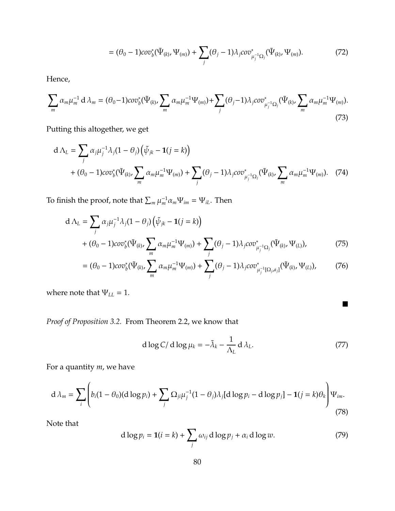$$
= (\theta_0 - 1)cov_b^*(\tilde{\Psi}_{(k)}, \Psi_{(m)}) + \sum_j (\theta_j - 1)\lambda_j cov_{\mu_j^{-1}\Omega_j}^*(\tilde{\Psi}_{(k)}, \Psi_{(m)}).
$$
(72)

Hence,

$$
\sum_{m} \alpha_{m} \mu_{m}^{-1} d \lambda_{m} = (\theta_{0} - 1) cov_{b}^{*} (\tilde{\Psi}_{(k)}, \sum_{m} \alpha_{m} \mu_{m}^{-1} \Psi_{(m)}) + \sum_{j} (\theta_{j} - 1) \lambda_{j} cov_{\mu_{j}^{-1} \Omega_{j}}^{*} (\tilde{\Psi}_{(k)}, \sum_{m} \alpha_{m} \mu_{m}^{-1} \Psi_{(m)}).
$$
\n(73)

Putting this altogether, we get

$$
d \Lambda_L = \sum_j \alpha_j \mu_j^{-1} \lambda_j (1 - \theta_j) \left( \tilde{\psi}_{jk} - \mathbf{1}(j = k) \right)
$$
  
+  $(\theta_0 - 1) cov_b^* (\tilde{\Psi}_{(k)}, \sum_m \alpha_m \mu_m^{-1} \Psi_{(m)}) + \sum_j (\theta_j - 1) \lambda_j cov_{\mu_j^{-1} \Omega_j}^* (\tilde{\Psi}_{(k)}, \sum_m \alpha_m \mu_m^{-1} \Psi_{(m)}).$  (74)

To finish the proof, note that  $\sum_m \mu_m^{-1} \alpha_m \Psi_{im} = \Psi_{iL}$ . Then

$$
d \Lambda_{L} = \sum_{j} \alpha_{j} \mu_{j}^{-1} \lambda_{j} (1 - \theta_{j}) \left( \tilde{\psi}_{jk} - \mathbf{1}(j = k) \right)
$$
  
+  $(\theta_{0} - 1) cov_{b}^{*} (\tilde{\Psi}_{(k)}, \sum_{m} \alpha_{m} \mu_{m}^{-1} \Psi_{(m)}) + \sum_{j} (\theta_{j} - 1) \lambda_{j} cov_{\mu_{j}^{-1} \Omega_{j}}^{*} (\tilde{\Psi}_{(k)}, \Psi_{(L)}),$  (75)  
=  $(\theta_{0} - 1) cov_{b}^{*} (\tilde{\Psi}_{(k)}, \sum_{m} \alpha_{m} \mu_{m}^{-1} \Psi_{(m)}) + \sum_{j} (\theta_{j} - 1) \lambda_{j} cov_{\mu_{j}^{-1} [\Omega_{j}, \alpha]}^{*} (\tilde{\Psi}_{(k)}, \Psi_{(L)}),$  (76)

$$
= (\theta_0 - 1)cov_b^*(\tilde{\Psi}_{(k)}, \sum_m \alpha_m \mu_m^{-1} \Psi_{(m)}) + \sum_j (\theta_j - 1) \lambda_j cov_{\mu_j^{-1}[\Omega_j, a_j]}^*(\tilde{\Psi}_{(k)}, \Psi_{(L)}),
$$
 (70)

where note that  $\Psi_{LL} = 1$ .

*Proof of Proposition [3.2.](#page-29-0)* From Theorem [2.2,](#page-11-0) we know that

<span id="page-79-1"></span>
$$
d \log C / d \log \mu_k = -\tilde{\lambda}_k - \frac{1}{\Lambda_L} d \lambda_L. \tag{77}
$$

 $\blacksquare$ 

For a quantity *m*, we have

<span id="page-79-0"></span>
$$
d \lambda_m = \sum_i \left( b_i (1 - \theta_0) (d \log p_i) + \sum_j \Omega_{ji} \mu_j^{-1} (1 - \theta_j) \lambda_j [d \log p_i - d \log p_j] - \mathbf{1}(j = k) \theta_k \right) \Psi_{im}.
$$
\n(78)

Note that

$$
d \log p_i = \mathbf{1}(i = k) + \sum_j \omega_{ij} \, d \log p_j + \alpha_i \, d \log w. \tag{79}
$$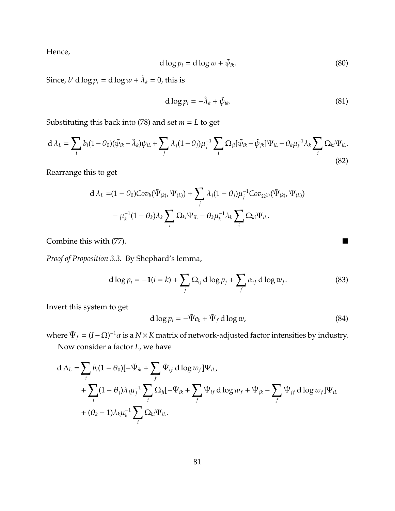Hence,

$$
d \log p_i = d \log w + \tilde{\psi}_{ik}.
$$
\n(80)

Since, *b'* d  $\log p_i = d \log w + \tilde{\lambda}_k = 0$ , this is

$$
d \log p_i = -\tilde{\lambda}_k + \tilde{\psi}_{ik}.
$$
 (81)

Substituting this back into [\(78\)](#page-79-0) and set *m* = *L* to get

$$
d \lambda_L = \sum_i b_i (1 - \theta_0)(\tilde{\psi}_{ik} - \tilde{\lambda}_k) \psi_{iL} + \sum_j \lambda_j (1 - \theta_j) \mu_j^{-1} \sum_i \Omega_{ji} [\tilde{\psi}_{ik} - \tilde{\psi}_{jk}] \Psi_{iL} - \theta_k \mu_k^{-1} \lambda_k \sum_i \Omega_{ki} \Psi_{iL}.
$$
\n(82)

Rearrange this to get

$$
\begin{aligned}\nd \lambda_L = &(1-\theta_0)Cov_b(\tilde{\Psi}_{(k)}, \Psi_{(L)}) + \sum_j \lambda_j (1-\theta_j) \mu_j^{-1}Cov_{\Omega^{(j)}}(\tilde{\Psi}_{(k)}, \Psi_{(L)})\\ &- \mu_k^{-1}(1-\theta_k) \lambda_k \sum_i \Omega_{ki} \Psi_{iL} - \theta_k \mu_k^{-1} \lambda_k \sum_i \Omega_{ki} \Psi_{iL}.\n\end{aligned}
$$

Combine this with [\(77\)](#page-79-1). ■

*Proof of Proposition [3.3.](#page-34-0)* By Shephard's lemma,

$$
d \log p_i = -\mathbf{1}(i = k) + \sum_j \Omega_{ij} \, d \log p_j + \sum_f \alpha_{if} \, d \log w_f. \tag{83}
$$

Invert this system to get

$$
d \log p_i = -\tilde{\Psi} e_k + \tilde{\Psi}_f \, d \log w,\tag{84}
$$

where  $\Psi_f = (I − Ω)^{-1}α$  is a  $N × K$  matrix of network-adjusted factor intensities by industry. Now consider a factor *L*, we have

$$
d \Lambda_L = \sum_i b_i (1 - \theta_0) [-\tilde{\Psi}_{ik} + \sum_f \tilde{\Psi}_{if} d \log w_f] \Psi_{iL},
$$
  
+ 
$$
\sum_j (1 - \theta_j) \lambda_j \mu_j^{-1} \sum_i \Omega_{ji} [-\tilde{\Psi}_{ik} + \sum_f \tilde{\Psi}_{if} d \log w_f + \tilde{\Psi}_{jk} - \sum_f \tilde{\Psi}_{if} d \log w_f] \Psi_{iL}
$$
  
+ 
$$
(\theta_k - 1) \lambda_k \mu_k^{-1} \sum_i \Omega_{ki} \Psi_{iL}.
$$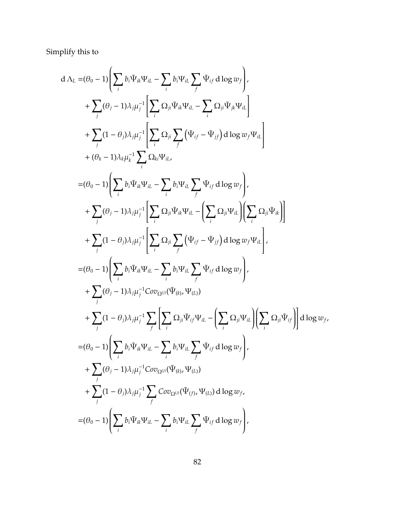Simplify this to

d 
$$
\Lambda_L = (\theta_0 - 1) \left( \sum_i b_i \Psi_{ik} \Psi_{il} - \sum_i b_i \Psi_{il} \sum_j \Psi_{ij} d \log w_j \right),
$$
  
\t $+ \sum_j (\theta_j - 1) \lambda_j \mu_j^{-1} \left[ \sum_i \Omega_{ji} \Psi_{ik} \Psi_{il} - \sum_i \Omega_{ji} \Psi_{jk} \Psi_{il} \right]$   
\t $+ \sum_j (1 - \theta_j) \lambda_j \mu_j^{-1} \left[ \sum_i \Omega_{ji} \sum_j (\Psi_{ij} - \Psi_{jj}) d \log w_j \Psi_{il} \right]$   
\t $+ (\theta_k - 1) \lambda_k \mu_k^{-1} \sum_i \Omega_{ki} \Psi_{il}$   
\t $= (\theta_0 - 1) \left( \sum_i b_i \Psi_{ik} \Psi_{il} - \sum_i b_i \Psi_{il} \sum_j \Psi_{ij} d \log w_j \right),$   
\t $+ \sum_j (\theta_j - 1) \lambda_j \mu_j^{-1} \left[ \sum_i \Omega_{ji} \Psi_{ik} \Psi_{il} - \left( \sum_i \Omega_{ji} \Psi_{il} \right) \left( \sum_i \Omega_{ji} \Psi_{ik} \right) \right]$   
\t $+ \sum_j (1 - \theta_j) \lambda_j \mu_j^{-1} \left[ \sum_i \Omega_{ji} \sum_j (\Psi_{ij} - \Psi_{jj}) d \log w_j \Psi_{il} \right],$   
\t $= (\theta_0 - 1) \left( \sum_i b_i \Psi_{ik} \Psi_{il} - \sum_i b_i \Psi_{il} \sum_j \Psi_{ij} d \log w_j \right),$   
\t $+ \sum_j (\theta_j - 1) \lambda_j \mu_j^{-1} \text{Cov}_{\Omega^{(i)}}(\Psi_{(k)}, \Psi_{(L)})$   
\t $+ \sum_j (1 - \theta_j) \lambda_j \mu_j^{-1} \sum_j \left[ \sum_i \Omega_{ji} \Psi_{ij} \Psi_{il} - \left( \sum_i \Omega_{ji} \Psi_{il} \right) \left( \sum_i \Omega_{ji} \Psi_{ij} \right) \right] d \log w_j,$   
\t $= (\theta_0 - 1) \left( \sum_i b_i \Psi_{ik} \Psi_{il} - \sum_i b_i \Psi_{il} \sum_j \Psi_{ij} d \log w_j \right),$   
\t $+ \sum_j (\theta_j - 1) \lambda_j \mu_j^{-1} \text{Cov}_{\Omega^{(i)}}$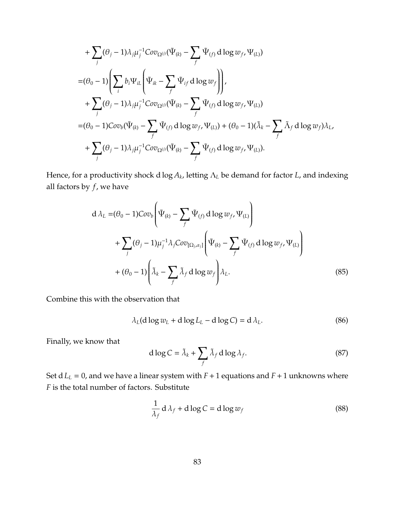+
$$
\sum_{j} (\theta_{j} - 1)\lambda_{j} \mu_{j}^{-1}Cov_{\Omega^{(j)}}(\tilde{\Psi}_{(k)} - \sum_{f} \tilde{\Psi}_{(f)} d \log w_{f}, \Psi_{(L)})
$$
  
\n= $(\theta_{0} - 1) \left( \sum_{i} b_{i} \Psi_{iL} \left( \tilde{\Psi}_{ik} - \sum_{f} \tilde{\Psi}_{if} d \log w_{f} \right) \right),$   
\n+
$$
\sum_{j} (\theta_{j} - 1)\lambda_{j} \mu_{j}^{-1}Cov_{\Omega^{(j)}}(\tilde{\Psi}_{(k)} - \sum_{f} \tilde{\Psi}_{(f)} d \log w_{f}, \Psi_{(L)})
$$
  
\n= $(\theta_{0} - 1)Cov_{b}(\tilde{\Psi}_{(k)} - \sum_{f} \tilde{\Psi}_{(f)} d \log w_{f}, \Psi_{(L)}) + (\theta_{0} - 1)(\tilde{\lambda}_{k} - \sum_{f} \tilde{\lambda}_{f} d \log w_{f}) \lambda_{L},$   
\n+
$$
\sum_{j} (\theta_{j} - 1)\lambda_{j} \mu_{j}^{-1}Cov_{\Omega^{(j)}}(\tilde{\Psi}_{(k)} - \sum_{f} \tilde{\Psi}_{(f)} d \log w_{f}, \Psi_{(L)}).
$$

Hence, for a productivity shock d log *A<sup>k</sup>* , letting Λ*<sup>L</sup>* be demand for factor *L*, and indexing all factors by *f*, we have

$$
d \lambda_L = (\theta_0 - 1)Cov_b \left( \tilde{\Psi}_{(k)} - \sum_f \tilde{\Psi}_{(f)} d \log w_f, \Psi_{(L)} \right)
$$
  
+ 
$$
\sum_j (\theta_j - 1) \mu_j^{-1} \lambda_j Cov_{[\Omega_j, \alpha_j]} \left( \tilde{\Psi}_{(k)} - \sum_f \tilde{\Psi}_{(f)} d \log w_f, \Psi_{(L)} \right)
$$
  
+ 
$$
(\theta_0 - 1) \left( \tilde{\lambda}_k - \sum_f \tilde{\lambda}_f d \log w_f \right) \lambda_L.
$$
 (85)

Combine this with the observation that

$$
\lambda_L(\mathbf{d}\log w_L + \mathbf{d}\log L_L - \mathbf{d}\log C) = \mathbf{d}\lambda_L.
$$
 (86)

Finally, we know that

$$
d \log C = \tilde{\lambda}_k + \sum_{f} \tilde{\lambda}_f d \log \lambda_f. \tag{87}
$$

Set  $d L_L = 0$ , and we have a linear system with  $F + 1$  equations and  $F + 1$  unknowns where *F* is the total number of factors. Substitute

$$
\frac{1}{\lambda_f} \, \mathrm{d}\,\lambda_f + \mathrm{d}\log C = \mathrm{d}\log w_f \tag{88}
$$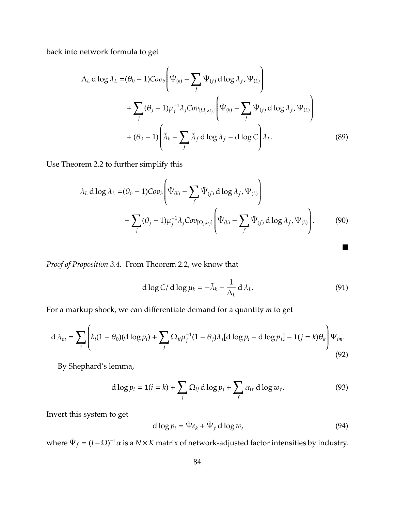back into network formula to get

$$
\Lambda_L \operatorname{d} \log \lambda_L = (\theta_0 - 1) \operatorname{Cov}_b \left( \tilde{\Psi}_{(k)} - \sum_f \tilde{\Psi}_{(f)} \operatorname{d} \log \lambda_f, \Psi_{(L)} \right) + \sum_j (\theta_j - 1) \mu_j^{-1} \lambda_j \operatorname{Cov}_{[\Omega_j, \alpha_j]} \left( \tilde{\Psi}_{(k)} - \sum_f \tilde{\Psi}_{(f)} \operatorname{d} \log \lambda_f, \Psi_{(L)} \right) + (\theta_0 - 1) \left( \tilde{\lambda}_k - \sum_f \tilde{\lambda}_f \operatorname{d} \log \lambda_f - \operatorname{d} \log C \right) \lambda_L.
$$
 (89)

Use Theorem [2.2](#page-11-0) to further simplify this

$$
\lambda_L \operatorname{d} \log \lambda_L = (\theta_0 - 1) \operatorname{Cov}_b \left( \tilde{\Psi}_{(k)} - \sum_f \tilde{\Psi}_{(f)} \operatorname{d} \log \lambda_f, \Psi_{(L)} \right) + \sum_j (\theta_j - 1) \mu_j^{-1} \lambda_j \operatorname{Cov}_{[\Omega_j, \alpha_j]} \left( \tilde{\Psi}_{(k)} - \sum_f \tilde{\Psi}_{(f)} \operatorname{d} \log \lambda_f, \Psi_{(L)} \right).
$$
(90)

*Proof of Proposition [3.4.](#page-37-0)* From Theorem [2.2,](#page-11-0) we know that

$$
d \log C / d \log \mu_k = -\tilde{\lambda}_k - \frac{1}{\Lambda_L} d \lambda_L. \tag{91}
$$

п

For a markup shock, we can differentiate demand for a quantity *m* to get

<span id="page-83-0"></span>
$$
d \lambda_m = \sum_i \left( b_i (1 - \theta_0) (d \log p_i) + \sum_j \Omega_{ji} \mu_j^{-1} (1 - \theta_j) \lambda_j [d \log p_i - d \log p_j] - \mathbf{1}(j = k) \theta_k \right) \Psi_{im}.
$$
\n(92)

By Shephard's lemma,

$$
d \log p_i = \mathbf{1}(i = k) + \sum_j \Omega_{ij} \, d \log p_j + \sum_f \alpha_{if} \, d \log w_f. \tag{93}
$$

Invert this system to get

$$
d \log p_i = \tilde{\Psi} e_k + \tilde{\Psi}_f \, d \log w,\tag{94}
$$

where  $\Psi_f = (I - Ω)^{-1}α$  is a  $N \times K$  matrix of network-adjusted factor intensities by industry.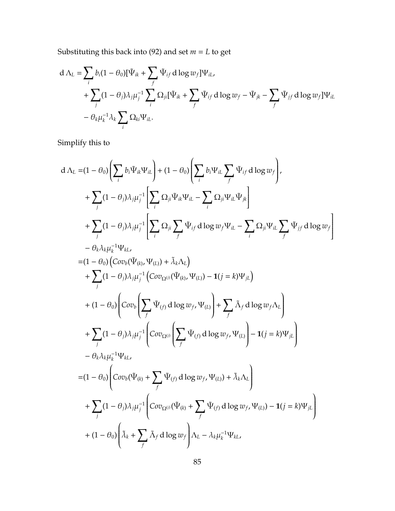Substituting this back into [\(92\)](#page-83-0) and set *m* = *L* to get

$$
d \Lambda_L = \sum_i b_i (1 - \theta_0) [\tilde{\Psi}_{ik} + \sum_f \tilde{\Psi}_{if} d \log w_f] \Psi_{iL},
$$
  
+ 
$$
\sum_j (1 - \theta_j) \lambda_j \mu_j^{-1} \sum_i \Omega_{ji} [\tilde{\Psi}_{ik} + \sum_f \tilde{\Psi}_{if} d \log w_f - \tilde{\Psi}_{jk} - \sum_f \tilde{\Psi}_{jf} d \log w_f] \Psi_{iL}
$$
  
- 
$$
\theta_k \mu_k^{-1} \lambda_k \sum_i \Omega_{ki} \Psi_{iL}.
$$

Simplify this to

$$
d \Delta_{L} = (1 - \theta_{0}) \left( \sum_{i} b_{i} \Psi_{ik} \Psi_{il} \right) + (1 - \theta_{0}) \left( \sum_{i} b_{i} \Psi_{il} \sum_{f} \Psi_{if} d \log w_{f} \right),
$$
  
+ 
$$
\sum_{j} (1 - \theta_{j}) \lambda_{j} \mu_{j}^{-1} \left[ \sum_{i} \Omega_{ji} \Psi_{ik} \Psi_{il} - \sum_{i} \Omega_{ji} \Psi_{il} \Psi_{jk} \right]
$$
  
+ 
$$
\sum_{j} (1 - \theta_{j}) \lambda_{j} \mu_{j}^{-1} \left[ \sum_{i} \Omega_{ji} \sum_{f} \Psi_{if} d \log w_{f} \Psi_{il} - \sum_{i} \Omega_{ji} \Psi_{il} \sum_{f} \Psi_{jf} d \log w_{f} \right]
$$
  
- 
$$
\theta_{k} \lambda_{k} \mu_{k}^{-1} \Psi_{kl},
$$
  
= 
$$
(1 - \theta_{0}) \left( Cov_{b}(\Psi_{(k)}, \Psi_{(L)}) + \tilde{\lambda}_{k} \Delta_{L} \right)
$$
  
+ 
$$
\sum_{j} (1 - \theta_{j}) \lambda_{j} \mu_{j}^{-1} \left( Cov_{\Omega^{(i)}}(\Psi_{(k)}, \Psi_{(L)}) - 1(j = k) \Psi_{jl} \right)
$$
  
+ 
$$
(1 - \theta_{0}) \left( Cov_{b} \left( \sum_{f} \Psi_{(f)} d \log w_{f}, \Psi_{(L)} \right) + \sum_{f} \tilde{\lambda}_{f} d \log w_{f} \Delta_{L} \right)
$$
  
+ 
$$
\sum_{j} (1 - \theta_{j}) \lambda_{j} \mu_{j}^{-1} \left( Cov_{\Omega^{(i)}} \left( \sum_{f} \Psi_{(f)} d \log w_{f}, \Psi_{(L)} \right) - 1(j = k) \Psi_{jl} \right)
$$
  
- 
$$
\theta_{k} \lambda_{k} \mu_{k}^{-1} \Psi_{kl},
$$
  
= 
$$
(1 - \theta_{0}) \left( Cov_{b}(\Psi_{(k)} + \sum_{f} \Psi_{(f)} d \log w_{f}, \Psi_{(L)}) + \tilde{\lambda}_{k} \Lambda_{L} \right)
$$
  
+ 
$$
\sum_{j} (1 - \theta_{j}) \lambda_{j} \mu_{j}^{-1} \left( Cov_{\Omega^{(i)}}
$$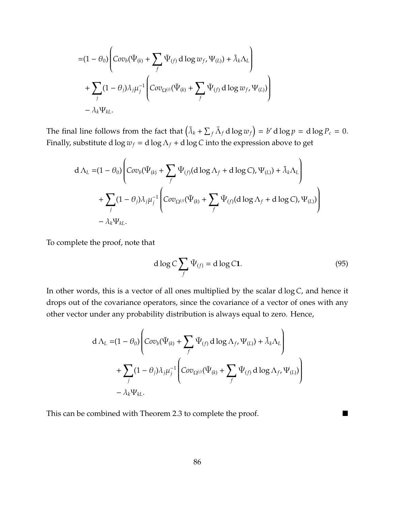$$
= (1 - \theta_0) \left( Cov_b(\tilde{\Psi}_{(k)} + \sum_f \tilde{\Psi}_{(f)} d \log w_f, \Psi_{(L)}) + \tilde{\lambda}_k \Lambda_L \right) + \sum_j (1 - \theta_j) \lambda_j \mu_j^{-1} \left( Cov_{\Omega^{(j)}}(\tilde{\Psi}_{(k)} + \sum_f \tilde{\Psi}_{(f)} d \log w_f, \Psi_{(L)}) \right) - \lambda_k \Psi_{kL}.
$$

The final line follows from the fact that  $(\tilde{\lambda}_k + \sum_f \tilde{\Lambda}_f d \log w_f) = b' d \log p = d \log P_c = 0$ . Finally, substitute d  $\log w_f = d \log \Lambda_f + d \log C$  into the expression above to get

$$
d \Lambda_L = (1 - \theta_0) \left( Cov_b(\tilde{\Psi}_{(k)} + \sum_f \tilde{\Psi}_{(f)}(d \log \Lambda_f + d \log C), \Psi_{(L)}) + \tilde{\lambda}_k \Lambda_L \right) + \sum_j (1 - \theta_j) \lambda_j \mu_j^{-1} \left( Cov_{\Omega^{(j)}}(\tilde{\Psi}_{(k)} + \sum_f \tilde{\Psi}_{(f)}(d \log \Lambda_f + d \log C), \Psi_{(L)}) \right) - \lambda_k \Psi_{kL}.
$$

To complete the proof, note that

$$
d \log C \sum_{f} \tilde{\Psi}_{(f)} = d \log C 1. \tag{95}
$$

In other words, this is a vector of all ones multiplied by the scalar d log *C*, and hence it drops out of the covariance operators, since the covariance of a vector of ones with any other vector under any probability distribution is always equal to zero. Hence,

$$
d \Lambda_L = (1 - \theta_0) \left( Cov_b(\tilde{\Psi}_{(k)} + \sum_f \tilde{\Psi}_{(f)} d \log \Lambda_f, \Psi_{(L)}) + \tilde{\lambda}_k \Lambda_L \right) + \sum_j (1 - \theta_j) \lambda_j \mu_j^{-1} \left( Cov_{\Omega^{(j)}}(\tilde{\Psi}_{(k)} + \sum_f \tilde{\Psi}_{(f)} d \log \Lambda_f, \Psi_{(L)}) \right) - \lambda_k \Psi_{kL}.
$$

This can be combined with Theorem [2.3](#page-13-0) to complete the proof.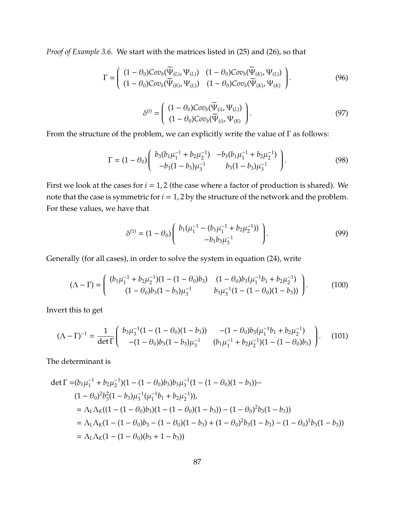*Proof of Example [3.6.](#page-35-0)* We start with the matrices listed in [\(25\)](#page-35-1) and [\(26\)](#page-35-2), so that

$$
\Gamma = \begin{pmatrix} (1 - \theta_0) \text{Cov}_b(\widetilde{\Psi}_{(L)}, \Psi_{(L)}) & (1 - \theta_0) \text{Cov}_b(\widetilde{\Psi}_{(K)}, \Psi_{(L)}) \\ (1 - \theta_0) \text{Cov}_b(\widetilde{\Psi}_{(K)}, \Psi_{(L)}) & (1 - \theta_0) \text{Cov}_b(\widetilde{\Psi}_{(K)}, \Psi_{(K)}) \end{pmatrix}.
$$
(96)

$$
\delta^{(i)} = \left( \begin{array}{c} (1 - \theta_0) \text{Cov}_b(\widetilde{\Psi}_{(i)}, \Psi_{(L)}) \\ (1 - \theta_0) \text{Cov}_b(\widetilde{\Psi}_{(i)}, \Psi_{(K)}) \end{array} \right). \tag{97}
$$

From the structure of the problem, we can explicitly write the value of Γ as follows:

$$
\Gamma = (1 - \theta_0) \begin{pmatrix} b_3(b_1\mu_1^{-1} + b_2\mu_2^{-1}) & -b_3(b_1\mu_1^{-1} + b_2\mu_2^{-1}) \\ -b_3(1 - b_3)\mu_3^{-1} & b_3(1 - b_3)\mu_3^{-1} \end{pmatrix} . \tag{98}
$$

First we look at the cases for  $i = 1, 2$  (the case where a factor of production is shared). We note that the case is symmetric for  $i = 1, 2$  by the structure of the network and the problem. For these values, we have that

$$
\delta^{(1)} = (1 - \theta_0) \begin{pmatrix} b_1(\mu_1^{-1} - (b_1\mu_1^{-1} + b_2\mu_2^{-1})) \\ -b_1b_3\mu_3^{-1} \end{pmatrix} . \tag{99}
$$

Generally (for all cases), in order to solve the system in equation [\(24\)](#page-34-1), write

$$
(\Lambda - \Gamma) = \begin{pmatrix} (b_1 \mu_1^{-1} + b_2 \mu_2^{-1})(1 - (1 - \theta_0)b_3) & (1 - \theta_0)b_3(\mu_1^{-1}b_1 + b_2 \mu_2^{-1}) \\ (1 - \theta_0)b_3(1 - b_3)\mu_3^{-1} & b_3 \mu_3^{-1}(1 - (1 - \theta_0)(1 - b_3)) \end{pmatrix}.
$$
 (100)

Invert this to get

<span id="page-86-0"></span>
$$
(\Lambda - \Gamma)^{-1} = \frac{1}{\det \Gamma} \begin{pmatrix} b_3 \mu_3^{-1} (1 - (1 - \theta_0)(1 - b_3)) & -(1 - \theta_0) b_3 (\mu_1^{-1} b_1 + b_2 \mu_2^{-1}) \\ -(1 - \theta_0) b_3 (1 - b_3) \mu_3^{-1} & (b_1 \mu_1^{-1} + b_2 \mu_2^{-1}) (1 - (1 - \theta_0) b_3) \end{pmatrix} .
$$
 (101)

The determinant is

$$
\det \Gamma = (b_1 \mu_1^{-1} + b_2 \mu_2^{-1})(1 - (1 - \theta_0)b_3)b_3\mu_3^{-1}(1 - (1 - \theta_0)(1 - b_3)) -
$$
  
\n
$$
(1 - \theta_0)^2 b_3^2 (1 - b_3)\mu_3^{-1}(\mu_1^{-1}b_1 + b_2\mu_2^{-1})),
$$
  
\n
$$
= \Lambda_L \Lambda_K ((1 - (1 - \theta_0)b_3)(1 - (1 - \theta_0)(1 - b_3)) - (1 - \theta_0)^2 b_3 (1 - b_3))
$$
  
\n
$$
= \Lambda_L \Lambda_K (1 - (1 - \theta_0)b_3 - (1 - \theta_0)(1 - b_3) + (1 - \theta_0)^2 b_3 (1 - b_3) - (1 - \theta_0)^2 b_3 (1 - b_3))
$$
  
\n
$$
= \Lambda_L \Lambda_K (1 - (1 - \theta_0)(b_3 + 1 - b_3))
$$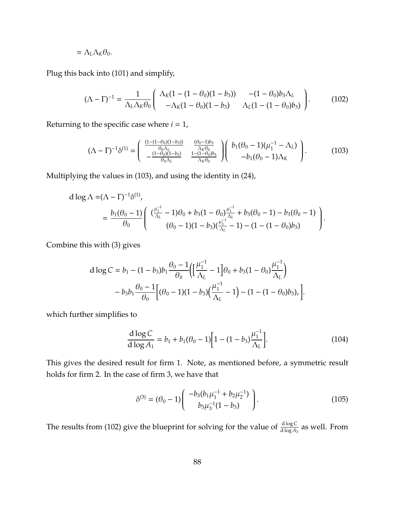$$
=\Lambda_L\Lambda_K\theta_0.
$$

Plug this back into [\(101\)](#page-86-0) and simplify,

<span id="page-87-1"></span>
$$
(\Lambda - \Gamma)^{-1} = \frac{1}{\Lambda_L \Lambda_K \theta_0} \begin{pmatrix} \Lambda_K (1 - (1 - \theta_0)(1 - b_3)) & -(1 - \theta_0) b_3 \Lambda_L \\ -\Lambda_K (1 - \theta_0)(1 - b_3) & \Lambda_L (1 - (1 - \theta_0) b_3) \end{pmatrix} .
$$
 (102)

Returning to the specific case where  $i = 1$ ,

<span id="page-87-0"></span>
$$
(\Lambda - \Gamma)^{-1} \delta^{(1)} = \begin{pmatrix} \frac{(1 - (1 - \theta_0)(1 - b_3))}{\theta_0 \Lambda_L} & \frac{(\theta_0 - 1)b_3}{\Lambda_R \theta_0} \\ -\frac{(1 - \theta_0)(1 - b_3)}{\theta_0 \Lambda_L} & \frac{1 - (1 - \theta_0)b_3}{\Lambda_R \theta_0} \end{pmatrix} \begin{pmatrix} b_1(\theta_0 - 1)(\mu_1^{-1} - \Lambda_L) \\ -b_1(\theta_0 - 1)\Lambda_K \end{pmatrix} .
$$
 (103)

Multiplying the values in [\(103\)](#page-87-0), and using the identity in [\(24\)](#page-34-1),

$$
d \log \Lambda = (\Lambda - \Gamma)^{-1} \delta^{(1)},
$$
  
=  $\frac{b_1(\theta_0 - 1)}{\theta_0} \left( \frac{(\frac{\mu_1^{-1}}{\Lambda_L} - 1)\theta_0 + b_3(1 - \theta_0) \frac{\mu_1^{-1}}{\Lambda_L} + b_3(\theta_0 - 1) - b_3(\theta_0 - 1)}{(\theta_0 - 1)(1 - b_3)(\frac{\mu_1^{-1}}{\Lambda_L} - 1) - (1 - (1 - \theta_0)b_3)} \right).$ 

Combine this with [\(3\)](#page-11-1) gives

$$
d \log C = b_1 - (1 - b_3) b_1 \frac{\theta_0 - 1}{\theta_0} \Biggl( \Biggl[ \frac{\mu_1^{-1}}{\Lambda_L} - 1 \Biggr] \theta_0 + b_3 (1 - \theta_0) \frac{\mu_1^{-1}}{\Lambda_L} \Biggr) - b_3 b_1 \frac{\theta_0 - 1}{\theta_0} \Biggl[ (\theta_0 - 1)(1 - b_3) \Biggl( \frac{\mu_1^{-1}}{\Lambda_L} - 1 \Biggr) - (1 - (1 - \theta_0) b_3) \Biggr).
$$

which further simplifies to

$$
\frac{d \log C}{d \log A_1} = b_1 + b_1(\theta_0 - 1) \Big[ 1 - (1 - b_3) \frac{\mu_1^{-1}}{\Lambda_L} \Big].
$$
\n(104)

This gives the desired result for firm 1. Note, as mentioned before, a symmetric result holds for firm 2. In the case of firm 3, we have that

$$
\delta^{(3)} = (\theta_0 - 1) \begin{pmatrix} -b_3(b_1\mu_1^{-1} + b_2\mu_2^{-1}) \\ b_3\mu_3^{-1}(1 - b_3) \end{pmatrix} . \tag{105}
$$

The results from [\(102\)](#page-87-1) give the blueprint for solving for the value of  $\frac{d \log C}{d \log A_3}$  as well. From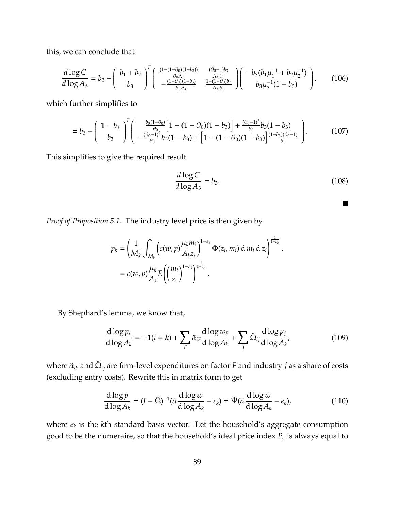this, we can conclude that

$$
\frac{d \log C}{d \log A_3} = b_3 - \left(\begin{array}{c}b_1 + b_2 \ b_3\end{array}\right)^T \left(\begin{array}{cc}\frac{(1 - (1 - \theta_0)(1 - b_3))}{\theta_0 \Lambda_L} & \frac{(\theta_0 - 1)b_3}{\Lambda_K \theta_0} \\ -\frac{(1 - \theta_0)(1 - b_3)}{\theta_0 \Lambda_L} & \frac{1 - (1 - \theta_0)b_3}{\Lambda_K \theta_0}\end{array}\right) \left(\begin{array}{c}-b_3(b_1 \mu_1^{-1} + b_2 \mu_2^{-1}) \\ b_3 \mu_3^{-1} (1 - b_3)\end{array}\right),\tag{106}
$$

which further simplifies to

$$
= b_3 - \left(\begin{array}{c} 1 - b_3 \\ b_3 \end{array}\right)^T \left(\begin{array}{c} \frac{b_3(1 - \theta_0)}{\theta_0} \left[1 - (1 - \theta_0)(1 - b_3)\right] + \frac{(\theta_0 - 1)^2}{\theta_0} b_3(1 - b_3) \\ - \frac{(\theta_0 - 1)^2}{\theta_0} b_3(1 - b_3) + \left[1 - (1 - \theta_0)(1 - b_3)\right] \frac{(1 - b_3)(\theta_0 - 1)}{\theta_0} \end{array}\right). \tag{107}
$$

This simplifies to give the required result

$$
\frac{d \log C}{d \log A_3} = b_3. \tag{108}
$$

 $\blacksquare$ 

*Proof of Proposition [5.1.](#page-61-0)* The industry level price is then given by

$$
p_k = \left(\frac{1}{M_k}\int_{M_k} \left(c(w,p)\frac{\mu_k m_i}{A_k z_i}\right)^{1-\varepsilon_k} \Phi(z_i,m_i) d m_i dz_i\right)^{\frac{1}{1-\varepsilon_k}},
$$
  
=  $c(w,p)\frac{\mu_k}{A_k}E\left(\left(\frac{m_i}{z_i}\right)^{1-\varepsilon_k}\right)^{\frac{1}{1-\varepsilon_k}}.$ 

By Shephard's lemma, we know that,

$$
\frac{\mathrm{d}\log p_i}{\mathrm{d}\log A_k} = -1(i=k) + \sum_F \tilde{\alpha}_{iF} \frac{\mathrm{d}\log w_F}{\mathrm{d}\log A_k} + \sum_j \tilde{\Omega}_{ij} \frac{\mathrm{d}\log p_j}{\mathrm{d}\log A_k'},\tag{109}
$$

where  $\tilde{\alpha}_{i\bar{r}}$  and  $\tilde{\Omega}_{ij}$  are firm-level expenditures on factor  $F$  and industry  $j$  as a share of costs (excluding entry costs). Rewrite this in matrix form to get

$$
\frac{d \log p}{d \log A_k} = (I - \tilde{\Omega})^{-1} (\tilde{\alpha} \frac{d \log w}{d \log A_k} - e_k) = \tilde{\Psi}(\tilde{\alpha} \frac{d \log w}{d \log A_k} - e_k),\tag{110}
$$

where *e<sup>k</sup>* is the *k*th standard basis vector. Let the household's aggregate consumption good to be the numeraire, so that the household's ideal price index *P<sup>c</sup>* is always equal to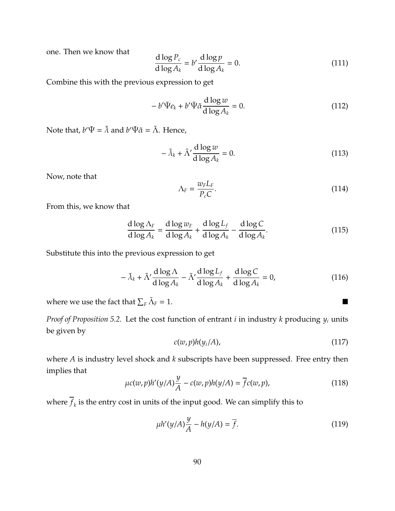one. Then we know that

$$
\frac{d \log P_c}{d \log A_k} = b' \frac{d \log p}{d \log A_k} = 0.
$$
\n(111)

Combine this with the previous expression to get

$$
-b'\tilde{\Psi}e_k + b'\tilde{\Psi}\tilde{\alpha}\frac{\mathrm{d}\log w}{\mathrm{d}\log A_k} = 0.
$$
 (112)

Note that,  $b'\tilde{\Psi} = \tilde{\lambda}$  and  $b'\tilde{\Psi}\tilde{\alpha} = \tilde{\Lambda}$ . Hence,

$$
-\tilde{\lambda}_k + \tilde{\Lambda}' \frac{\mathrm{d}\log w}{\mathrm{d}\log A_k} = 0. \tag{113}
$$

Now, note that

$$
\Lambda_F = \frac{w_F L_F}{P_c C}.\tag{114}
$$

From this, we know that

$$
\frac{d \log \Lambda_F}{d \log A_k} = \frac{d \log w_F}{d \log A_k} + \frac{d \log L_f}{d \log A_k} - \frac{d \log C}{d \log A_k}.
$$
\n(115)

Substitute this into the previous expression to get

$$
-\tilde{\lambda}_k + \tilde{\Lambda}' \frac{d \log \Lambda}{d \log A_k} - \tilde{\Lambda}' \frac{d \log L_f}{d \log A_k} + \frac{d \log C}{d \log A_k} = 0,
$$
\n(116)

where we use the fact that  $\sum_F \tilde{\Lambda}$  $F = 1.$ 

*Proof of Proposition [5.2.](#page-62-0)* Let the cost function of entrant *i* in industry *k* producing *y<sup>i</sup>* units be given by

$$
c(w, p)h(y_i/A), \qquad (117)
$$

where *A* is industry level shock and *k* subscripts have been suppressed. Free entry then implies that

$$
\mu c(w, p) h'(y/A) \frac{y}{A} - c(w, p) h(y/A) = \overline{f} c(w, p), \qquad (118)
$$

where  $f_k$  is the entry cost in units of the input good. We can simplify this to

$$
\mu h'(y/A)\frac{y}{A} - h(y/A) = \overline{f}.\tag{119}
$$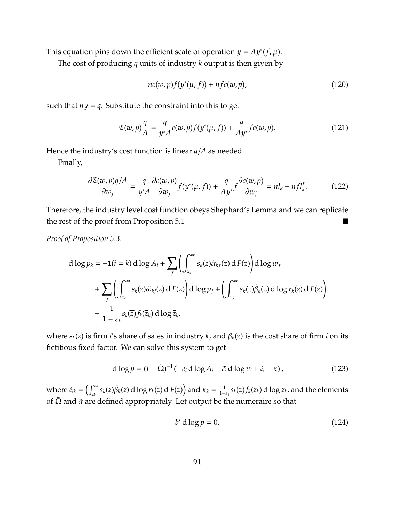This equation pins down the efficient scale of operation  $y = Ay^*\overline{(f}, \mu)$ .

The cost of producing *q* units of industry *k* output is then given by

$$
nc(w,p)f(y^*(\mu,\overline{f})) + n\overline{f}c(w,p),
$$
\n(120)

such that  $ny = q$ . Substitute the constraint into this to get

$$
\mathfrak{C}(w,p)\frac{q}{A} = \frac{q}{y^*A}c(w,p)f(y^*(\mu,\overline{f})) + \frac{q}{Ay^*}\overline{f}c(w,p).
$$
 (121)

Hence the industry's cost function is linear *q*/*A* as needed.

Finally,

$$
\frac{\partial \mathfrak{C}(w, p)q/A}{\partial w_j} = \frac{q}{y^*A} \frac{\partial c(w, p)}{\partial w_j} f(y^*(\mu, \overline{f})) + \frac{q}{Ay^*} \overline{f} \frac{\partial c(w, p)}{\partial w_j} = n l_k + n \overline{f} l_k^f. \tag{122}
$$

Therefore, the industry level cost function obeys Shephard's Lemma and we can replicate the rest of the proof from Proposition [5.1](#page-61-0)

*Proof of Proposition [5.3.](#page-63-0)*

$$
d \log p_k = -\mathbf{1}(i = k) d \log A_i + \sum_{f} \left( \int_{\overline{z}_k}^{\infty} s_k(z) \tilde{\alpha}_{kf}(z) dF(z) \right) d \log w_f
$$
  
+ 
$$
\sum_{j} \left( \int_{\overline{z}_k}^{\infty} s_k(z) \tilde{\omega}_{kj}(z) dF(z) \right) d \log p_j + \left( \int_{\overline{z}_k}^{\infty} s_k(z) \tilde{\beta}_k(z) d \log r_k(z) dF(z) \right)
$$
  
- 
$$
\frac{1}{1 - \varepsilon_k} s_k(\overline{z}) f_k(\overline{z}_k) d \log \overline{z}_k.
$$

where  $s_k(z)$  is firm *i*'s share of sales in industry *k*, and  $\beta_k(z)$  is the cost share of firm *i* on its fictitious fixed factor. We can solve this system to get

$$
d \log p = (I - \tilde{\Omega})^{-1} \left( -e_i \, d \log A_i + \tilde{\alpha} \, d \log w + \xi - \kappa \right),\tag{123}
$$

where  $\xi_k = \left( \int_{\overline{z}_k}^{\infty}$  $\int_{\bar{z}_k}^{\infty} s_k(z) \tilde{\beta}_k(z) d\log r_k(z) dF(z)$  and  $\kappa_k = \frac{1}{1-\varepsilon_k} s_k(\bar{z}) f_k(\bar{z}_k) d\log \bar{z}_k$ , and the elements of  $\tilde{\Omega}$  and  $\tilde{\alpha}$  are defined appropriately. Let output be the numeraire so that

$$
b' \operatorname{d} \log p = 0. \tag{124}
$$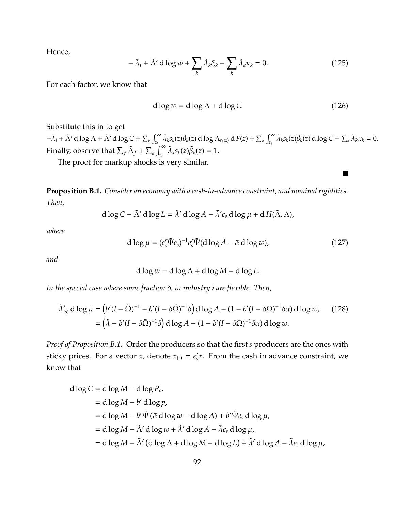Hence,

$$
-\tilde{\lambda}_i + \tilde{\Lambda}' \, d \log w + \sum_k \tilde{\lambda}_k \xi_k - \sum_k \tilde{\lambda}_k \kappa_k = 0. \tag{125}
$$

For each factor, we know that

$$
d \log w = d \log \Lambda + d \log C. \tag{126}
$$

 $\blacksquare$ 

Substitute this in to get

 $-\tilde{\lambda}_i + \tilde{\Lambda}' \, d \log \Lambda + \tilde{\Lambda}' \, d \log C + \sum_k \int_{\bar{z}_k}^{\infty}$  $\int_{\bar{z}_k}^{\infty} \tilde{\lambda}_k s_k(z) \tilde{\beta}_k(z) \, \mathrm{d} \log \Lambda_{r_k(z)} \, \mathrm{d} \, F(z) + \sum_k \int_{\bar{z}_k}^{\infty}$  $\int_{z_k}^{\infty} \tilde{\lambda}_k s_k(z) \tilde{\beta}_k(z) d \log C - \sum_k \tilde{\lambda}_k \kappa_k = 0.$ Finally, observe that  $\sum_f \tilde{\Lambda}_f + \sum_k \int_{\bar{z}_k}^{\infty}$  $\int_{\bar{z}_k}^{\infty} \tilde{\lambda}_k s_k(z) \tilde{\beta}_k(z) = 1.$ 

The proof for markup shocks is very similar.

<span id="page-91-0"></span>**Proposition B.1.** *Consider an economy with a cash-in-advance constraint, and nominal rigidities. Then,*

<span id="page-91-1"></span>
$$
d \log C - \tilde{\Lambda}' d \log L = \tilde{\lambda}' d \log A - \tilde{\lambda}' e_s d \log \mu + d H(\tilde{\Lambda}, \Lambda),
$$

*where*

$$
d \log \mu = (e'_s \tilde{\Psi} e_s)^{-1} e'_s \tilde{\Psi} (d \log A - \tilde{\alpha} d \log w), \qquad (127)
$$

*and*

$$
d \log w = d \log \Lambda + d \log M - d \log L.
$$

*In the special case where some fraction* δ*<sup>i</sup> in industry i are flexible. Then,*

$$
\tilde{\lambda}'_{(s)} d \log \mu = (b'(I - \tilde{\Omega})^{-1} - b'(I - \delta \tilde{\Omega})^{-1} \delta) d \log A - (1 - b'(I - \delta \Omega)^{-1} \delta \alpha) d \log w, \qquad (128)
$$

$$
= (\tilde{\lambda} - b'(I - \delta \tilde{\Omega})^{-1} \delta) d \log A - (1 - b'(I - \delta \Omega)^{-1} \delta \alpha) d \log w.
$$

*Proof of Proposition [B.1.](#page-91-0)* Order the producers so that the first *s* producers are the ones with sticky prices. For a vector *x*, denote  $x_{(s)} = e'_s x$ . From the cash in advance constraint, we know that

$$
d \log C = d \log M - d \log P_c,
$$
  
= d \log M - b' d \log p,  
= d \log M - b' \tilde{\Psi} (\tilde{\alpha} d \log w - d \log A) + b' \tilde{\Psi} e\_s d \log \mu,  
= d \log M - \tilde{\Lambda}' d \log w + \tilde{\lambda}' d \log A - \tilde{\lambda} e\_s d \log \mu,  
= d \log M - \tilde{\Lambda}' (d \log \Lambda + d \log M - d \log L) + \tilde{\lambda}' d \log A - \tilde{\lambda} e\_s d \log \mu,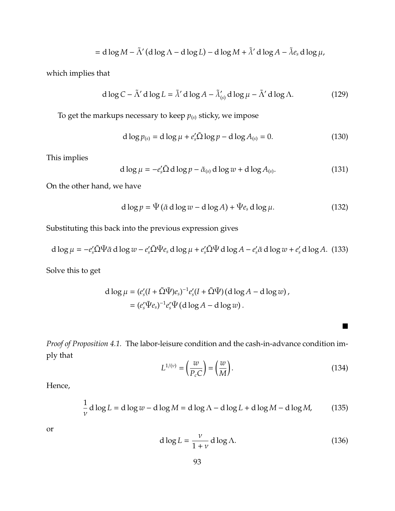$$
= d \log M - \tilde{\Lambda}' (d \log \Lambda - d \log L) - d \log M + \tilde{\lambda}' d \log A - \tilde{\lambda} e_s d \log \mu,
$$

which implies that

$$
d \log C - \tilde{\Lambda}' d \log L = \tilde{\lambda}' d \log A - \tilde{\lambda}'_{(s)} d \log \mu - \tilde{\Lambda}' d \log \Lambda. \tag{129}
$$

To get the markups necessary to keep  $p_{(s)}$  sticky, we impose

$$
d \log p_{(s)} = d \log \mu + e'_s \tilde{\Omega} \log p - d \log A_{(s)} = 0.
$$
 (130)

This implies

$$
d \log \mu = -e'_s \tilde{\Omega} \, d \log p - \tilde{\alpha}_{(s)} \, d \log w + d \log A_{(s)}.
$$
 (131)

On the other hand, we have

$$
d \log p = \tilde{\Psi} (\tilde{\alpha} \, d \log w - d \log A) + \tilde{\Psi} e_s \, d \log \mu. \tag{132}
$$

Substituting this back into the previous expression gives

$$
d \log \mu = -e_s' \tilde{\Omega} \tilde{\Psi} \tilde{\alpha} d \log w - e_s' \tilde{\Omega} \tilde{\Psi} e_s d \log \mu + e_s' \tilde{\Omega} \tilde{\Psi} d \log A - e_s' \tilde{\alpha} d \log w + e_s' d \log A. (133)
$$

Solve this to get

$$
\begin{aligned} \mathrm{d}\log\mu &= (e'_s(I+\tilde{\Omega}\tilde{\Psi})e_s)^{-1}e'_s(I+\tilde{\Omega}\tilde{\Psi})\left(\mathrm{d}\log A - \mathrm{d}\log w\right), \\ &= (e'_s\tilde{\Psi}e_s)^{-1}e'_s\tilde{\Psi}\left(\mathrm{d}\log A - \mathrm{d}\log w\right). \end{aligned}
$$

*Proof of Proposition [4.1.](#page-52-0)* The labor-leisure condition and the cash-in-advance condition imply that

$$
L^{1/\left(\nu\right)} = \left(\frac{w}{P_c C}\right) = \left(\frac{w}{M}\right). \tag{134}
$$

 $\blacksquare$ 

Hence,

$$
\frac{1}{\nu} d \log L = d \log w - d \log M = d \log \Lambda - d \log L + d \log M - d \log M,\tag{135}
$$

or

$$
d \log L = \frac{\nu}{1 + \nu} \, d \log \Lambda. \tag{136}
$$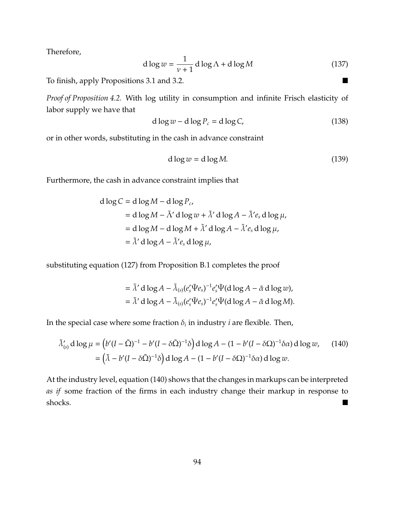Therefore,

$$
d \log w = \frac{1}{\nu + 1} d \log \Lambda + d \log M \tag{137}
$$

To finish, apply Propositions [3.1](#page-26-0) and [3.2.](#page-29-0)

*Proof of Proposition [4.2.](#page-53-0)* With log utility in consumption and infinite Frisch elasticity of labor supply we have that

$$
d \log w - d \log P_c = d \log C,\tag{138}
$$

or in other words, substituting in the cash in advance constraint

$$
d \log w = d \log M. \tag{139}
$$

Furthermore, the cash in advance constraint implies that

$$
d \log C = d \log M - d \log P_c,
$$
  
= d \log M - \tilde{\Lambda}' d \log w + \tilde{\lambda}' d \log A - \tilde{\lambda}' e\_s d \log \mu,  
= d \log M - d \log M + \tilde{\lambda}' d \log A - \tilde{\lambda}' e\_s d \log \mu,  
= \tilde{\lambda}' d \log A - \tilde{\lambda}' e\_s d \log \mu,

substituting equation [\(127\)](#page-91-1) from Proposition [B.1](#page-91-0) completes the proof

<span id="page-93-0"></span>
$$
= \tilde{\lambda}' d \log A - \tilde{\lambda}_{(s)} (e'_{s} \tilde{\Psi} e_{s})^{-1} e'_{s} \tilde{\Psi}(d \log A - \tilde{\alpha} d \log w),
$$
  

$$
= \tilde{\lambda}' d \log A - \tilde{\lambda}_{(s)} (e'_{s} \tilde{\Psi} e_{s})^{-1} e'_{s} \tilde{\Psi}(d \log A - \tilde{\alpha} d \log M).
$$

In the special case where some fraction  $\delta_i$  in industry *i* are flexible. Then,

$$
\tilde{\lambda}'_{(s)} d \log \mu = (b'(I - \tilde{\Omega})^{-1} - b'(I - \delta \tilde{\Omega})^{-1} \delta) d \log A - (1 - b'(I - \delta \Omega)^{-1} \delta \alpha) d \log w, \quad (140)
$$

$$
= (\tilde{\lambda} - b'(I - \delta \tilde{\Omega})^{-1} \delta) d \log A - (1 - b'(I - \delta \Omega)^{-1} \delta \alpha) d \log w.
$$

At the industry level, equation [\(140\)](#page-93-0) shows that the changes in markups can be interpreted *as if* some fraction of the firms in each industry change their markup in response to shocks.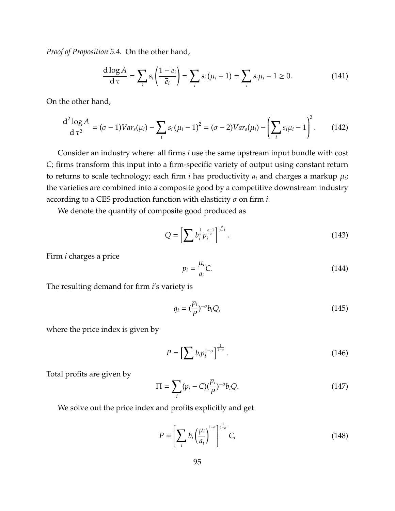*Proof of Proposition [5.4.](#page-65-0)* On the other hand,

$$
\frac{\mathrm{d}\log A}{\mathrm{d}\,\tau} = \sum_{i} s_i \left( \frac{1-\overline{e}_i}{\overline{e}_i} \right) = \sum_{i} s_i \left( \mu_i - 1 \right) = \sum_{i} s_i \mu_i - 1 \ge 0. \tag{141}
$$

On the other hand,

$$
\frac{d^2 \log A}{d \tau^2} = (\sigma - 1)Var_s(\mu_i) - \sum_i s_i (\mu_i - 1)^2 = (\sigma - 2)Var_s(\mu_i) - \left(\sum_i s_i \mu_i - 1\right)^2. \tag{142}
$$

Consider an industry where: all firms *i* use the same upstream input bundle with cost *C*; firms transform this input into a firm-specific variety of output using constant return to returns to scale technology; each firm *i* has productivity *a<sup>i</sup>* and charges a markup µ*<sup>i</sup>* ; the varieties are combined into a composite good by a competitive downstream industry according to a CES production function with elasticity σ on firm *i*.

We denote the quantity of composite good produced as

$$
Q = \left[\sum b_i^{\frac{1}{\sigma}} p_i^{\frac{\sigma-1}{\sigma}}\right]^{\frac{\sigma}{\sigma-1}}.\tag{143}
$$

Firm *i* charges a price

$$
p_i = \frac{\mu_i}{a_i} C. \tag{144}
$$

The resulting demand for firm *i*'s variety is

$$
q_i = \left(\frac{p_i}{P}\right)^{-\sigma} b_i Q,\tag{145}
$$

where the price index is given by

$$
P = \left[\sum b_i p_i^{1-\sigma}\right]^{\frac{1}{1-\sigma}}.\tag{146}
$$

Total profits are given by

$$
\Pi = \sum_{i} (p_i - C) \left(\frac{p_i}{P}\right)^{-\sigma} b_i Q. \tag{147}
$$

We solve out the price index and profits explicitly and get

$$
P = \left[\sum_{i} b_i \left(\frac{\mu_i}{a_i}\right)^{1-\sigma}\right]^{\frac{1}{1-\sigma}} C,
$$
\n(148)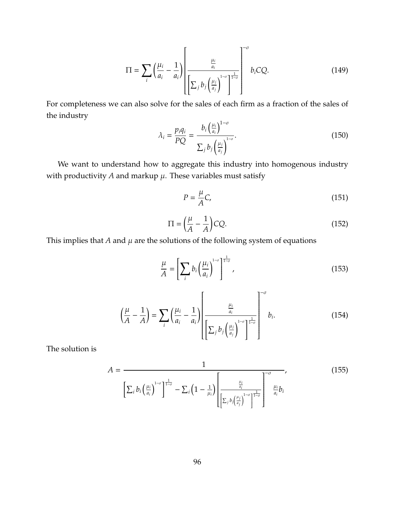$$
\Pi = \sum_{i} \left( \frac{\mu_i}{a_i} - \frac{1}{a_i} \right) \left[ \frac{\frac{\mu_i}{a_i}}{\left[ \sum_j b_j \left( \frac{\mu_j}{a_j} \right)^{1-\sigma} \right]^{\frac{1}{1-\sigma}}} \right]^{-\sigma} b_i C Q.
$$
 (149)

For completeness we can also solve for the sales of each firm as a fraction of the sales of the industry  $1-\sigma$ 

$$
\lambda_i = \frac{p_i q_i}{PQ} = \frac{b_i \left(\frac{\mu_i}{a_i}\right)^{1-\sigma}}{\sum_j b_j \left(\frac{\mu_j}{a_j}\right)^{1-\sigma}}.
$$
\n(150)

We want to understand how to aggregate this industry into homogenous industry with productivity  $A$  and markup  $\mu$ . These variables must satisfy

$$
P = \frac{\mu}{A}C,\tag{151}
$$

$$
\Pi = \left(\frac{\mu}{A} - \frac{1}{A}\right)CQ.\tag{152}
$$

This implies that  $A$  and  $\mu$  are the solutions of the following system of equations

$$
\frac{\mu}{A} = \left[ \sum_{i} b_i \left( \frac{\mu_i}{a_i} \right)^{1-\sigma} \right]^{\frac{1}{1-\sigma}},\tag{153}
$$

$$
\left(\frac{\mu}{A} - \frac{1}{A}\right) = \sum_{i} \left(\frac{\mu_i}{a_i} - \frac{1}{a_i}\right) \left[\frac{\frac{\mu_i}{a_i}}{\sum_j b_j \left(\frac{\mu_j}{a_j}\right)^{1-\sigma} \right]^{\frac{1}{1-\sigma}}} \right]^{-\sigma} b_i.
$$
\n(154)

The solution is

$$
A = \frac{1}{\left[\sum_{i} b_{i} \left(\frac{\mu_{i}}{a_{i}}\right)^{1-\sigma}\right]^{\frac{1}{1-\sigma}} - \sum_{i} \left(1 - \frac{1}{\mu_{i}}\right) \left[\frac{\frac{\mu_{i}}{a_{i}}}{\left[\sum_{j} b_{j} \left(\frac{\mu_{j}}{a_{j}}\right)^{1-\sigma}\right]^{\frac{1}{1-\sigma}}}\right]^{\frac{\mu_{i}}{a_{i}}} b_{i}} \qquad (155)
$$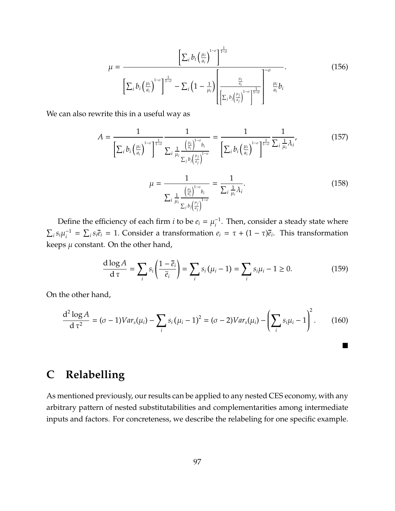$$
\mu = \frac{\left[\sum_{i} b_{i} \left(\frac{\mu_{i}}{a_{i}}\right)^{1-\sigma}\right]^{\frac{1}{1-\sigma}}}{\left[\sum_{i} b_{i} \left(\frac{\mu_{i}}{a_{i}}\right)^{1-\sigma}\right]^{\frac{1}{1-\sigma}} - \sum_{i} \left(1 - \frac{1}{\mu_{i}}\right) \left[\frac{\frac{\mu_{i}}{a_{i}}}{\left[\sum_{j} b_{j} \left(\frac{\mu_{j}}{a_{j}}\right)^{1-\sigma}\right]^{\frac{1}{1-\sigma}}}\right]^{-\frac{\mu_{i}}{a_{i}}} b_{i}}.
$$
\n(156)

We can also rewrite this in a useful way as

$$
A = \frac{1}{\left[\sum_{i} b_{i} \left(\frac{\mu_{i}}{a_{i}}\right)^{1-\sigma}\right]^{\frac{1}{1-\sigma}}} \frac{1}{\sum_{i} \frac{1}{\mu_{i}} \frac{\left(\frac{\mu_{i}}{a_{i}}\right)^{1-\sigma} b_{i}}{\sum_{j} b_{j} \left(\frac{\mu_{j}}{a_{j}}\right)^{1-\sigma}}} = \frac{1}{\left[\sum_{i} b_{i} \left(\frac{\mu_{i}}{a_{i}}\right)^{1-\sigma}\right]^{\frac{1}{1-\sigma}}} \frac{1}{\sum_{i} \frac{1}{\mu_{i}} \lambda_{i}},
$$
(157)

$$
\mu = \frac{1}{\sum_{i} \frac{1}{\mu_{i}} \frac{\left(\frac{\mu_{i}}{a_{i}}\right)^{1-\sigma} b_{i}}{\sum_{i} \mu_{i}} \frac{1}{\mu_{i}} \lambda_{i}}}
$$
(158)

 $\blacksquare$ 

Define the efficiency of each firm *i* to be  $e_i = \mu_i^{-1}$ *i* . Then, consider a steady state where  $\sum_i s_i \mu_i^{-1}$  $e_i^1 = \sum_i s_i \overline{e}_i = 1$ . Consider a transformation  $e_i = \tau + (1 - \tau)\overline{e}_i$ . This transformation keeps  $\mu$  constant. On the other hand,

$$
\frac{\mathrm{d}\log A}{\mathrm{d}\,\tau} = \sum_{i} s_i \left( \frac{1-\overline{e}_i}{\overline{e}_i} \right) = \sum_{i} s_i \left( \mu_i - 1 \right) = \sum_{i} s_i \mu_i - 1 \ge 0. \tag{159}
$$

On the other hand,

$$
\frac{d^2 \log A}{d \tau^2} = (\sigma - 1)Var_s(\mu_i) - \sum_i s_i (\mu_i - 1)^2 = (\sigma - 2)Var_s(\mu_i) - \left(\sum_i s_i \mu_i - 1\right)^2. \tag{160}
$$

## **C Relabelling**

As mentioned previously, our results can be applied to any nested CES economy, with any arbitrary pattern of nested substitutabilities and complementarities among intermediate inputs and factors. For concreteness, we describe the relabeling for one specific example.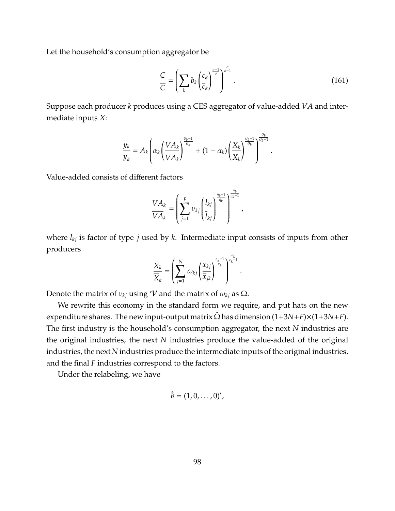Let the household's consumption aggregator be

$$
\frac{C}{\overline{C}} = \left(\sum_{k} b_k \left(\frac{c_k}{\overline{c}_k}\right)^{\frac{\sigma-1}{\sigma}}\right)^{\frac{\sigma}{\sigma-1}}.\tag{161}
$$

.

Suppose each producer *k* produces using a CES aggregator of value-added *VA* and intermediate inputs *X*:

$$
\frac{y_k}{\overline{y}_k} = A_k \left( \alpha_k \left( \frac{VA_k}{VA_k} \right)^{\frac{\theta_k - 1}{\theta_k}} + (1 - \alpha_k) \left( \frac{X_k}{\overline{X}_k} \right)^{\frac{\theta_k - 1}{\theta_k}} \right)^{\frac{\theta_k}{\theta_k - 1}}
$$

Value-added consists of different factors

$$
\frac{VA_k}{VA_k} = \left(\sum_{j=1}^F v_{kj} \left(\frac{l_{kj}}{\overline{l}_{kj}}\right)^{\frac{\eta_k - 1}{\eta_k}}\right)^{\frac{\eta_k}{\eta_k - 1}},
$$

where *lkj* is factor of type *j* used by *k*. Intermediate input consists of inputs from other producers

$$
\frac{X_k}{\overline{X}_k} = \left(\sum_{j=1}^N \omega_{kj} \left(\frac{x_{kj}}{\overline{x}_{jk}}\right)^{\frac{\varepsilon_k-1}{\varepsilon_k}}\right)^{\frac{\varepsilon_k}{\varepsilon_k-1}}.
$$

Denote the matrix of  $v_{ki}$  using V and the matrix of  $\omega_{ki}$  as  $\Omega$ .

We rewrite this economy in the standard form we require, and put hats on the new expenditure shares. The new input-output matrix  $\hat{\Omega}$  has dimension  $(1+3N+F)\times(1+3N+F)$ . The first industry is the household's consumption aggregator, the next *N* industries are the original industries, the next *N* industries produce the value-added of the original industries, the next *N* industries produce the intermediate inputs of the original industries, and the final *F* industries correspond to the factors.

Under the relabeling, we have

$$
\hat{b}=(1,0,\ldots,0)'
$$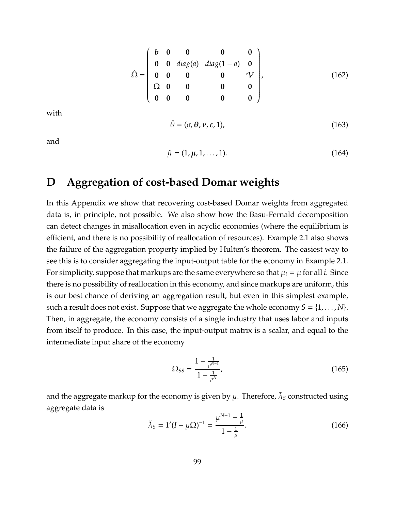$$
\hat{\Omega} = \begin{pmatrix} b & 0 & 0 & 0 & 0 \\ 0 & 0 & diag(a) & diag(1-a) & 0 \\ 0 & 0 & 0 & 0 & \sqrt{2} \\ \Omega & 0 & 0 & 0 & 0 \\ 0 & 0 & 0 & 0 & 0 \end{pmatrix},
$$
(162)

with

$$
\hat{\theta} = (\sigma, \theta, \nu, \varepsilon, 1),\tag{163}
$$

and

$$
\hat{\mu} = (1, \mu, 1, \dots, 1). \tag{164}
$$

#### **D Aggregation of cost-based Domar weights**

In this Appendix we show that recovering cost-based Domar weights from aggregated data is, in principle, not possible. We also show how the Basu-Fernald decomposition can detect changes in misallocation even in acyclic economies (where the equilibrium is efficient, and there is no possibility of reallocation of resources). Example [2.1](#page-18-1) also shows the failure of the aggregation property implied by Hulten's theorem. The easiest way to see this is to consider aggregating the input-output table for the economy in Example [2.1.](#page-18-1) For simplicity, suppose that markups are the same everywhere so that  $\mu_i = \mu$  for all *i*. Since there is no possibility of reallocation in this economy, and since markups are uniform, this is our best chance of deriving an aggregation result, but even in this simplest example, such a result does not exist. Suppose that we aggregate the whole economy  $S = \{1, \ldots, N\}$ . Then, in aggregate, the economy consists of a single industry that uses labor and inputs from itself to produce. In this case, the input-output matrix is a scalar, and equal to the intermediate input share of the economy

$$
\Omega_{SS} = \frac{1 - \frac{1}{\mu^{N-1}}}{1 - \frac{1}{\mu^N}},\tag{165}
$$

and the aggregate markup for the economy is given by  $\mu$ . Therefore,  $\tilde{\lambda}_S$  constructed using aggregate data is

$$
\tilde{\lambda}_S = 1'(I - \mu \Omega)^{-1} = \frac{\mu^{N-1} - \frac{1}{\mu}}{1 - \frac{1}{\mu}}.
$$
\n(166)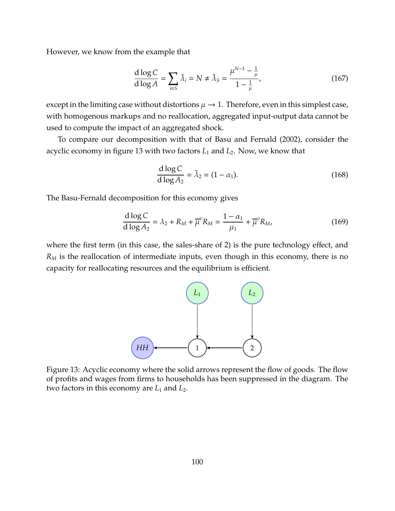However, we know from the example that

$$
\frac{\mathrm{d}\log C}{\mathrm{d}\log A} = \sum_{i\in S} \tilde{\lambda}_i = N \neq \tilde{\lambda}_S = \frac{\mu^{N-1} - \frac{1}{\mu}}{1 - \frac{1}{\mu}},\tag{167}
$$

except in the limiting case without distortions  $\mu \rightarrow 1$ . Therefore, even in this simplest case, with homogenous markups and no reallocation, aggregated input-output data cannot be used to compute the impact of an aggregated shock.

To compare our decomposition with that of [Basu and Fernald](#page-68-0) [\(2002\)](#page-68-0), consider the acyclic economy in figure [13](#page-99-0) with two factors *L*<sup>1</sup> and *L*2. Now, we know that

$$
\frac{\mathrm{d}\log C}{\mathrm{d}\log A_2} = \tilde{\lambda}_2 = (1 - \alpha_1). \tag{168}
$$

The Basu-Fernald decomposition for this economy gives

$$
\frac{d \log C}{d \log A_2} = \lambda_2 + R_M + \overline{\mu}^v R_M = \frac{1 - \alpha_1}{\mu_1} + \overline{\mu}^v R_M,
$$
(169)

<span id="page-99-0"></span>where the first term (in this case, the sales-share of 2) is the pure technology effect, and *R<sup>M</sup>* is the reallocation of intermediate inputs, even though in this economy, there is no capacity for reallocating resources and the equilibrium is efficient.



Figure 13: Acyclic economy where the solid arrows represent the flow of goods. The flow of profits and wages from firms to households has been suppressed in the diagram. The two factors in this economy are  $L_1$  and  $L_2$ .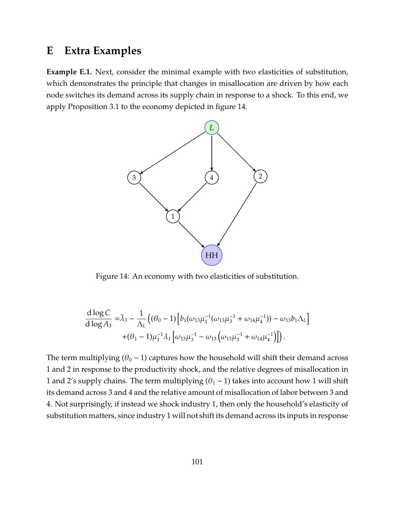#### **E Extra Examples**

<span id="page-100-0"></span>**Example E.1.** Next, consider the minimal example with two elasticities of substitution, which demonstrates the principle that changes in misallocation are driven by how each node switches its demand across its supply chain in response to a shock. To this end, we apply Proposition [3.1](#page-26-0) to the economy depicted in figure [14.](#page-100-0)



Figure 14: An economy with two elasticities of substitution.

$$
\frac{d \log C}{d \log A_3} = \tilde{\lambda}_3 - \frac{1}{\Lambda_L} \left( (\theta_0 - 1) \left[ b_1 (\omega_{13} \mu_1^{-1} (\omega_{13} \mu_3^{-1} + \omega_{14} \mu_4^{-1})) - \omega_{13} b_1 \Lambda_L \right] + (\theta_1 - 1) \mu_1^{-1} \lambda_1 \left[ \omega_{13} \mu_3^{-1} - \omega_{13} \left( \omega_{13} \mu_3^{-1} + \omega_{14} \mu_4^{-1} \right) \right] \right).
$$

The term multiplying ( $\theta_0$  – 1) captures how the household will shift their demand across 1 and 2 in response to the productivity shock, and the relative degrees of misallocation in 1 and 2's supply chains. The term multiplying  $(\theta_1 - 1)$  takes into account how 1 will shift its demand across 3 and 4 and the relative amount of misallocation of labor between 3 and 4. Not surprisingly, if instead we shock industry 1, then only the household's elasticity of substitution matters, since industry 1 will not shift its demand across its inputs in response